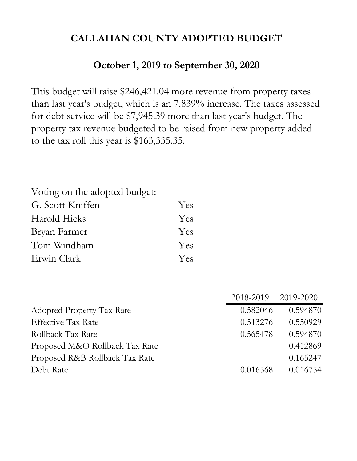# **October 1, 2019 to September 30, 2020**

This budget will raise \$246,421.04 more revenue from property taxes than last year's budget, which is an 7.839% increase. The taxes assessed for debt service will be \$7,945.39 more than last year's budget. The property tax revenue budgeted to be raised from new property added to the tax roll this year is \$163,335.35.

| Voting on the adopted budget: |     |
|-------------------------------|-----|
| G. Scott Kniffen              | Yes |
| Harold Hicks                  | Yes |
| Bryan Farmer                  | Yes |
| Tom Windham                   | Yes |
| Erwin Clark                   | Yes |

|                                  | 2018-2019 2019-2020 |          |
|----------------------------------|---------------------|----------|
| <b>Adopted Property Tax Rate</b> | 0.582046            | 0.594870 |
| <b>Effective Tax Rate</b>        | 0.513276            | 0.550929 |
| Rollback Tax Rate                | 0.565478            | 0.594870 |
| Proposed M&O Rollback Tax Rate   |                     | 0.412869 |
| Proposed R&B Rollback Tax Rate   |                     | 0.165247 |
| Debt Rate                        | 0.016568            | 0.016754 |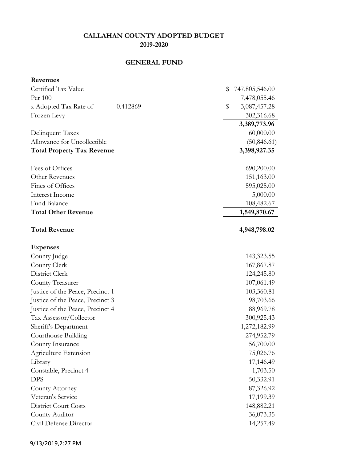# **GENERAL FUND**

| Revenues                          |                       |
|-----------------------------------|-----------------------|
| Certified Tax Value               | \$<br>747,805,546.00  |
| Per 100                           | 7,478,055.46          |
| x Adopted Tax Rate of<br>0.412869 | $\$\$<br>3,087,457.28 |
| Frozen Levy                       | 302,316.68            |
|                                   | 3,389,773.96          |
| Delinquent Taxes                  | 60,000.00             |
| Allowance for Uncollectible       | (50, 846.61)          |
| <b>Total Property Tax Revenue</b> | 3,398,927.35          |
| Fees of Offices                   | 690,200.00            |
| Other Revenues                    | 151,163.00            |
| Fines of Offices                  | 595,025.00            |
| Interest Income                   | 5,000.00              |
| Fund Balance                      | 108,482.67            |
| <b>Total Other Revenue</b>        | 1,549,870.67          |
| <b>Total Revenue</b>              | 4,948,798.02          |
| <b>Expenses</b>                   |                       |
| County Judge                      | 143,323.55            |
| County Clerk                      | 167,867.87            |
| District Clerk                    | 124,245.80            |
| County Treasurer                  | 107,061.49            |
| Justice of the Peace, Precinct 1  | 103,360.81            |
| Justice of the Peace, Precinct 3  | 98,703.66             |
| Justice of the Peace, Precinct 4  | 88,969.78             |
| Tax Assessor/Collector            | 300,925.43            |
| Sheriff's Department              | 1,272,182.99          |
| Courthouse Building               | 274,952.79            |
| County Insurance                  | 56,700.00             |
| Agriculture Extension             | 75,026.76             |
| Library                           | 17,146.49             |
| Constable, Precinct 4             | 1,703.50              |
| <b>DPS</b>                        | 50,332.91             |
| County Attorney                   | 87,326.92             |
| Veteran's Service                 | 17,199.39             |
| <b>District Court Costs</b>       | 148,882.21            |
| County Auditor                    | 36,073.35             |
| Civil Defense Director            | 14,257.49             |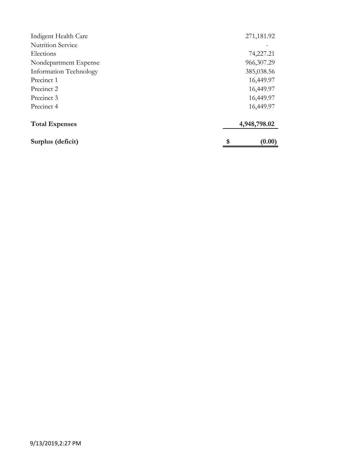| Surplus (deficit)        | \$<br>(0.00) |
|--------------------------|--------------|
| <b>Total Expenses</b>    | 4,948,798.02 |
| Precinct 4               | 16,449.97    |
| Precinct 3               | 16,449.97    |
| Precinct 2               | 16,449.97    |
| Precinct 1               | 16,449.97    |
| Information Technology   | 385,038.56   |
| Nondepartment Expense    | 966, 307. 29 |
| Elections                | 74,227.21    |
| <b>Nutrition Service</b> |              |
| Indigent Health Care     | 271,181.92   |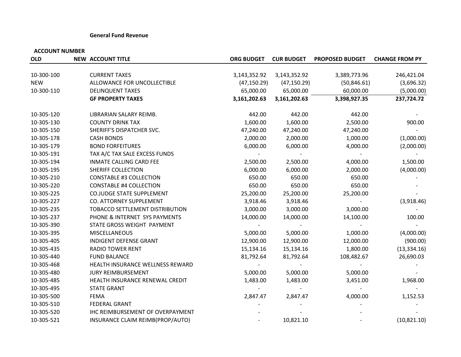#### **General Fund Revenue**

| <b>OLD</b> | <b>NEW ACCOUNT TITLE</b>         | <b>ORG BUDGET</b> | <b>CUR BUDGET</b> | <b>PROPOSED BUDGET</b> | <b>CHANGE FROM PY</b> |
|------------|----------------------------------|-------------------|-------------------|------------------------|-----------------------|
|            |                                  |                   |                   |                        |                       |
| 10-300-100 | <b>CURRENT TAXES</b>             | 3,143,352.92      | 3,143,352.92      | 3,389,773.96           | 246,421.04            |
| <b>NEW</b> | ALLOWANCE FOR UNCOLLECTIBLE      | (47, 150.29)      | (47, 150.29)      | (50, 846.61)           | (3,696.32)            |
| 10-300-110 | <b>DELINQUENT TAXES</b>          | 65,000.00         | 65,000.00         | 60,000.00              | (5,000.00)            |
|            | <b>GF PROPERTY TAXES</b>         | 3,161,202.63      | 3,161,202.63      | 3,398,927.35           | 237,724.72            |
| 10-305-120 | LIBRARIAN SALARY REIMB.          | 442.00            | 442.00            | 442.00                 |                       |
| 10-305-130 | <b>COUNTY DRINK TAX</b>          | 1,600.00          | 1,600.00          | 2,500.00               | 900.00                |
| 10-305-150 | SHERIFF'S DISPATCHER SVC.        | 47,240.00         | 47,240.00         | 47,240.00              |                       |
| 10-305-178 | <b>CASH BONDS</b>                | 2,000.00          | 2,000.00          | 1,000.00               | (1,000.00)            |
| 10-305-179 | <b>BOND FORFEITURES</b>          | 6,000.00          | 6,000.00          | 4,000.00               | (2,000.00)            |
| 10-305-191 | TAX A/C TAX SALE EXCESS FUNDS    |                   |                   |                        |                       |
| 10-305-194 | <b>INMATE CALLING CARD FEE</b>   | 2,500.00          | 2,500.00          | 4,000.00               | 1,500.00              |
| 10-305-195 | SHERIFF COLLECTION               | 6,000.00          | 6,000.00          | 2,000.00               | (4,000.00)            |
| 10-305-210 | <b>CONSTABLE #3 COLLECTION</b>   | 650.00            | 650.00            | 650.00                 |                       |
| 10-305-220 | <b>CONSTABLE #4 COLLECTION</b>   | 650.00            | 650.00            | 650.00                 |                       |
| 10-305-225 | <b>CO.JUDGE STATE SUPPLEMENT</b> | 25,200.00         | 25,200.00         | 25,200.00              |                       |
| 10-305-227 | CO. ATTORNEY SUPPLEMENT          | 3,918.46          | 3,918.46          |                        | (3,918.46)            |
| 10-305-235 | TOBACCO SETTLEMENT DISTRIBUTION  | 3,000.00          | 3,000.00          | 3,000.00               |                       |
| 10-305-237 | PHONE & INTERNET SYS PAYMENTS    | 14,000.00         | 14,000.00         | 14,100.00              | 100.00                |
| 10-305-390 | STATE GROSS WEIGHT PAYMENT       |                   |                   |                        |                       |
| 10-305-395 | <b>MISCELLANEOUS</b>             | 5,000.00          | 5,000.00          | 1,000.00               | (4,000.00)            |
| 10-305-405 | INDIGENT DEFENSE GRANT           | 12,900.00         | 12,900.00         | 12,000.00              | (900.00)              |
| 10-305-435 | <b>RADIO TOWER RENT</b>          | 15,134.16         | 15,134.16         | 1,800.00               | (13, 334.16)          |
| 10-305-440 | <b>FUND BALANCE</b>              | 81,792.64         | 81,792.64         | 108,482.67             | 26,690.03             |
| 10-305-468 | HEALTH INSURANCE WELLNESS REWARD |                   |                   |                        |                       |
| 10-305-480 | <b>JURY REIMBURSEMENT</b>        | 5,000.00          | 5,000.00          | 5,000.00               |                       |
| 10-305-485 | HEALTH INSURANCE RENEWAL CREDIT  | 1,483.00          | 1,483.00          | 3,451.00               | 1,968.00              |
| 10-305-495 | <b>STATE GRANT</b>               |                   |                   |                        |                       |
| 10-305-500 | <b>FEMA</b>                      | 2,847.47          | 2,847.47          | 4,000.00               | 1,152.53              |
| 10-305-510 | <b>FEDERAL GRANT</b>             |                   |                   |                        |                       |
| 10-305-520 | IHC REIMBURSEMENT OF OVERPAYMENT |                   |                   |                        |                       |
| 10-305-521 | INSURANCE CLAIM REIMB(PROP/AUTO) |                   | 10,821.10         |                        | (10, 821.10)          |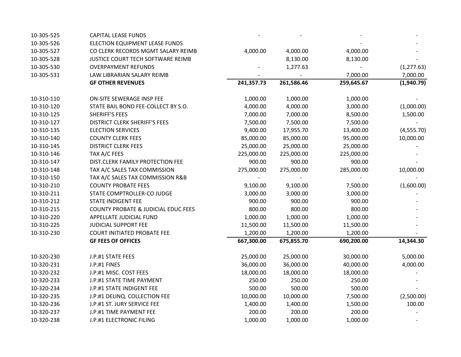| 10-305-525 | <b>CAPITAL LEASE FUNDS</b>                     |            |            |            |             |
|------------|------------------------------------------------|------------|------------|------------|-------------|
| 10-305-526 | ELECTION EQUIPMENT LEASE FUNDS                 |            |            |            |             |
| 10-305-527 | CO CLERK RECORDS MGMT SALARY REIMB             | 4,000.00   | 4,000.00   | 4,000.00   |             |
| 10-305-528 | JUSTICE COURT TECH SOFTWARE REIMB              |            | 8,130.00   | 8,130.00   |             |
| 10-305-530 | <b>OVERPAYMENT REFUNDS</b>                     |            | 1,277.63   |            | (1, 277.63) |
| 10-305-531 | LAW LIBRARIAN SALARY REIMB                     |            |            | 7,000.00   | 7,000.00    |
|            | <b>GF OTHER REVENUES</b>                       | 241,357.73 | 261,586.46 | 259,645.67 | (1,940.79)  |
| 10-310-110 | ON-SITE SEWERAGE INSP FEE                      | 1,000.00   | 1,000.00   | 1,000.00   |             |
| 10-310-120 | STATE BAIL BOND FEE-COLLECT BY S.O.            | 4,000.00   | 4,000.00   | 3,000.00   | (1,000.00)  |
| 10-310-125 | <b>SHERIFF'S FEES</b>                          | 7,000.00   | 7,000.00   | 8,500.00   | 1,500.00    |
| 10-310-127 | <b>DISTRICT CLERK SHERIFF'S FEES</b>           | 7,500.00   | 7,500.00   | 7,500.00   |             |
| 10-310-135 | <b>ELECTION SERVICES</b>                       | 9,400.00   | 17,955.70  | 13,400.00  | (4, 555.70) |
| 10-310-140 | <b>COUNTY CLERK FEES</b>                       | 85,000.00  | 85,000.00  | 95,000.00  | 10,000.00   |
| 10-310-145 | <b>DISTRICT CLERK FEES</b>                     | 25,000.00  | 25,000.00  | 25,000.00  |             |
| 10-310-146 | TAX A/C FEES                                   | 225,000.00 | 225,000.00 | 225,000.00 |             |
| 10-310-147 | DIST.CLERK FAMILY PROTECTION FEE               | 900.00     | 900.00     | 900.00     |             |
| 10-310-148 | TAX A/C SALES TAX COMMISSION                   | 275,000.00 | 275,000.00 | 285,000.00 | 10,000.00   |
| 10-310-150 | TAX A/C SALES TAX COMMISSION R&B               |            |            |            |             |
| 10-310-210 | <b>COUNTY PROBATE FEES</b>                     | 9,100.00   | 9,100.00   | 7,500.00   | (1,600.00)  |
| 10-310-211 | STATE COMPTROLLER-CO JUDGE                     | 3,000.00   | 3,000.00   | 3,000.00   |             |
| 10-310-212 | <b>STATE INDIGENT FEE</b>                      | 900.00     | 900.00     | 900.00     |             |
| 10-310-215 | <b>COUNTY PROBATE &amp; JUDICIAL EDUC.FEES</b> | 800.00     | 800.00     | 800.00     |             |
| 10-310-220 | APPELLATE JUDICIAL FUND                        | 1,000.00   | 1,000.00   | 1,000.00   |             |
| 10-310-225 | JUDICIAL SUPPORT FEE                           | 11,500.00  | 11,500.00  | 11,500.00  |             |
| 10-310-230 | <b>COURT INITIATED PROBATE FEE</b>             | 1,200.00   | 1,200.00   | 1,200.00   |             |
|            | <b>GF FEES OF OFFICES</b>                      | 667,300.00 | 675,855.70 | 690,200.00 | 14,344.30   |
| 10-320-230 | J.P.#1 STATE FEES                              | 25,000.00  | 25,000.00  | 30,000.00  | 5,000.00    |
| 10-320-231 | J.P.#1 FINES                                   | 36,000.00  | 36,000.00  | 40,000.00  | 4,000.00    |
| 10-320-232 | J.P.#1 MISC. COST FEES                         | 18,000.00  | 18,000.00  | 18,000.00  |             |
| 10-320-233 | J.P.#1 STATE TIME PAYMENT                      | 250.00     | 250.00     | 250.00     |             |
| 10-320-234 | J.P.#1 STATE INDIGENT FEE                      | 500.00     | 500.00     | 500.00     |             |
| 10-320-235 | J.P.#1 DELINQ. COLLECTION FEE                  | 10,000.00  | 10,000.00  | 7,500.00   | (2,500.00)  |
| 10-320-236 | J.P.#1 ST. JURY SERVICE FEE                    | 1,400.00   | 1,400.00   | 1,500.00   | 100.00      |
| 10-320-237 | J.P.#1 TIME PAYMENT FEE                        | 200.00     | 200.00     | 200.00     |             |
| 10-320-238 | J.P.#1 ELECTRONIC FILING                       | 1,000.00   | 1,000.00   | 1,000.00   |             |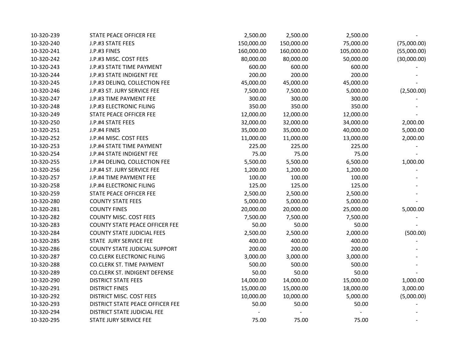| 10-320-239 | STATE PEACE OFFICER FEE               | 2,500.00   | 2,500.00   | 2,500.00   |             |
|------------|---------------------------------------|------------|------------|------------|-------------|
| 10-320-240 | J.P.#3 STATE FEES                     | 150,000.00 | 150,000.00 | 75,000.00  | (75,000.00) |
| 10-320-241 | J.P.#3 FINES                          | 160,000.00 | 160,000.00 | 105,000.00 | (55,000.00) |
| 10-320-242 | J.P.#3 MISC. COST FEES                | 80,000.00  | 80,000.00  | 50,000.00  | (30,000.00) |
| 10-320-243 | J.P.#3 STATE TIME PAYMENT             | 600.00     | 600.00     | 600.00     |             |
| 10-320-244 | J.P.#3 STATE INDIGENT FEE             | 200.00     | 200.00     | 200.00     |             |
| 10-320-245 | J.P.#3 DELINQ. COLLECTION FEE         | 45,000.00  | 45,000.00  | 45,000.00  |             |
| 10-320-246 | J.P.#3 ST. JURY SERVICE FEE           | 7,500.00   | 7,500.00   | 5,000.00   | (2,500.00)  |
| 10-320-247 | J.P.#3 TIME PAYMENT FEE               | 300.00     | 300.00     | 300.00     |             |
| 10-320-248 | J.P.#3 ELECTRONIC FILING              | 350.00     | 350.00     | 350.00     |             |
| 10-320-249 | STATE PEACE OFFICER FEE               | 12,000.00  | 12,000.00  | 12,000.00  |             |
| 10-320-250 | J.P.#4 STATE FEES                     | 32,000.00  | 32,000.00  | 34,000.00  | 2,000.00    |
| 10-320-251 | J.P.#4 FINES                          | 35,000.00  | 35,000.00  | 40,000.00  | 5,000.00    |
| 10-320-252 | J.P.#4 MISC. COST FEES                | 11,000.00  | 11,000.00  | 13,000.00  | 2,000.00    |
| 10-320-253 | J.P.#4 STATE TIME PAYMENT             | 225.00     | 225.00     | 225.00     |             |
| 10-320-254 | J.P.#4 STATE INDIGENT FEE             | 75.00      | 75.00      | 75.00      |             |
| 10-320-255 | J.P.#4 DELINQ. COLLECTION FEE         | 5,500.00   | 5,500.00   | 6,500.00   | 1,000.00    |
| 10-320-256 | J.P.#4 ST. JURY SERVICE FEE           | 1,200.00   | 1,200.00   | 1,200.00   |             |
| 10-320-257 | J.P.#4 TIME PAYMENT FEE               | 100.00     | 100.00     | 100.00     |             |
| 10-320-258 | J.P.#4 ELECTRONIC FILING              | 125.00     | 125.00     | 125.00     |             |
| 10-320-259 | STATE PEACE OFFICER FEE               | 2,500.00   | 2,500.00   | 2,500.00   |             |
| 10-320-280 | <b>COUNTY STATE FEES</b>              | 5,000.00   | 5,000.00   | 5,000.00   |             |
| 10-320-281 | <b>COUNTY FINES</b>                   | 20,000.00  | 20,000.00  | 25,000.00  | 5,000.00    |
| 10-320-282 | <b>COUNTY MISC. COST FEES</b>         | 7,500.00   | 7,500.00   | 7,500.00   |             |
| 10-320-283 | <b>COUNTY STATE PEACE OFFICER FEE</b> | 50.00      | 50.00      | 50.00      |             |
| 10-320-284 | <b>COUNTY STATE JUDICIAL FEES</b>     | 2,500.00   | 2,500.00   | 2,000.00   | (500.00)    |
| 10-320-285 | STATE JURY SERVICE FEE                | 400.00     | 400.00     | 400.00     |             |
| 10-320-286 | <b>COUNTY STATE JUDICIAL SUPPORT</b>  | 200.00     | 200.00     | 200.00     |             |
| 10-320-287 | <b>CO.CLERK ELECTRONIC FILING</b>     | 3,000.00   | 3,000.00   | 3,000.00   |             |
| 10-320-288 | <b>CO.CLERK ST. TIME PAYMENT</b>      | 500.00     | 500.00     | 500.00     |             |
| 10-320-289 | CO.CLERK ST. INDIGENT DEFENSE         | 50.00      | 50.00      | 50.00      |             |
| 10-320-290 | <b>DISTRICT STATE FEES</b>            | 14,000.00  | 14,000.00  | 15,000.00  | 1,000.00    |
| 10-320-291 | <b>DISTRICT FINES</b>                 | 15,000.00  | 15,000.00  | 18,000.00  | 3,000.00    |
| 10-320-292 | DISTRICT MISC. COST FEES              | 10,000.00  | 10,000.00  | 5,000.00   | (5,000.00)  |
| 10-320-293 | DISTRICT STATE PEACE OFFICER FEE      | 50.00      | 50.00      | 50.00      |             |
| 10-320-294 | DISTRICT STATE JUDICIAL FEE           |            |            |            |             |
| 10-320-295 | STATE JURY SERVICE FEE                | 75.00      | 75.00      | 75.00      |             |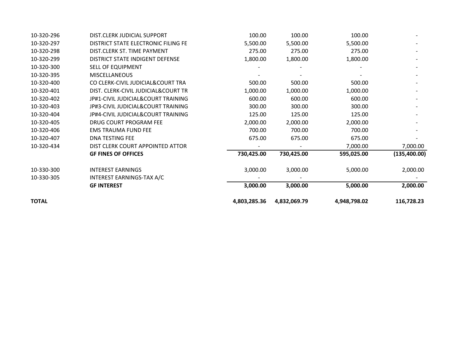| <b>TOTAL</b> |                                     | 4,803,285.36 | 4,832,069.79 | 4,948,798.02 | 116,728.23    |
|--------------|-------------------------------------|--------------|--------------|--------------|---------------|
|              | <b>GF INTEREST</b>                  | 3,000.00     | 3,000.00     | 5,000.00     | 2,000.00      |
| 10-330-305   | INTEREST EARNINGS-TAX A/C           |              |              |              |               |
| 10-330-300   | <b>INTEREST EARNINGS</b>            | 3,000.00     | 3,000.00     | 5,000.00     | 2,000.00      |
|              | <b>GF FINES OF OFFICES</b>          | 730,425.00   | 730,425.00   | 595,025.00   | (135, 400.00) |
| 10-320-434   | DIST CLERK COURT APPOINTED ATTOR    |              |              | 7,000.00     | 7,000.00      |
| 10-320-407   | DNA TESTING FEE                     | 675.00       | 675.00       | 675.00       |               |
| 10-320-406   | <b>EMS TRAUMA FUND FEE</b>          | 700.00       | 700.00       | 700.00       |               |
| 10-320-405   | DRUG COURT PROGRAM FEE              | 2,000.00     | 2,000.00     | 2,000.00     |               |
| 10-320-404   | JP#4-CIVIL JUDICIAL&COURT TRAINING  | 125.00       | 125.00       | 125.00       |               |
| 10-320-403   | JP#3-CIVIL JUDICIAL&COURT TRAINING  | 300.00       | 300.00       | 300.00       |               |
| 10-320-402   | JP#1-CIVIL JUDICIAL&COURT TRAINING  | 600.00       | 600.00       | 600.00       |               |
| 10-320-401   | DIST. CLERK-CIVIL JUDICIAL&COURT TR | 1,000.00     | 1,000.00     | 1,000.00     |               |
| 10-320-400   | CO CLERK-CIVIL JUDICIAL&COURT TRA   | 500.00       | 500.00       | 500.00       |               |
| 10-320-395   | <b>MISCELLANEOUS</b>                |              |              |              |               |
| 10-320-300   | SELL OF EQUIPMENT                   |              |              |              |               |
| 10-320-299   | DISTRICT STATE INDIGENT DEFENSE     | 1,800.00     | 1,800.00     | 1,800.00     |               |
| 10-320-298   | DIST.CLERK ST. TIME PAYMENT         | 275.00       | 275.00       | 275.00       |               |
| 10-320-297   | DISTRICT STATE ELECTRONIC FILING FE | 5,500.00     | 5,500.00     | 5,500.00     |               |
| 10-320-296   | DIST.CLERK JUDICIAL SUPPORT         | 100.00       | 100.00       | 100.00       |               |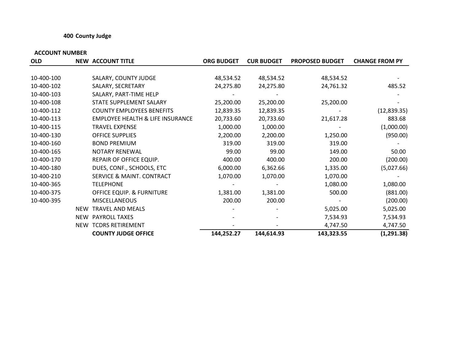### **400 County Judge**

| <b>OLD</b> |            | <b>NEW ACCOUNT TITLE</b>                    | <b>ORG BUDGET</b> | <b>CUR BUDGET</b> | <b>PROPOSED BUDGET</b> | <b>CHANGE FROM PY</b> |
|------------|------------|---------------------------------------------|-------------------|-------------------|------------------------|-----------------------|
|            |            |                                             |                   |                   |                        |                       |
| 10-400-100 |            | SALARY, COUNTY JUDGE                        | 48,534.52         | 48,534.52         | 48,534.52              |                       |
| 10-400-102 |            | SALARY, SECRETARY                           | 24,275.80         | 24,275.80         | 24,761.32              | 485.52                |
| 10-400-103 |            | SALARY, PART-TIME HELP                      |                   |                   |                        |                       |
| 10-400-108 |            | STATE SUPPLEMENT SALARY                     | 25,200.00         | 25,200.00         | 25,200.00              |                       |
| 10-400-112 |            | <b>COUNTY EMPLOYEES BENEFITS</b>            | 12,839.35         | 12,839.35         |                        | (12, 839.35)          |
| 10-400-113 |            | <b>EMPLOYEE HEALTH &amp; LIFE INSURANCE</b> | 20,733.60         | 20,733.60         | 21,617.28              | 883.68                |
| 10-400-115 |            | <b>TRAVEL EXPENSE</b>                       | 1,000.00          | 1,000.00          |                        | (1,000.00)            |
| 10-400-130 |            | <b>OFFICE SUPPLIES</b>                      | 2,200.00          | 2,200.00          | 1,250.00               | (950.00)              |
| 10-400-160 |            | <b>BOND PREMIUM</b>                         | 319.00            | 319.00            | 319.00                 |                       |
| 10-400-165 |            | <b>NOTARY RENEWAL</b>                       | 99.00             | 99.00             | 149.00                 | 50.00                 |
| 10-400-170 |            | REPAIR OF OFFICE EQUIP.                     | 400.00            | 400.00            | 200.00                 | (200.00)              |
| 10-400-180 |            | DUES, CONF., SCHOOLS, ETC                   | 6,000.00          | 6,362.66          | 1,335.00               | (5,027.66)            |
| 10-400-210 |            | <b>SERVICE &amp; MAINT. CONTRACT</b>        | 1,070.00          | 1,070.00          | 1,070.00               |                       |
| 10-400-365 |            | <b>TELEPHONE</b>                            |                   |                   | 1,080.00               | 1,080.00              |
| 10-400-375 |            | <b>OFFICE EQUIP. &amp; FURNITURE</b>        | 1,381.00          | 1,381.00          | 500.00                 | (881.00)              |
| 10-400-395 |            | <b>MISCELLANEOUS</b>                        | 200.00            | 200.00            |                        | (200.00)              |
|            | <b>NEW</b> | <b>TRAVEL AND MEALS</b>                     |                   |                   | 5,025.00               | 5,025.00              |
|            | <b>NEW</b> | <b>PAYROLL TAXES</b>                        |                   |                   | 7,534.93               | 7,534.93              |
|            |            | NEW TCDRS RETIREMENT                        |                   |                   | 4,747.50               | 4,747.50              |
|            |            | <b>COUNTY JUDGE OFFICE</b>                  | 144,252.27        | 144,614.93        | 143,323.55             | (1, 291.38)           |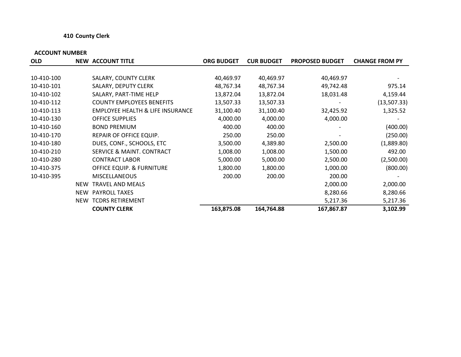#### **410 County Clerk**

| <b>OLD</b> |            | <b>NEW ACCOUNT TITLE</b>                    | <b>ORG BUDGET</b> | <b>CUR BUDGET</b> | <b>PROPOSED BUDGET</b> | <b>CHANGE FROM PY</b> |
|------------|------------|---------------------------------------------|-------------------|-------------------|------------------------|-----------------------|
|            |            |                                             |                   |                   |                        |                       |
| 10-410-100 |            | SALARY, COUNTY CLERK                        | 40,469.97         | 40,469.97         | 40,469.97              |                       |
| 10-410-101 |            | SALARY, DEPUTY CLERK                        | 48,767.34         | 48,767.34         | 49,742.48              | 975.14                |
| 10-410-102 |            | SALARY, PART-TIME HELP                      | 13,872.04         | 13,872.04         | 18,031.48              | 4,159.44              |
| 10-410-112 |            | <b>COUNTY EMPLOYEES BENEFITS</b>            | 13,507.33         | 13,507.33         |                        | (13,507.33)           |
| 10-410-113 |            | <b>EMPLOYEE HEALTH &amp; LIFE INSURANCE</b> | 31,100.40         | 31,100.40         | 32,425.92              | 1,325.52              |
| 10-410-130 |            | <b>OFFICE SUPPLIES</b>                      | 4,000.00          | 4,000.00          | 4,000.00               |                       |
| 10-410-160 |            | <b>BOND PREMIUM</b>                         | 400.00            | 400.00            |                        | (400.00)              |
| 10-410-170 |            | REPAIR OF OFFICE EQUIP.                     | 250.00            | 250.00            |                        | (250.00)              |
| 10-410-180 |            | DUES, CONF., SCHOOLS, ETC                   | 3,500.00          | 4,389.80          | 2,500.00               | (1,889.80)            |
| 10-410-210 |            | SERVICE & MAINT. CONTRACT                   | 1,008.00          | 1,008.00          | 1,500.00               | 492.00                |
| 10-410-280 |            | <b>CONTRACT LABOR</b>                       | 5,000.00          | 5,000.00          | 2,500.00               | (2,500.00)            |
| 10-410-375 |            | OFFICE EQUIP. & FURNITURE                   | 1,800.00          | 1,800.00          | 1,000.00               | (800.00)              |
| 10-410-395 |            | <b>MISCELLANEOUS</b>                        | 200.00            | 200.00            | 200.00                 |                       |
|            | NEW        | <b>TRAVEL AND MEALS</b>                     |                   |                   | 2,000.00               | 2,000.00              |
|            | <b>NEW</b> | <b>PAYROLL TAXES</b>                        |                   |                   | 8,280.66               | 8,280.66              |
|            | <b>NEW</b> | <b>TCDRS RETIREMENT</b>                     |                   |                   | 5,217.36               | 5,217.36              |
|            |            | <b>COUNTY CLERK</b>                         | 163,875.08        | 164,764.88        | 167,867.87             | 3,102.99              |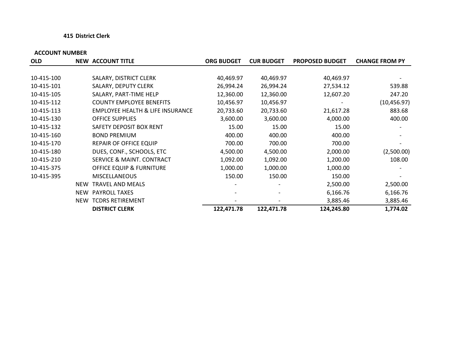#### **415 District Clerk**

|            |                                             | <b>ORG BUDGET</b>                                | <b>CUR BUDGET</b> | <b>PROPOSED BUDGET</b> | <b>CHANGE FROM PY</b> |
|------------|---------------------------------------------|--------------------------------------------------|-------------------|------------------------|-----------------------|
|            |                                             |                                                  |                   |                        |                       |
|            | SALARY, DISTRICT CLERK                      | 40,469.97                                        | 40,469.97         | 40,469.97              |                       |
|            | SALARY, DEPUTY CLERK                        | 26,994.24                                        | 26,994.24         | 27,534.12              | 539.88                |
|            | SALARY, PART-TIME HELP                      | 12,360.00                                        | 12,360.00         | 12,607.20              | 247.20                |
|            | <b>COUNTY EMPLOYEE BENEFITS</b>             | 10,456.97                                        | 10,456.97         |                        | (10, 456.97)          |
|            | <b>EMPLOYEE HEALTH &amp; LIFE INSURANCE</b> | 20,733.60                                        | 20,733.60         | 21,617.28              | 883.68                |
|            | <b>OFFICE SUPPLIES</b>                      | 3,600.00                                         | 3,600.00          | 4,000.00               | 400.00                |
|            | SAFETY DEPOSIT BOX RENT                     | 15.00                                            | 15.00             | 15.00                  |                       |
|            | <b>BOND PREMIUM</b>                         | 400.00                                           | 400.00            | 400.00                 |                       |
|            | <b>REPAIR OF OFFICE EQUIP</b>               | 700.00                                           | 700.00            | 700.00                 |                       |
|            | DUES, CONF., SCHOOLS, ETC                   | 4,500.00                                         | 4,500.00          | 2,000.00               | (2,500.00)            |
|            | SERVICE & MAINT. CONTRACT                   | 1,092.00                                         | 1,092.00          | 1,200.00               | 108.00                |
|            | OFFICE EQUIP & FURNITURE                    | 1,000.00                                         | 1,000.00          | 1,000.00               |                       |
|            | <b>MISCELLANEOUS</b>                        | 150.00                                           | 150.00            | 150.00                 |                       |
| <b>NEW</b> | <b>TRAVEL AND MEALS</b>                     | $\overline{\phantom{a}}$                         |                   | 2,500.00               | 2,500.00              |
| <b>NEW</b> |                                             |                                                  |                   | 6,166.76               | 6,166.76              |
| <b>NEW</b> | <b>TCDRS RETIREMENT</b>                     |                                                  |                   | 3,885.46               | 3,885.46              |
|            | <b>DISTRICT CLERK</b>                       | 122,471.78                                       | 122,471.78        | 124,245.80             | 1,774.02              |
|            |                                             | <b>NEW ACCOUNT TITLE</b><br><b>PAYROLL TAXES</b> |                   |                        |                       |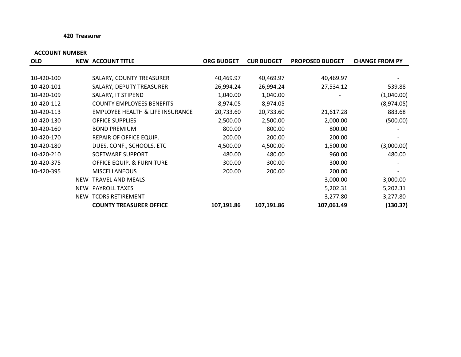#### **420 Treasurer**

| <b>OLD</b> |            | <b>NEW ACCOUNT TITLE</b>             | <b>ORG BUDGET</b> | <b>CUR BUDGET</b> | <b>PROPOSED BUDGET</b> | <b>CHANGE FROM PY</b> |
|------------|------------|--------------------------------------|-------------------|-------------------|------------------------|-----------------------|
|            |            |                                      |                   |                   |                        |                       |
| 10-420-100 |            | SALARY, COUNTY TREASURER             | 40,469.97         | 40,469.97         | 40,469.97              |                       |
| 10-420-101 |            | SALARY, DEPUTY TREASURER             | 26,994.24         | 26,994.24         | 27,534.12              | 539.88                |
| 10-420-109 |            | SALARY, IT STIPEND                   | 1,040.00          | 1,040.00          |                        | (1,040.00)            |
| 10-420-112 |            | <b>COUNTY EMPLOYEES BENEFITS</b>     | 8,974.05          | 8,974.05          |                        | (8,974.05)            |
| 10-420-113 |            | EMPLOYEE HEALTH & LIFE INSURANCE     | 20,733.60         | 20,733.60         | 21,617.28              | 883.68                |
| 10-420-130 |            | <b>OFFICE SUPPLIES</b>               | 2,500.00          | 2,500.00          | 2,000.00               | (500.00)              |
| 10-420-160 |            | <b>BOND PREMIUM</b>                  | 800.00            | 800.00            | 800.00                 |                       |
| 10-420-170 |            | REPAIR OF OFFICE EQUIP.              | 200.00            | 200.00            | 200.00                 |                       |
| 10-420-180 |            | DUES, CONF., SCHOOLS, ETC            | 4,500.00          | 4,500.00          | 1,500.00               | (3,000.00)            |
| 10-420-210 |            | SOFTWARE SUPPORT                     | 480.00            | 480.00            | 960.00                 | 480.00                |
| 10-420-375 |            | <b>OFFICE EQUIP. &amp; FURNITURE</b> | 300.00            | 300.00            | 300.00                 |                       |
| 10-420-395 |            | <b>MISCELLANEOUS</b>                 | 200.00            | 200.00            | 200.00                 |                       |
|            | <b>NEW</b> | <b>TRAVEL AND MEALS</b>              |                   |                   | 3,000.00               | 3,000.00              |
|            | NEW        | <b>PAYROLL TAXES</b>                 |                   |                   | 5,202.31               | 5,202.31              |
|            | NEW        | <b>TCDRS RETIREMENT</b>              |                   |                   | 3,277.80               | 3,277.80              |
|            |            | <b>COUNTY TREASURER OFFICE</b>       | 107,191.86        | 107,191.86        | 107,061.49             | (130.37)              |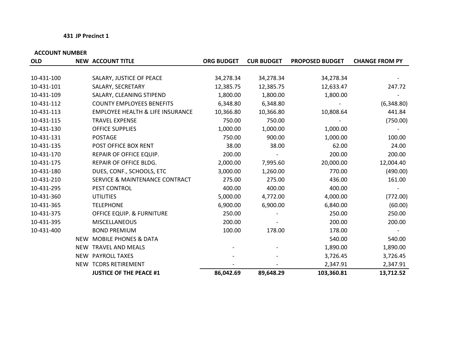#### **431 JP Precinct 1**

| <b>OLD</b> |     | <b>NEW ACCOUNT TITLE</b>                    | <b>ORG BUDGET</b> | <b>CUR BUDGET</b> | <b>PROPOSED BUDGET</b> | <b>CHANGE FROM PY</b> |
|------------|-----|---------------------------------------------|-------------------|-------------------|------------------------|-----------------------|
|            |     |                                             |                   |                   |                        |                       |
| 10-431-100 |     | SALARY, JUSTICE OF PEACE                    | 34,278.34         | 34,278.34         | 34,278.34              |                       |
| 10-431-101 |     | SALARY, SECRETARY                           | 12,385.75         | 12,385.75         | 12,633.47              | 247.72                |
| 10-431-109 |     | SALARY, CLEANING STIPEND                    | 1,800.00          | 1,800.00          | 1,800.00               |                       |
| 10-431-112 |     | <b>COUNTY EMPLOYEES BENEFITS</b>            | 6,348.80          | 6,348.80          |                        | (6,348.80)            |
| 10-431-113 |     | <b>EMPLOYEE HEALTH &amp; LIFE INSURANCE</b> | 10,366.80         | 10,366.80         | 10,808.64              | 441.84                |
| 10-431-115 |     | <b>TRAVEL EXPENSE</b>                       | 750.00            | 750.00            |                        | (750.00)              |
| 10-431-130 |     | <b>OFFICE SUPPLIES</b>                      | 1,000.00          | 1,000.00          | 1,000.00               |                       |
| 10-431-131 |     | <b>POSTAGE</b>                              | 750.00            | 900.00            | 1,000.00               | 100.00                |
| 10-431-135 |     | POST OFFICE BOX RENT                        | 38.00             | 38.00             | 62.00                  | 24.00                 |
| 10-431-170 |     | REPAIR OF OFFICE EQUIP.                     | 200.00            |                   | 200.00                 | 200.00                |
| 10-431-175 |     | REPAIR OF OFFICE BLDG.                      | 2,000.00          | 7,995.60          | 20,000.00              | 12,004.40             |
| 10-431-180 |     | DUES, CONF., SCHOOLS, ETC                   | 3,000.00          | 1,260.00          | 770.00                 | (490.00)              |
| 10-431-210 |     | <b>SERVICE &amp; MAINTENANCE CONTRACT</b>   | 275.00            | 275.00            | 436.00                 | 161.00                |
| 10-431-295 |     | PEST CONTROL                                | 400.00            | 400.00            | 400.00                 |                       |
| 10-431-360 |     | <b>UTILITIES</b>                            | 5,000.00          | 4,772.00          | 4,000.00               | (772.00)              |
| 10-431-365 |     | <b>TELEPHONE</b>                            | 6,900.00          | 6,900.00          | 6,840.00               | (60.00)               |
| 10-431-375 |     | <b>OFFICE EQUIP. &amp; FURNITURE</b>        | 250.00            |                   | 250.00                 | 250.00                |
| 10-431-395 |     | <b>MISCELLANEOUS</b>                        | 200.00            |                   | 200.00                 | 200.00                |
| 10-431-400 |     | <b>BOND PREMIUM</b>                         | 100.00            | 178.00            | 178.00                 |                       |
|            | NEW | <b>MOBILE PHONES &amp; DATA</b>             |                   |                   | 540.00                 | 540.00                |
|            | NEW | <b>TRAVEL AND MEALS</b>                     |                   |                   | 1,890.00               | 1,890.00              |
|            |     | NEW PAYROLL TAXES                           |                   |                   | 3,726.45               | 3,726.45              |
|            |     | NEW TCDRS RETIREMENT                        |                   |                   | 2,347.91               | 2,347.91              |
|            |     | <b>JUSTICE OF THE PEACE #1</b>              | 86,042.69         | 89,648.29         | 103,360.81             | 13,712.52             |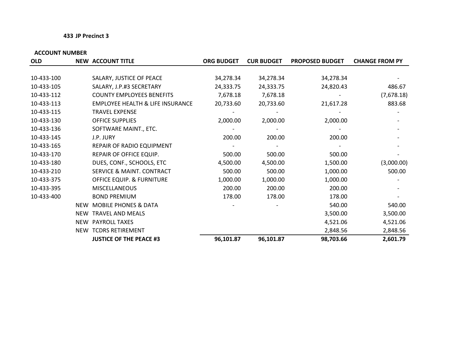#### **433 JP Precinct 3**

| <b>OLD</b> |            | <b>NEW ACCOUNT TITLE</b>                    | <b>ORG BUDGET</b> | <b>CUR BUDGET</b> | <b>PROPOSED BUDGET</b> | <b>CHANGE FROM PY</b> |
|------------|------------|---------------------------------------------|-------------------|-------------------|------------------------|-----------------------|
|            |            |                                             |                   |                   |                        |                       |
| 10-433-100 |            | SALARY, JUSTICE OF PEACE                    | 34,278.34         | 34,278.34         | 34,278.34              |                       |
| 10-433-105 |            | SALARY, J.P.#3 SECRETARY                    | 24,333.75         | 24,333.75         | 24,820.43              | 486.67                |
| 10-433-112 |            | <b>COUNTY EMPLOYEES BENEFITS</b>            | 7,678.18          | 7,678.18          |                        | (7,678.18)            |
| 10-433-113 |            | <b>EMPLOYEE HEALTH &amp; LIFE INSURANCE</b> | 20,733.60         | 20,733.60         | 21,617.28              | 883.68                |
| 10-433-115 |            | <b>TRAVEL EXPENSE</b>                       |                   |                   |                        |                       |
| 10-433-130 |            | OFFICE SUPPLIES                             | 2,000.00          | 2,000.00          | 2,000.00               |                       |
| 10-433-136 |            | SOFTWARE MAINT., ETC.                       |                   |                   |                        |                       |
| 10-433-145 |            | J.P. JURY                                   | 200.00            | 200.00            | 200.00                 |                       |
| 10-433-165 |            | REPAIR OF RADIO EQUIPMENT                   |                   |                   |                        |                       |
| 10-433-170 |            | REPAIR OF OFFICE EQUIP.                     | 500.00            | 500.00            | 500.00                 |                       |
| 10-433-180 |            | DUES, CONF., SCHOOLS, ETC                   | 4,500.00          | 4,500.00          | 1,500.00               | (3,000.00)            |
| 10-433-210 |            | SERVICE & MAINT. CONTRACT                   | 500.00            | 500.00            | 1,000.00               | 500.00                |
| 10-433-375 |            | <b>OFFICE EQUIP. &amp; FURNITURE</b>        | 1,000.00          | 1,000.00          | 1,000.00               |                       |
| 10-433-395 |            | <b>MISCELLANEOUS</b>                        | 200.00            | 200.00            | 200.00                 |                       |
| 10-433-400 |            | <b>BOND PREMIUM</b>                         | 178.00            | 178.00            | 178.00                 |                       |
|            | <b>NEW</b> | <b>MOBILE PHONES &amp; DATA</b>             |                   |                   | 540.00                 | 540.00                |
|            | <b>NEW</b> | <b>TRAVEL AND MEALS</b>                     |                   |                   | 3,500.00               | 3,500.00              |
|            | NEW        | PAYROLL TAXES                               |                   |                   | 4,521.06               | 4,521.06              |
|            |            | NEW TCDRS RETIREMENT                        |                   |                   | 2,848.56               | 2,848.56              |
|            |            | <b>JUSTICE OF THE PEACE #3</b>              | 96,101.87         | 96,101.87         | 98,703.66              | 2,601.79              |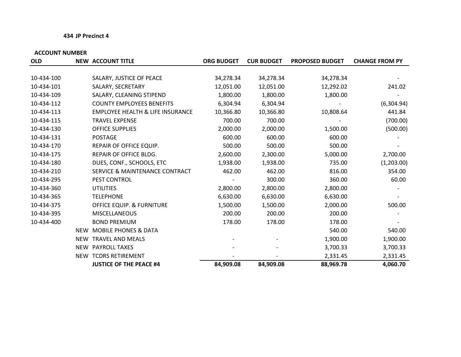#### **434 JP Precinct 4**

| <b>OLD</b> |            | <b>NEW ACCOUNT TITLE</b>                    | <b>ORG BUDGET</b> | <b>CUR BUDGET</b> | <b>PROPOSED BUDGET</b> | <b>CHANGE FROM PY</b> |
|------------|------------|---------------------------------------------|-------------------|-------------------|------------------------|-----------------------|
|            |            |                                             |                   |                   |                        |                       |
| 10-434-100 |            | SALARY, JUSTICE OF PEACE                    | 34,278.34         | 34,278.34         | 34,278.34              |                       |
| 10-434-101 |            | SALARY, SECRETARY                           | 12,051.00         | 12,051.00         | 12,292.02              | 241.02                |
| 10-434-109 |            | SALARY, CLEANING STIPEND                    | 1,800.00          | 1,800.00          | 1,800.00               |                       |
| 10-434-112 |            | <b>COUNTY EMPLOYEES BENEFITS</b>            | 6,304.94          | 6,304.94          |                        | (6,304.94)            |
| 10-434-113 |            | <b>EMPLOYEE HEALTH &amp; LIFE INSURANCE</b> | 10,366.80         | 10,366.80         | 10,808.64              | 441.84                |
| 10-434-115 |            | <b>TRAVEL EXPENSE</b>                       | 700.00            | 700.00            |                        | (700.00)              |
| 10-434-130 |            | <b>OFFICE SUPPLIES</b>                      | 2,000.00          | 2,000.00          | 1,500.00               | (500.00)              |
| 10-434-131 |            | <b>POSTAGE</b>                              | 600.00            | 600.00            | 600.00                 |                       |
| 10-434-170 |            | REPAIR OF OFFICE EQUIP.                     | 500.00            | 500.00            | 500.00                 |                       |
| 10-434-175 |            | REPAIR OF OFFICE BLDG.                      | 2,600.00          | 2,300.00          | 5,000.00               | 2,700.00              |
| 10-434-180 |            | DUES, CONF., SCHOOLS, ETC                   | 1,938.00          | 1,938.00          | 735.00                 | (1,203.00)            |
| 10-434-210 |            | <b>SERVICE &amp; MAINTENANCE CONTRACT</b>   | 462.00            | 462.00            | 816.00                 | 354.00                |
| 10-434-295 |            | PEST CONTROL                                |                   | 300.00            | 360.00                 | 60.00                 |
| 10-434-360 |            | <b>UTILITIES</b>                            | 2,800.00          | 2,800.00          | 2,800.00               |                       |
| 10-434-365 |            | <b>TELEPHONE</b>                            | 6,630.00          | 6,630.00          | 6,630.00               |                       |
| 10-434-375 |            | <b>OFFICE EQUIP. &amp; FURNITURE</b>        | 1,500.00          | 1,500.00          | 2,000.00               | 500.00                |
| 10-434-395 |            | <b>MISCELLANEOUS</b>                        | 200.00            | 200.00            | 200.00                 |                       |
| 10-434-400 |            | <b>BOND PREMIUM</b>                         | 178.00            | 178.00            | 178.00                 |                       |
|            | <b>NEW</b> | <b>MOBILE PHONES &amp; DATA</b>             |                   |                   | 540.00                 | 540.00                |
|            | <b>NEW</b> | <b>TRAVEL AND MEALS</b>                     |                   |                   | 1,900.00               | 1,900.00              |
|            |            | NEW PAYROLL TAXES                           |                   |                   | 3,700.33               | 3,700.33              |
|            | NEW        | <b>TCDRS RETIREMENT</b>                     |                   |                   | 2,331.45               | 2,331.45              |
|            |            | <b>JUSTICE OF THE PEACE #4</b>              | 84,909.08         | 84,909.08         | 88,969.78              | 4,060.70              |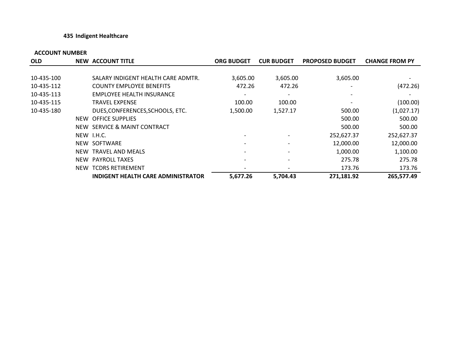#### **435 Indigent Healthcare**

| <b>OLD</b> | <b>NEW ACCOUNT TITLE</b>                  | <b>ORG BUDGET</b> | <b>CUR BUDGET</b> | <b>PROPOSED BUDGET</b> | <b>CHANGE FROM PY</b> |
|------------|-------------------------------------------|-------------------|-------------------|------------------------|-----------------------|
|            |                                           |                   |                   |                        |                       |
| 10-435-100 | SALARY INDIGENT HEALTH CARE ADMTR.        | 3,605.00          | 3,605.00          | 3,605.00               |                       |
| 10-435-112 | <b>COUNTY EMPLOYEE BENEFITS</b>           | 472.26            | 472.26            |                        | (472.26)              |
| 10-435-113 | EMPLOYEE HEALTH INSURANCE                 |                   |                   |                        |                       |
| 10-435-115 | <b>TRAVEL EXPENSE</b>                     | 100.00            | 100.00            |                        | (100.00)              |
| 10-435-180 | DUES, CONFERENCES, SCHOOLS, ETC.          | 1,500.00          | 1,527.17          | 500.00                 | (1,027.17)            |
|            | NEW OFFICE SUPPLIES                       |                   |                   | 500.00                 | 500.00                |
|            | NEW SERVICE & MAINT CONTRACT              |                   |                   | 500.00                 | 500.00                |
|            | NEW I.H.C.                                |                   |                   | 252,627.37             | 252,627.37            |
|            | NEW SOFTWARE                              |                   |                   | 12,000.00              | 12,000.00             |
|            | NEW TRAVEL AND MEALS                      |                   |                   | 1,000.00               | 1,100.00              |
|            | NEW PAYROLL TAXES                         |                   |                   | 275.78                 | 275.78                |
|            | NEW TCDRS RETIREMENT                      |                   |                   | 173.76                 | 173.76                |
|            | <b>INDIGENT HEALTH CARE ADMINISTRATOR</b> | 5,677.26          | 5,704.43          | 271,181.92             | 265,577.49            |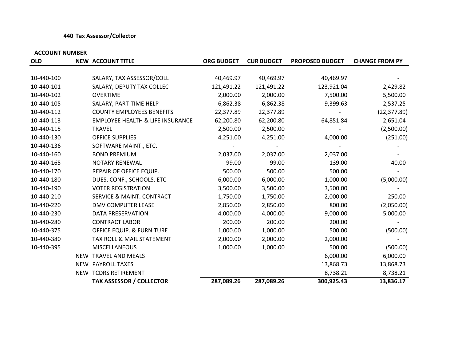#### **440 Tax Assessor/Collector**

| <b>OLD</b> |            | <b>NEW ACCOUNT TITLE</b>                    | <b>ORG BUDGET</b> | <b>CUR BUDGET</b> | <b>PROPOSED BUDGET</b> | <b>CHANGE FROM PY</b> |
|------------|------------|---------------------------------------------|-------------------|-------------------|------------------------|-----------------------|
|            |            |                                             |                   |                   |                        |                       |
| 10-440-100 |            | SALARY, TAX ASSESSOR/COLL                   | 40,469.97         | 40,469.97         | 40,469.97              |                       |
| 10-440-101 |            | SALARY, DEPUTY TAX COLLEC                   | 121,491.22        | 121,491.22        | 123,921.04             | 2,429.82              |
| 10-440-102 |            | <b>OVERTIME</b>                             | 2,000.00          | 2,000.00          | 7,500.00               | 5,500.00              |
| 10-440-105 |            | SALARY, PART-TIME HELP                      | 6,862.38          | 6,862.38          | 9,399.63               | 2,537.25              |
| 10-440-112 |            | <b>COUNTY EMPLOYEES BENEFITS</b>            | 22,377.89         | 22,377.89         |                        | (22, 377.89)          |
| 10-440-113 |            | <b>EMPLOYEE HEALTH &amp; LIFE INSURANCE</b> | 62,200.80         | 62,200.80         | 64,851.84              | 2,651.04              |
| 10-440-115 |            | <b>TRAVEL</b>                               | 2,500.00          | 2,500.00          |                        | (2,500.00)            |
| 10-440-130 |            | <b>OFFICE SUPPLIES</b>                      | 4,251.00          | 4,251.00          | 4,000.00               | (251.00)              |
| 10-440-136 |            | SOFTWARE MAINT., ETC.                       |                   |                   |                        |                       |
| 10-440-160 |            | <b>BOND PREMIUM</b>                         | 2,037.00          | 2,037.00          | 2,037.00               |                       |
| 10-440-165 |            | <b>NOTARY RENEWAL</b>                       | 99.00             | 99.00             | 139.00                 | 40.00                 |
| 10-440-170 |            | REPAIR OF OFFICE EQUIP.                     | 500.00            | 500.00            | 500.00                 |                       |
| 10-440-180 |            | DUES, CONF., SCHOOLS, ETC                   | 6,000.00          | 6,000.00          | 1,000.00               | (5,000.00)            |
| 10-440-190 |            | <b>VOTER REGISTRATION</b>                   | 3,500.00          | 3,500.00          | 3,500.00               |                       |
| 10-440-210 |            | <b>SERVICE &amp; MAINT. CONTRACT</b>        | 1,750.00          | 1,750.00          | 2,000.00               | 250.00                |
| 10-440-220 |            | <b>DMV COMPUTER LEASE</b>                   | 2,850.00          | 2,850.00          | 800.00                 | (2,050.00)            |
| 10-440-230 |            | DATA PRESERVATION                           | 4,000.00          | 4,000.00          | 9,000.00               | 5,000.00              |
| 10-440-280 |            | <b>CONTRACT LABOR</b>                       | 200.00            | 200.00            | 200.00                 |                       |
| 10-440-375 |            | <b>OFFICE EQUIP. &amp; FURNITURE</b>        | 1,000.00          | 1,000.00          | 500.00                 | (500.00)              |
| 10-440-380 |            | TAX ROLL & MAIL STATEMENT                   | 2,000.00          | 2,000.00          | 2,000.00               |                       |
| 10-440-395 |            | <b>MISCELLANEOUS</b>                        | 1,000.00          | 1,000.00          | 500.00                 | (500.00)              |
|            | NEW        | <b>TRAVEL AND MEALS</b>                     |                   |                   | 6,000.00               | 6,000.00              |
|            | <b>NEW</b> | PAYROLL TAXES                               |                   |                   | 13,868.73              | 13,868.73             |
|            |            | NEW TCDRS RETIREMENT                        |                   |                   | 8,738.21               | 8,738.21              |
|            |            | <b>TAX ASSESSOR / COLLECTOR</b>             | 287,089.26        | 287,089.26        | 300,925.43             | 13,836.17             |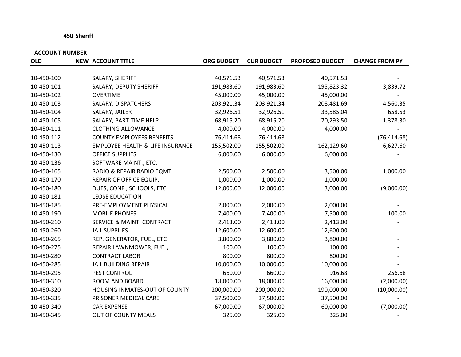#### **450 Sheriff**

| <b>OLD</b> | <b>NEW ACCOUNT TITLE</b>                    | <b>ORG BUDGET</b> | <b>CUR BUDGET</b> | <b>PROPOSED BUDGET</b> | <b>CHANGE FROM PY</b> |
|------------|---------------------------------------------|-------------------|-------------------|------------------------|-----------------------|
|            |                                             |                   |                   |                        |                       |
| 10-450-100 | SALARY, SHERIFF                             | 40,571.53         | 40,571.53         | 40,571.53              |                       |
| 10-450-101 | SALARY, DEPUTY SHERIFF                      | 191,983.60        | 191,983.60        | 195,823.32             | 3,839.72              |
| 10-450-102 | <b>OVERTIME</b>                             | 45,000.00         | 45,000.00         | 45,000.00              |                       |
| 10-450-103 | SALARY, DISPATCHERS                         | 203,921.34        | 203,921.34        | 208,481.69             | 4,560.35              |
| 10-450-104 | SALARY, JAILER                              | 32,926.51         | 32,926.51         | 33,585.04              | 658.53                |
| 10-450-105 | SALARY, PART-TIME HELP                      | 68,915.20         | 68,915.20         | 70,293.50              | 1,378.30              |
| 10-450-111 | <b>CLOTHING ALLOWANCE</b>                   | 4,000.00          | 4,000.00          | 4,000.00               |                       |
| 10-450-112 | <b>COUNTY EMPLOYEES BENEFITS</b>            | 76,414.68         | 76,414.68         |                        | (76, 414.68)          |
| 10-450-113 | <b>EMPLOYEE HEALTH &amp; LIFE INSURANCE</b> | 155,502.00        | 155,502.00        | 162,129.60             | 6,627.60              |
| 10-450-130 | <b>OFFICE SUPPLIES</b>                      | 6,000.00          | 6,000.00          | 6,000.00               |                       |
| 10-450-136 | SOFTWARE MAINT., ETC.                       |                   |                   |                        |                       |
| 10-450-165 | RADIO & REPAIR RADIO EQMT                   | 2,500.00          | 2,500.00          | 3,500.00               | 1,000.00              |
| 10-450-170 | REPAIR OF OFFICE EQUIP.                     | 1,000.00          | 1,000.00          | 1,000.00               |                       |
| 10-450-180 | DUES, CONF., SCHOOLS, ETC                   | 12,000.00         | 12,000.00         | 3,000.00               | (9,000.00)            |
| 10-450-181 | <b>LEOSE EDUCATION</b>                      |                   |                   |                        |                       |
| 10-450-185 | PRE-EMPLOYMENT PHYSICAL                     | 2,000.00          | 2,000.00          | 2,000.00               |                       |
| 10-450-190 | <b>MOBILE PHONES</b>                        | 7,400.00          | 7,400.00          | 7,500.00               | 100.00                |
| 10-450-210 | <b>SERVICE &amp; MAINT. CONTRACT</b>        | 2,413.00          | 2,413.00          | 2,413.00               |                       |
| 10-450-260 | <b>JAIL SUPPLIES</b>                        | 12,600.00         | 12,600.00         | 12,600.00              |                       |
| 10-450-265 | REP. GENERATOR, FUEL, ETC                   | 3,800.00          | 3,800.00          | 3,800.00               |                       |
| 10-450-275 | REPAIR LAWNMOWER, FUEL,                     | 100.00            | 100.00            | 100.00                 |                       |
| 10-450-280 | <b>CONTRACT LABOR</b>                       | 800.00            | 800.00            | 800.00                 |                       |
| 10-450-285 | <b>JAIL BUILDING REPAIR</b>                 | 10,000.00         | 10,000.00         | 10,000.00              |                       |
| 10-450-295 | PEST CONTROL                                | 660.00            | 660.00            | 916.68                 | 256.68                |
| 10-450-310 | ROOM AND BOARD                              | 18,000.00         | 18,000.00         | 16,000.00              | (2,000.00)            |
| 10-450-320 | HOUSING INMATES-OUT OF COUNTY               | 200,000.00        | 200,000.00        | 190,000.00             | (10,000.00)           |
| 10-450-335 | PRISONER MEDICAL CARE                       | 37,500.00         | 37,500.00         | 37,500.00              |                       |
| 10-450-340 | <b>CAR EXPENSE</b>                          | 67,000.00         | 67,000.00         | 60,000.00              | (7,000.00)            |
| 10-450-345 | <b>OUT OF COUNTY MEALS</b>                  | 325.00            | 325.00            | 325.00                 |                       |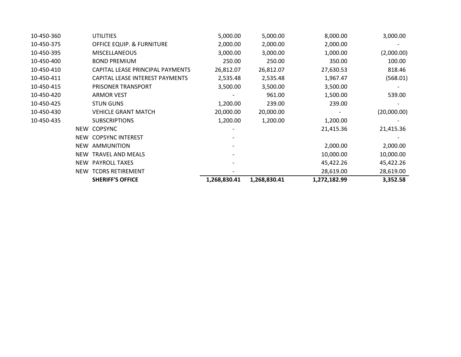| 10-450-360 | <b>UTILITIES</b>                 | 5,000.00     | 5,000.00     | 8,000.00     | 3,000.00    |
|------------|----------------------------------|--------------|--------------|--------------|-------------|
| 10-450-375 | OFFICE EQUIP. & FURNITURE        | 2,000.00     | 2,000.00     | 2,000.00     |             |
| 10-450-395 | <b>MISCELLANEOUS</b>             | 3,000.00     | 3,000.00     | 1,000.00     | (2,000.00)  |
| 10-450-400 | <b>BOND PREMIUM</b>              | 250.00       | 250.00       | 350.00       | 100.00      |
| 10-450-410 | CAPITAL LEASE PRINCIPAL PAYMENTS | 26,812.07    | 26,812.07    | 27,630.53    | 818.46      |
| 10-450-411 | CAPITAL LEASE INTEREST PAYMENTS  | 2,535.48     | 2,535.48     | 1,967.47     | (568.01)    |
| 10-450-415 | PRISONER TRANSPORT               | 3,500.00     | 3,500.00     | 3,500.00     |             |
| 10-450-420 | <b>ARMOR VEST</b>                |              | 961.00       | 1,500.00     | 539.00      |
| 10-450-425 | <b>STUN GUNS</b>                 | 1,200.00     | 239.00       | 239.00       |             |
| 10-450-430 | <b>VEHICLE GRANT MATCH</b>       | 20,000.00    | 20,000.00    |              | (20,000.00) |
| 10-450-435 | <b>SUBSCRIPTIONS</b>             | 1,200.00     | 1,200.00     | 1,200.00     |             |
| NEW        | <b>COPSYNC</b>                   |              |              | 21,415.36    | 21,415.36   |
| NEW        | <b>COPSYNC INTEREST</b>          |              |              |              |             |
| NEW        | AMMUNITION                       |              |              | 2,000.00     | 2,000.00    |
| NEW        | TRAVEL AND MEALS                 |              |              | 10,000.00    | 10,000.00   |
| NEW        | <b>PAYROLL TAXES</b>             |              |              | 45,422.26    | 45,422.26   |
| <b>NEW</b> | <b>TCDRS RETIREMENT</b>          |              |              | 28,619.00    | 28,619.00   |
|            | <b>SHERIFF'S OFFICE</b>          | 1,268,830.41 | 1,268,830.41 | 1,272,182.99 | 3,352.58    |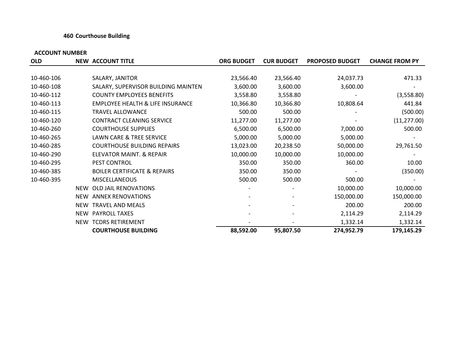#### **460 Courthouse Building**

|                                                                                     | 24,037.73  |              |
|-------------------------------------------------------------------------------------|------------|--------------|
|                                                                                     |            |              |
| 23,566.40<br>10-460-106<br>SALARY, JANITOR<br>23,566.40                             |            | 471.33       |
| 3,600.00<br>10-460-108<br>SALARY, SUPERVISOR BUILDING MAINTEN<br>3,600.00           | 3,600.00   |              |
| 10-460-112<br><b>COUNTY EMPLOYEES BENEFITS</b><br>3,558.80<br>3,558.80              |            | (3,558.80)   |
| <b>EMPLOYEE HEALTH &amp; LIFE INSURANCE</b><br>10-460-113<br>10,366.80<br>10,366.80 | 10,808.64  | 441.84       |
| 10-460-115<br><b>TRAVEL ALLOWANCE</b><br>500.00<br>500.00                           |            | (500.00)     |
| 10-460-120<br>CONTRACT CLEANING SERVICE<br>11,277.00<br>11,277.00                   |            | (11, 277.00) |
| 10-460-260<br><b>COURTHOUSE SUPPLIES</b><br>6,500.00<br>6,500.00                    | 7,000.00   | 500.00       |
| 10-460-265<br>LAWN CARE & TREE SERVICE<br>5,000.00<br>5,000.00                      | 5,000.00   |              |
| 10-460-285<br><b>COURTHOUSE BUILDING REPAIRS</b><br>13,023.00<br>20,238.50          | 50,000.00  | 29,761.50    |
| 10-460-290<br>ELEVATOR MAINT. & REPAIR<br>10,000.00<br>10,000.00                    | 10,000.00  |              |
| 10-460-295<br>PEST CONTROL<br>350.00<br>350.00                                      | 360.00     | 10.00        |
| 10-460-385<br><b>BOILER CERTIFICATE &amp; REPAIRS</b><br>350.00<br>350.00           |            | (350.00)     |
| 10-460-395<br>500.00<br><b>MISCELLANEOUS</b><br>500.00                              | 500.00     |              |
| OLD JAIL RENOVATIONS<br><b>NEW</b>                                                  | 10,000.00  | 10,000.00    |
| NEW ANNEX RENOVATIONS                                                               | 150,000.00 | 150,000.00   |
| NEW TRAVEL AND MEALS                                                                | 200.00     | 200.00       |
| NEW PAYROLL TAXES                                                                   | 2,114.29   | 2,114.29     |
| NEW TCDRS RETIREMENT                                                                | 1,332.14   | 1,332.14     |
| <b>COURTHOUSE BUILDING</b><br>88,592.00<br>95,807.50                                | 274,952.79 | 179,145.29   |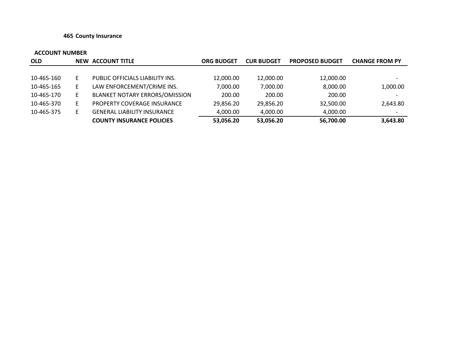#### **465 County Insurance**

| <b>OLD</b> |   | NEW ACCOUNT TITLE                  | <b>ORG BUDGET</b> | <b>CUR BUDGET</b> | <b>PROPOSED BUDGET</b> | <b>CHANGE FROM PY</b>    |
|------------|---|------------------------------------|-------------------|-------------------|------------------------|--------------------------|
|            |   |                                    |                   |                   |                        |                          |
| 10-465-160 | E | PUBLIC OFFICIALS LIABILITY INS.    | 12,000.00         | 12,000.00         | 12,000.00              | $\overline{\phantom{0}}$ |
| 10-465-165 | Е | LAW ENFORCEMENT/CRIME INS.         | 7,000.00          | 7,000.00          | 8,000.00               | 1,000.00                 |
| 10-465-170 | Е | BLANKET NOTARY ERRORS/OMISSION     | 200.00            | 200.00            | 200.00                 | $\overline{\phantom{0}}$ |
| 10-465-370 | Е | PROPERTY COVERAGE INSURANCE        | 29.856.20         | 29.856.20         | 32,500.00              | 2,643.80                 |
| 10-465-375 | F | <b>GENERAL LIABILITY INSURANCE</b> | 4.000.00          | 4.000.00          | 4,000.00               | $\overline{\phantom{a}}$ |
|            |   | <b>COUNTY INSURANCE POLICIES</b>   | 53,056.20         | 53,056.20         | 56,700.00              | 3,643.80                 |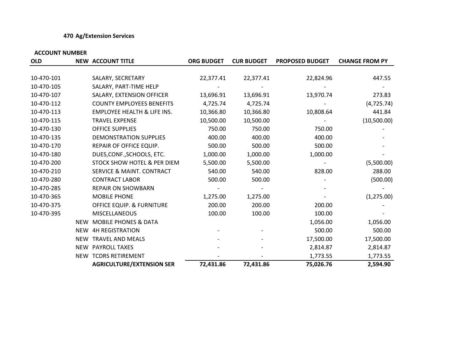### **470 Ag/Extension Services**

| <b>OLD</b> |            | <b>NEW ACCOUNT TITLE</b>               | <b>ORG BUDGET</b> | <b>CUR BUDGET</b> | <b>PROPOSED BUDGET</b> | <b>CHANGE FROM PY</b> |
|------------|------------|----------------------------------------|-------------------|-------------------|------------------------|-----------------------|
|            |            |                                        |                   |                   |                        |                       |
| 10-470-101 |            | SALARY, SECRETARY                      | 22,377.41         | 22,377.41         | 22,824.96              | 447.55                |
| 10-470-105 |            | SALARY, PART-TIME HELP                 |                   |                   |                        |                       |
| 10-470-107 |            | SALARY, EXTENSION OFFICER              | 13,696.91         | 13,696.91         | 13,970.74              | 273.83                |
| 10-470-112 |            | <b>COUNTY EMPLOYEES BENEFITS</b>       | 4,725.74          | 4,725.74          |                        | (4, 725.74)           |
| 10-470-113 |            | <b>EMPLOYEE HEALTH &amp; LIFE INS.</b> | 10,366.80         | 10,366.80         | 10,808.64              | 441.84                |
| 10-470-115 |            | <b>TRAVEL EXPENSE</b>                  | 10,500.00         | 10,500.00         |                        | (10,500.00)           |
| 10-470-130 |            | OFFICE SUPPLIES                        | 750.00            | 750.00            | 750.00                 |                       |
| 10-470-135 |            | DEMONSTRATION SUPPLIES                 | 400.00            | 400.00            | 400.00                 |                       |
| 10-470-170 |            | REPAIR OF OFFICE EQUIP.                | 500.00            | 500.00            | 500.00                 |                       |
| 10-470-180 |            | DUES, CONF., SCHOOLS, ETC.             | 1,000.00          | 1,000.00          | 1,000.00               |                       |
| 10-470-200 |            | STOCK SHOW HOTEL & PER DIEM            | 5,500.00          | 5,500.00          |                        | (5,500.00)            |
| 10-470-210 |            | <b>SERVICE &amp; MAINT. CONTRACT</b>   | 540.00            | 540.00            | 828.00                 | 288.00                |
| 10-470-280 |            | <b>CONTRACT LABOR</b>                  | 500.00            | 500.00            |                        | (500.00)              |
| 10-470-285 |            | <b>REPAIR ON SHOWBARN</b>              |                   |                   |                        |                       |
| 10-470-365 |            | <b>MOBILE PHONE</b>                    | 1,275.00          | 1,275.00          |                        | (1, 275.00)           |
| 10-470-375 |            | <b>OFFICE EQUIP. &amp; FURNITURE</b>   | 200.00            | 200.00            | 200.00                 |                       |
| 10-470-395 |            | <b>MISCELLANEOUS</b>                   | 100.00            | 100.00            | 100.00                 |                       |
|            | <b>NEW</b> | <b>MOBILE PHONES &amp; DATA</b>        |                   |                   | 1,056.00               | 1,056.00              |
|            | NEW        | <b>4H REGISTRATION</b>                 |                   |                   | 500.00                 | 500.00                |
|            |            | NEW TRAVEL AND MEALS                   |                   |                   | 17,500.00              | 17,500.00             |
|            |            | NEW PAYROLL TAXES                      |                   |                   | 2,814.87               | 2,814.87              |
|            |            | NEW TCDRS RETIREMENT                   |                   |                   | 1,773.55               | 1,773.55              |
|            |            | <b>AGRICULTURE/EXTENSION SER</b>       | 72,431.86         | 72,431.86         | 75,026.76              | 2,594.90              |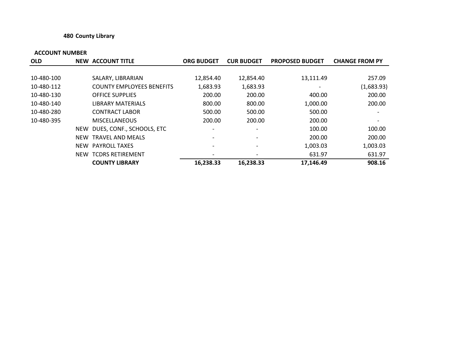### **480 County Library**

| <b>OLD</b> |            | <b>NEW ACCOUNT TITLE</b>         | <b>ORG BUDGET</b>        | <b>CUR BUDGET</b>        | <b>PROPOSED BUDGET</b>   | <b>CHANGE FROM PY</b> |
|------------|------------|----------------------------------|--------------------------|--------------------------|--------------------------|-----------------------|
|            |            |                                  |                          |                          |                          |                       |
| 10-480-100 |            | SALARY, LIBRARIAN                | 12,854.40                | 12,854.40                | 13,111.49                | 257.09                |
| 10-480-112 |            | <b>COUNTY EMPLOYEES BENEFITS</b> | 1,683.93                 | 1,683.93                 | $\overline{\phantom{a}}$ | (1,683.93)            |
| 10-480-130 |            | <b>OFFICE SUPPLIES</b>           | 200.00                   | 200.00                   | 400.00                   | 200.00                |
| 10-480-140 |            | <b>LIBRARY MATERIALS</b>         | 800.00                   | 800.00                   | 1,000.00                 | 200.00                |
| 10-480-280 |            | <b>CONTRACT LABOR</b>            | 500.00                   | 500.00                   | 500.00                   |                       |
| 10-480-395 |            | <b>MISCELLANEOUS</b>             | 200.00                   | 200.00                   | 200.00                   |                       |
|            | NEW        | DUES, CONF., SCHOOLS, ETC        | $\overline{\phantom{a}}$ | $\overline{\phantom{a}}$ | 100.00                   | 100.00                |
|            | <b>NEW</b> | TRAVEL AND MEALS                 |                          |                          | 200.00                   | 200.00                |
|            |            | NEW PAYROLL TAXES                | $\overline{\phantom{a}}$ | $\overline{\phantom{0}}$ | 1,003.03                 | 1,003.03              |
|            | NEW        | <b>TCDRS RETIREMENT</b>          |                          | $\overline{\phantom{a}}$ | 631.97                   | 631.97                |
|            |            | <b>COUNTY LIBRARY</b>            | 16,238.33                | 16,238.33                | 17,146.49                | 908.16                |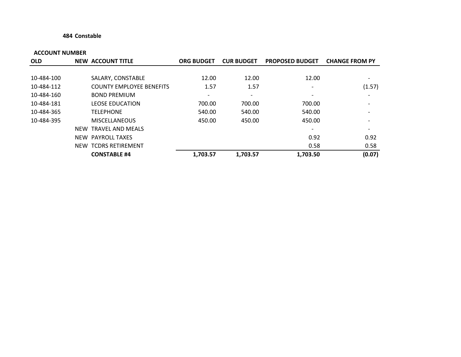#### **484 Constable**

| <b>OLD</b> | <b>NEW ACCOUNT TITLE</b>        | <b>ORG BUDGET</b>        | <b>CUR BUDGET</b> | <b>PROPOSED BUDGET</b>   | <b>CHANGE FROM PY</b>    |
|------------|---------------------------------|--------------------------|-------------------|--------------------------|--------------------------|
|            |                                 |                          |                   |                          |                          |
| 10-484-100 | SALARY, CONSTABLE               | 12.00                    | 12.00             | 12.00                    | $\overline{\phantom{a}}$ |
| 10-484-112 | <b>COUNTY EMPLOYEE BENEFITS</b> | 1.57                     | 1.57              | $\overline{\phantom{a}}$ | (1.57)                   |
| 10-484-160 | <b>BOND PREMIUM</b>             | $\overline{\phantom{a}}$ |                   | $\overline{\phantom{a}}$ |                          |
| 10-484-181 | <b>LEOSE EDUCATION</b>          | 700.00                   | 700.00            | 700.00                   |                          |
| 10-484-365 | <b>TELEPHONE</b>                | 540.00                   | 540.00            | 540.00                   |                          |
| 10-484-395 | <b>MISCELLANEOUS</b>            | 450.00                   | 450.00            | 450.00                   |                          |
|            | NEW TRAVEL AND MEALS            |                          |                   | $\overline{\phantom{a}}$ | $\overline{\phantom{a}}$ |
|            | NEW PAYROLL TAXES               |                          |                   | 0.92                     | 0.92                     |
|            | NEW TCDRS RETIREMENT            |                          |                   | 0.58                     | 0.58                     |
|            | <b>CONSTABLE #4</b>             | 1,703.57                 | 1,703.57          | 1,703.50                 | (0.07)                   |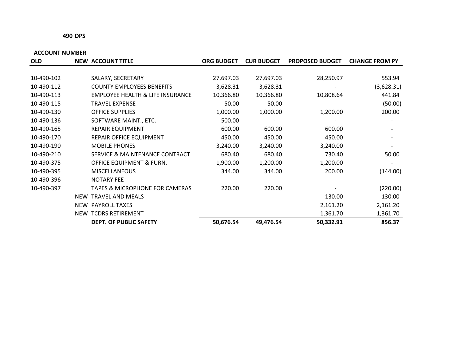#### **490 DPS**

| <b>OLD</b> | <b>NEW ACCOUNT TITLE</b>                    | <b>ORG BUDGET</b> | <b>CUR BUDGET</b> | <b>PROPOSED BUDGET</b> | <b>CHANGE FROM PY</b> |
|------------|---------------------------------------------|-------------------|-------------------|------------------------|-----------------------|
|            |                                             |                   |                   |                        |                       |
| 10-490-102 | SALARY, SECRETARY                           | 27,697.03         | 27,697.03         | 28,250.97              | 553.94                |
| 10-490-112 | <b>COUNTY EMPLOYEES BENEFITS</b>            | 3,628.31          | 3,628.31          |                        | (3,628.31)            |
| 10-490-113 | <b>EMPLOYEE HEALTH &amp; LIFE INSURANCE</b> | 10,366.80         | 10,366.80         | 10,808.64              | 441.84                |
| 10-490-115 | <b>TRAVEL EXPENSE</b>                       | 50.00             | 50.00             |                        | (50.00)               |
| 10-490-130 | <b>OFFICE SUPPLIES</b>                      | 1,000.00          | 1,000.00          | 1,200.00               | 200.00                |
| 10-490-136 | SOFTWARE MAINT., ETC.                       | 500.00            |                   |                        |                       |
| 10-490-165 | <b>REPAIR EQUIPMENT</b>                     | 600.00            | 600.00            | 600.00                 |                       |
| 10-490-170 | REPAIR OFFICE EQUIPMENT                     | 450.00            | 450.00            | 450.00                 |                       |
| 10-490-190 | <b>MOBILE PHONES</b>                        | 3,240.00          | 3,240.00          | 3,240.00               |                       |
| 10-490-210 | SERVICE & MAINTENANCE CONTRACT              | 680.40            | 680.40            | 730.40                 | 50.00                 |
| 10-490-375 | OFFICE EQUIPMENT & FURN.                    | 1,900.00          | 1,200.00          | 1,200.00               |                       |
| 10-490-395 | <b>MISCELLANEOUS</b>                        | 344.00            | 344.00            | 200.00                 | (144.00)              |
| 10-490-396 | <b>NOTARY FEE</b>                           |                   |                   |                        |                       |
| 10-490-397 | <b>TAPES &amp; MICROPHONE FOR CAMERAS</b>   | 220.00            | 220.00            |                        | (220.00)              |
|            | NEW TRAVEL AND MEALS                        |                   |                   | 130.00                 | 130.00                |
|            | NEW PAYROLL TAXES                           |                   |                   | 2,161.20               | 2,161.20              |
|            | NEW TCDRS RETIREMENT                        |                   |                   | 1,361.70               | 1,361.70              |
|            | <b>DEPT. OF PUBLIC SAFETY</b>               | 50,676.54         | 49,476.54         | 50,332.91              | 856.37                |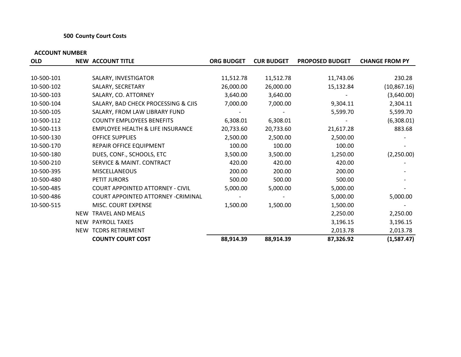#### **500 County Court Costs**

| <b>OLD</b> |            | <b>NEW ACCOUNT TITLE</b>                    | <b>ORG BUDGET</b> | <b>CUR BUDGET</b> | <b>PROPOSED BUDGET</b> | <b>CHANGE FROM PY</b> |
|------------|------------|---------------------------------------------|-------------------|-------------------|------------------------|-----------------------|
|            |            |                                             |                   |                   |                        |                       |
| 10-500-101 |            | SALARY, INVESTIGATOR                        | 11,512.78         | 11,512.78         | 11,743.06              | 230.28                |
| 10-500-102 |            | SALARY, SECRETARY                           | 26,000.00         | 26,000.00         | 15,132.84              | (10, 867.16)          |
| 10-500-103 |            | SALARY, CO. ATTORNEY                        | 3,640.00          | 3,640.00          |                        | (3,640.00)            |
| 10-500-104 |            | SALARY, BAD CHECK PROCESSING & CJIS         | 7,000.00          | 7,000.00          | 9,304.11               | 2,304.11              |
| 10-500-105 |            | SALARY, FROM LAW LIBRARY FUND               |                   |                   | 5,599.70               | 5,599.70              |
| 10-500-112 |            | <b>COUNTY EMPLOYEES BENEFITS</b>            | 6,308.01          | 6,308.01          |                        | (6,308.01)            |
| 10-500-113 |            | <b>EMPLOYEE HEALTH &amp; LIFE INSURANCE</b> | 20,733.60         | 20,733.60         | 21,617.28              | 883.68                |
| 10-500-130 |            | OFFICE SUPPLIES                             | 2,500.00          | 2,500.00          | 2,500.00               |                       |
| 10-500-170 |            | REPAIR OFFICE EQUIPMENT                     | 100.00            | 100.00            | 100.00                 |                       |
| 10-500-180 |            | DUES, CONF., SCHOOLS, ETC                   | 3,500.00          | 3,500.00          | 1,250.00               | (2,250.00)            |
| 10-500-210 |            | SERVICE & MAINT. CONTRACT                   | 420.00            | 420.00            | 420.00                 |                       |
| 10-500-395 |            | <b>MISCELLANEOUS</b>                        | 200.00            | 200.00            | 200.00                 |                       |
| 10-500-480 |            | PETIT JURORS                                | 500.00            | 500.00            | 500.00                 |                       |
| 10-500-485 |            | <b>COURT APPOINTED ATTORNEY - CIVIL</b>     | 5,000.00          | 5,000.00          | 5,000.00               |                       |
| 10-500-486 |            | COURT APPOINTED ATTORNEY - CRIMINAL         |                   |                   | 5,000.00               | 5,000.00              |
| 10-500-515 |            | MISC. COURT EXPENSE                         | 1,500.00          | 1,500.00          | 1,500.00               |                       |
|            | <b>NEW</b> | <b>TRAVEL AND MEALS</b>                     |                   |                   | 2,250.00               | 2,250.00              |
|            |            | NEW PAYROLL TAXES                           |                   |                   | 3,196.15               | 3,196.15              |
|            |            | NEW TCDRS RETIREMENT                        |                   |                   | 2,013.78               | 2,013.78              |
|            |            | <b>COUNTY COURT COST</b>                    | 88,914.39         | 88,914.39         | 87,326.92              | (1,587.47)            |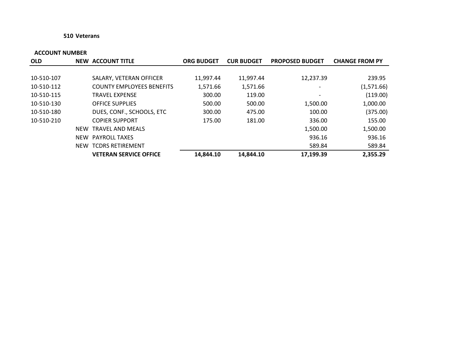#### **510 Veterans**

| <b>OLD</b> |            | <b>NEW ACCOUNT TITLE</b>         | <b>ORG BUDGET</b> | <b>CUR BUDGET</b> | <b>PROPOSED BUDGET</b>       | <b>CHANGE FROM PY</b> |
|------------|------------|----------------------------------|-------------------|-------------------|------------------------------|-----------------------|
|            |            |                                  |                   |                   |                              |                       |
| 10-510-107 |            | SALARY, VETERAN OFFICER          | 11,997.44         | 11,997.44         | 12,237.39                    | 239.95                |
| 10-510-112 |            | <b>COUNTY EMPLOYEES BENEFITS</b> | 1,571.66          | 1,571.66          | $\qquad \qquad$              | (1,571.66)            |
| 10-510-115 |            | <b>TRAVEL EXPENSE</b>            | 300.00            | 119.00            | $\qquad \qquad \blacksquare$ | (119.00)              |
| 10-510-130 |            | <b>OFFICE SUPPLIES</b>           | 500.00            | 500.00            | 1,500.00                     | 1,000.00              |
| 10-510-180 |            | DUES, CONF., SCHOOLS, ETC        | 300.00            | 475.00            | 100.00                       | (375.00)              |
| 10-510-210 |            | <b>COPIER SUPPORT</b>            | 175.00            | 181.00            | 336.00                       | 155.00                |
|            | <b>NEW</b> | <b>TRAVEL AND MEALS</b>          |                   |                   | 1,500.00                     | 1,500.00              |
|            | NEW        | <b>PAYROLL TAXES</b>             |                   |                   | 936.16                       | 936.16                |
|            | NEW        | <b>TCDRS RETIREMENT</b>          |                   |                   | 589.84                       | 589.84                |
|            |            | <b>VETERAN SERVICE OFFICE</b>    | 14,844.10         | 14,844.10         | 17,199.39                    | 2,355.29              |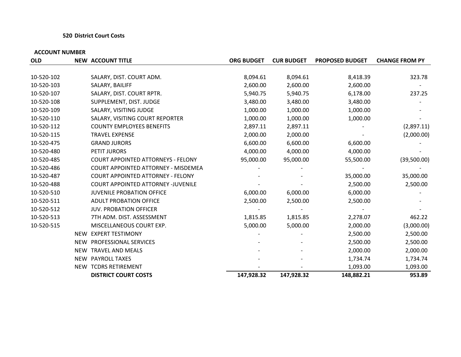#### **520 District Court Costs**

| <b>OLD</b> |     | <b>NEW ACCOUNT TITLE</b>                  | <b>ORG BUDGET</b> | <b>CUR BUDGET</b> | <b>PROPOSED BUDGET</b> | <b>CHANGE FROM PY</b> |
|------------|-----|-------------------------------------------|-------------------|-------------------|------------------------|-----------------------|
|            |     |                                           |                   |                   |                        |                       |
| 10-520-102 |     | SALARY, DIST. COURT ADM.                  | 8,094.61          | 8,094.61          | 8,418.39               | 323.78                |
| 10-520-103 |     | SALARY, BAILIFF                           | 2,600.00          | 2,600.00          | 2,600.00               |                       |
| 10-520-107 |     | SALARY, DIST. COURT RPTR.                 | 5,940.75          | 5,940.75          | 6,178.00               | 237.25                |
| 10-520-108 |     | SUPPLEMENT, DIST. JUDGE                   | 3,480.00          | 3,480.00          | 3,480.00               |                       |
| 10-520-109 |     | SALARY, VISITING JUDGE                    | 1,000.00          | 1,000.00          | 1,000.00               |                       |
| 10-520-110 |     | SALARY, VISITING COURT REPORTER           | 1,000.00          | 1,000.00          | 1,000.00               |                       |
| 10-520-112 |     | <b>COUNTY EMPLOYEES BENEFITS</b>          | 2,897.11          | 2,897.11          |                        | (2,897.11)            |
| 10-520-115 |     | <b>TRAVEL EXPENSE</b>                     | 2,000.00          | 2,000.00          |                        | (2,000.00)            |
| 10-520-475 |     | <b>GRAND JURORS</b>                       | 6,600.00          | 6,600.00          | 6,600.00               |                       |
| 10-520-480 |     | PETIT JURORS                              | 4,000.00          | 4,000.00          | 4,000.00               |                       |
| 10-520-485 |     | <b>COURT APPOINTED ATTORNEYS - FELONY</b> | 95,000.00         | 95,000.00         | 55,500.00              | (39,500.00)           |
| 10-520-486 |     | COURT APPOINTED ATTORNEY - MISDEMEA       |                   |                   |                        |                       |
| 10-520-487 |     | <b>COURT APPOINTED ATTORNEY - FELONY</b>  |                   |                   | 35,000.00              | 35,000.00             |
| 10-520-488 |     | <b>COURT APPOINTED ATTORNEY -JUVENILE</b> |                   |                   | 2,500.00               | 2,500.00              |
| 10-520-510 |     | <b>JUVENILE PROBATION OFFICE</b>          | 6,000.00          | 6,000.00          | 6,000.00               |                       |
| 10-520-511 |     | <b>ADULT PROBATION OFFICE</b>             | 2,500.00          | 2,500.00          | 2,500.00               |                       |
| 10-520-512 |     | <b>JUV. PROBATION OFFICER</b>             |                   |                   |                        |                       |
| 10-520-513 |     | 7TH ADM. DIST. ASSESSMENT                 | 1,815.85          | 1,815.85          | 2,278.07               | 462.22                |
| 10-520-515 |     | MISCELLANEOUS COURT EXP.                  | 5,000.00          | 5,000.00          | 2,000.00               | (3,000.00)            |
|            |     | NEW EXPERT TESTIMONY                      |                   |                   | 2,500.00               | 2,500.00              |
|            |     | NEW PROFESSIONAL SERVICES                 |                   |                   | 2,500.00               | 2,500.00              |
|            |     | NEW TRAVEL AND MEALS                      |                   |                   | 2,000.00               | 2,000.00              |
|            | NEW | <b>PAYROLL TAXES</b>                      |                   |                   | 1,734.74               | 1,734.74              |
|            |     | NEW TCDRS RETIREMENT                      |                   |                   | 1,093.00               | 1,093.00              |
|            |     | <b>DISTRICT COURT COSTS</b>               | 147,928.32        | 147,928.32        | 148,882.21             | 953.89                |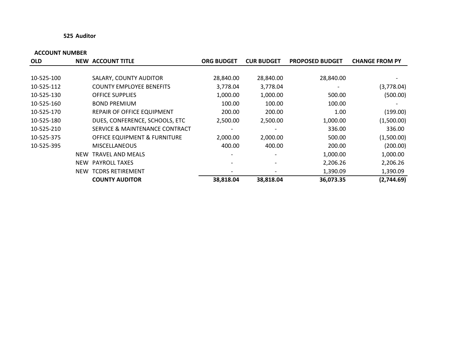#### **525 Auditor**

| <b>OLD</b> |            | <b>NEW ACCOUNT TITLE</b>                | <b>ORG BUDGET</b> | <b>CUR BUDGET</b> | <b>PROPOSED BUDGET</b> | <b>CHANGE FROM PY</b>    |
|------------|------------|-----------------------------------------|-------------------|-------------------|------------------------|--------------------------|
|            |            |                                         |                   |                   |                        |                          |
| 10-525-100 |            | SALARY, COUNTY AUDITOR                  | 28,840.00         | 28,840.00         | 28,840.00              | $\overline{\phantom{a}}$ |
| 10-525-112 |            | <b>COUNTY EMPLOYEE BENEFITS</b>         | 3,778.04          | 3,778.04          |                        | (3,778.04)               |
| 10-525-130 |            | <b>OFFICE SUPPLIES</b>                  | 1,000.00          | 1,000.00          | 500.00                 | (500.00)                 |
| 10-525-160 |            | <b>BOND PREMIUM</b>                     | 100.00            | 100.00            | 100.00                 |                          |
| 10-525-170 |            | REPAIR OF OFFICE EQUIPMENT              | 200.00            | 200.00            | 1.00                   | (199.00)                 |
| 10-525-180 |            | DUES, CONFERENCE, SCHOOLS, ETC          | 2,500.00          | 2,500.00          | 1,000.00               | (1,500.00)               |
| 10-525-210 |            | SERVICE & MAINTENANCE CONTRACT          |                   |                   | 336.00                 | 336.00                   |
| 10-525-375 |            | <b>OFFICE EQUIPMENT &amp; FURNITURE</b> | 2,000.00          | 2,000.00          | 500.00                 | (1,500.00)               |
| 10-525-395 |            | <b>MISCELLANEOUS</b>                    | 400.00            | 400.00            | 200.00                 | (200.00)                 |
|            | <b>NEW</b> | TRAVEL AND MEALS                        |                   |                   | 1,000.00               | 1,000.00                 |
|            | <b>NEW</b> | <b>PAYROLL TAXES</b>                    |                   |                   | 2,206.26               | 2,206.26                 |
|            | NEW        | <b>TCDRS RETIREMENT</b>                 |                   |                   | 1,390.09               | 1,390.09                 |
|            |            | <b>COUNTY AUDITOR</b>                   | 38,818.04         | 38,818.04         | 36,073.35              | (2,744.69)               |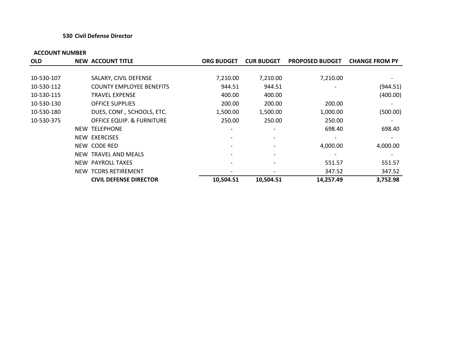#### **530 Civil Defense Director**

| <b>OLD</b> |       | <b>NEW ACCOUNT TITLE</b>             | <b>ORG BUDGET</b>        | <b>CUR BUDGET</b>        | <b>PROPOSED BUDGET</b> | <b>CHANGE FROM PY</b> |
|------------|-------|--------------------------------------|--------------------------|--------------------------|------------------------|-----------------------|
|            |       |                                      |                          |                          |                        |                       |
| 10-530-107 |       | SALARY, CIVIL DEFENSE                | 7,210.00                 | 7,210.00                 | 7,210.00               |                       |
| 10-530-112 |       | <b>COUNTY EMPLOYEE BENEFITS</b>      | 944.51                   | 944.51                   |                        | (944.51)              |
| 10-530-115 |       | <b>TRAVEL EXPENSE</b>                | 400.00                   | 400.00                   |                        | (400.00)              |
| 10-530-130 |       | <b>OFFICE SUPPLIES</b>               | 200.00                   | 200.00                   | 200.00                 |                       |
| 10-530-180 |       | DUES, CONF., SCHOOLS, ETC.           | 1,500.00                 | 1,500.00                 | 1,000.00               | (500.00)              |
| 10-530-375 |       | <b>OFFICE EQUIP. &amp; FURNITURE</b> | 250.00                   | 250.00                   | 250.00                 |                       |
|            | NEW   | <b>TELEPHONE</b>                     | $\overline{\phantom{a}}$ | $\overline{\phantom{0}}$ | 698.40                 | 698.40                |
|            |       | NEW EXERCISES                        |                          |                          |                        |                       |
|            |       | NEW CODE RED                         |                          |                          | 4,000.00               | 4,000.00              |
|            | NEW . | TRAVEL AND MEALS                     |                          |                          |                        |                       |
|            |       | NEW PAYROLL TAXES                    |                          |                          | 551.57                 | 551.57                |
|            |       | <b>NEW TCDRS RETIREMENT</b>          |                          |                          | 347.52                 | 347.52                |
|            |       | <b>CIVIL DEFENSE DIRECTOR</b>        | 10,504.51                | 10,504.51                | 14,257.49              | 3,752.98              |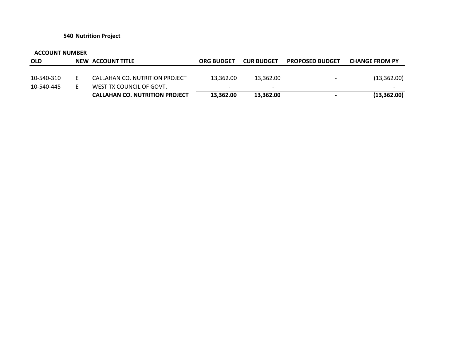#### **540 Nutrition Project**

| <b>OLD</b> | NEW ACCOUNT TITLE                     | <b>ORG BUDGET</b>        | <b>CUR BUDGET</b>        | <b>PROPOSED BUDGET</b>   | <b>CHANGE FROM PY</b> |
|------------|---------------------------------------|--------------------------|--------------------------|--------------------------|-----------------------|
|            |                                       |                          |                          |                          |                       |
| 10-540-310 | CALLAHAN CO. NUTRITION PROJECT        | 13.362.00                | 13.362.00                | $\overline{\phantom{0}}$ | (13,362.00)           |
| 10-540-445 | WEST TX COUNCIL OF GOVT.              | $\overline{\phantom{0}}$ | $\overline{\phantom{0}}$ |                          |                       |
|            | <b>CALLAHAN CO. NUTRITION PROJECT</b> | 13,362.00                | 13,362.00                | $\,$                     | (13, 362.00)          |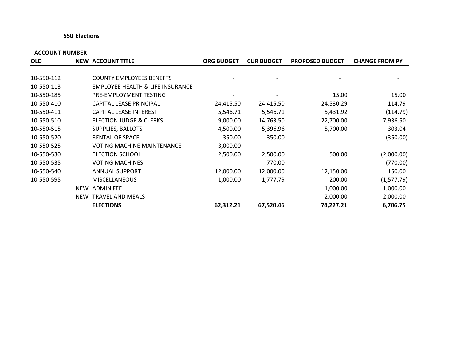#### **550 Elections**

| <b>OLD</b> |            | <b>NEW ACCOUNT TITLE</b>                    | <b>ORG BUDGET</b>        | <b>CUR BUDGET</b> | <b>PROPOSED BUDGET</b> | <b>CHANGE FROM PY</b> |
|------------|------------|---------------------------------------------|--------------------------|-------------------|------------------------|-----------------------|
|            |            |                                             |                          |                   |                        |                       |
| 10-550-112 |            | <b>COUNTY EMPLOYEES BENEFTS</b>             |                          |                   |                        |                       |
| 10-550-113 |            | <b>EMPLOYEE HEALTH &amp; LIFE INSURANCE</b> | $\overline{\phantom{a}}$ |                   |                        |                       |
| 10-550-185 |            | PRE-EMPLOYMENT TESTING                      |                          |                   | 15.00                  | 15.00                 |
| 10-550-410 |            | CAPITAL LEASE PRINCIPAL                     | 24,415.50                | 24,415.50         | 24,530.29              | 114.79                |
| 10-550-411 |            | <b>CAPITAL LEASE INTEREST</b>               | 5,546.71                 | 5,546.71          | 5,431.92               | (114.79)              |
| 10-550-510 |            | ELECTION JUDGE & CLERKS                     | 9,000.00                 | 14,763.50         | 22,700.00              | 7,936.50              |
| 10-550-515 |            | SUPPLIES, BALLOTS                           | 4,500.00                 | 5,396.96          | 5,700.00               | 303.04                |
| 10-550-520 |            | <b>RENTAL OF SPACE</b>                      | 350.00                   | 350.00            |                        | (350.00)              |
| 10-550-525 |            | <b>VOTING MACHINE MAINTENANCE</b>           | 3,000.00                 |                   |                        |                       |
| 10-550-530 |            | <b>ELECTION SCHOOL</b>                      | 2,500.00                 | 2,500.00          | 500.00                 | (2,000.00)            |
| 10-550-535 |            | <b>VOTING MACHINES</b>                      |                          | 770.00            |                        | (770.00)              |
| 10-550-540 |            | ANNUAL SUPPORT                              | 12,000.00                | 12,000.00         | 12,150.00              | 150.00                |
| 10-550-595 |            | <b>MISCELLANEOUS</b>                        | 1,000.00                 | 1,777.79          | 200.00                 | (1,577.79)            |
|            | <b>NEW</b> | <b>ADMIN FEE</b>                            |                          |                   | 1,000.00               | 1,000.00              |
|            | <b>NEW</b> | <b>TRAVEL AND MEALS</b>                     |                          |                   | 2,000.00               | 2,000.00              |
|            |            | <b>ELECTIONS</b>                            | 62,312.21                | 67,520.46         | 74,227.21              | 6,706.75              |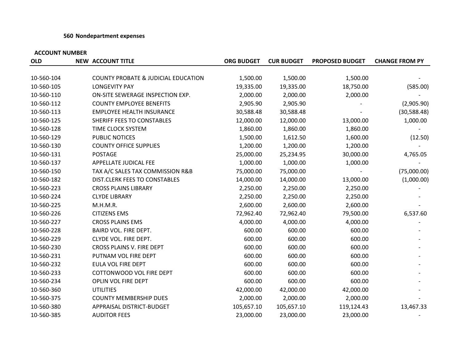#### **560 Nondepartment expenses**

| <b>OLD</b> | <b>NEW ACCOUNT TITLE</b>                       | <b>ORG BUDGET</b> | <b>CUR BUDGET</b> | <b>PROPOSED BUDGET</b> | <b>CHANGE FROM PY</b> |
|------------|------------------------------------------------|-------------------|-------------------|------------------------|-----------------------|
|            |                                                |                   |                   |                        |                       |
| 10-560-104 | <b>COUNTY PROBATE &amp; JUDICIAL EDUCATION</b> | 1,500.00          | 1,500.00          | 1,500.00               |                       |
| 10-560-105 | <b>LONGEVITY PAY</b>                           | 19,335.00         | 19,335.00         | 18,750.00              | (585.00)              |
| 10-560-110 | ON-SITE SEWERAGE INSPECTION EXP.               | 2,000.00          | 2,000.00          | 2,000.00               |                       |
| 10-560-112 | <b>COUNTY EMPLOYEE BENEFITS</b>                | 2,905.90          | 2,905.90          |                        | (2,905.90)            |
| 10-560-113 | <b>EMPLOYEE HEALTH INSURANCE</b>               | 30,588.48         | 30,588.48         |                        | (30, 588.48)          |
| 10-560-125 | SHERIFF FEES TO CONSTABLES                     | 12,000.00         | 12,000.00         | 13,000.00              | 1,000.00              |
| 10-560-128 | TIME CLOCK SYSTEM                              | 1,860.00          | 1,860.00          | 1,860.00               |                       |
| 10-560-129 | PUBLIC NOTICES                                 | 1,500.00          | 1,612.50          | 1,600.00               | (12.50)               |
| 10-560-130 | <b>COUNTY OFFICE SUPPLIES</b>                  | 1,200.00          | 1,200.00          | 1,200.00               |                       |
| 10-560-131 | <b>POSTAGE</b>                                 | 25,000.00         | 25,234.95         | 30,000.00              | 4,765.05              |
| 10-560-137 | APPELLATE JUDICAL FEE                          | 1,000.00          | 1,000.00          | 1,000.00               |                       |
| 10-560-150 | TAX A/C SALES TAX COMMISSION R&B               | 75,000.00         | 75,000.00         |                        | (75,000.00)           |
| 10-560-182 | <b>DIST.CLERK FEES TO CONSTABLES</b>           | 14,000.00         | 14,000.00         | 13,000.00              | (1,000.00)            |
| 10-560-223 | <b>CROSS PLAINS LIBRARY</b>                    | 2,250.00          | 2,250.00          | 2,250.00               |                       |
| 10-560-224 | <b>CLYDE LIBRARY</b>                           | 2,250.00          | 2,250.00          | 2,250.00               |                       |
| 10-560-225 | M.H.M.R.                                       | 2,600.00          | 2,600.00          | 2,600.00               |                       |
| 10-560-226 | <b>CITIZENS EMS</b>                            | 72,962.40         | 72,962.40         | 79,500.00              | 6,537.60              |
| 10-560-227 | <b>CROSS PLAINS EMS</b>                        | 4,000.00          | 4,000.00          | 4,000.00               |                       |
| 10-560-228 | BAIRD VOL. FIRE DEPT.                          | 600.00            | 600.00            | 600.00                 |                       |
| 10-560-229 | CLYDE VOL. FIRE DEPT.                          | 600.00            | 600.00            | 600.00                 |                       |
| 10-560-230 | CROSS PLAINS V. FIRE DEPT                      | 600.00            | 600.00            | 600.00                 |                       |
| 10-560-231 | PUTNAM VOL FIRE DEPT                           | 600.00            | 600.00            | 600.00                 |                       |
| 10-560-232 | EULA VOL FIRE DEPT                             | 600.00            | 600.00            | 600.00                 |                       |
| 10-560-233 | COTTONWOOD VOL FIRE DEPT                       | 600.00            | 600.00            | 600.00                 |                       |
| 10-560-234 | OPLIN VOL FIRE DEPT                            | 600.00            | 600.00            | 600.00                 |                       |
| 10-560-360 | <b>UTILITIES</b>                               | 42,000.00         | 42,000.00         | 42,000.00              |                       |
| 10-560-375 | <b>COUNTY MEMBERSHIP DUES</b>                  | 2,000.00          | 2,000.00          | 2,000.00               |                       |
| 10-560-380 | APPRAISAL DISTRICT-BUDGET                      | 105,657.10        | 105,657.10        | 119,124.43             | 13,467.33             |
| 10-560-385 | <b>AUDITOR FEES</b>                            | 23,000.00         | 23,000.00         | 23,000.00              |                       |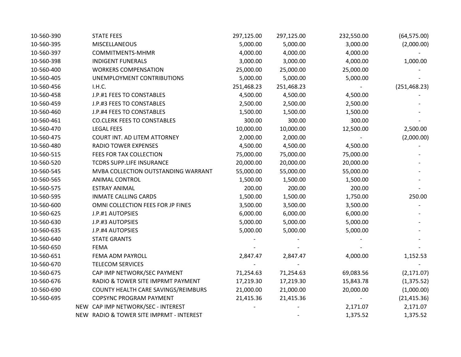| 10-560-390 | <b>STATE FEES</b>                        | 297,125.00 | 297,125.00 | 232,550.00 | (64, 575.00)  |
|------------|------------------------------------------|------------|------------|------------|---------------|
| 10-560-395 | <b>MISCELLANEOUS</b>                     | 5,000.00   | 5,000.00   | 3,000.00   | (2,000.00)    |
| 10-560-397 | COMMITMENTS-MHMR                         | 4,000.00   | 4,000.00   | 4,000.00   |               |
| 10-560-398 | <b>INDIGENT FUNERALS</b>                 | 3,000.00   | 3,000.00   | 4,000.00   | 1,000.00      |
| 10-560-400 | <b>WORKERS COMPENSATION</b>              | 25,000.00  | 25,000.00  | 25,000.00  |               |
| 10-560-405 | UNEMPLOYMENT CONTRIBUTIONS               | 5,000.00   | 5,000.00   | 5,000.00   |               |
| 10-560-456 | I.H.C.                                   | 251,468.23 | 251,468.23 |            | (251, 468.23) |
| 10-560-458 | J.P.#1 FEES TO CONSTABLES                | 4,500.00   | 4,500.00   | 4,500.00   |               |
| 10-560-459 | J.P.#3 FEES TO CONSTABLES                | 2,500.00   | 2,500.00   | 2,500.00   |               |
| 10-560-460 | J.P.#4 FEES TO CONSTABLES                | 1,500.00   | 1,500.00   | 1,500.00   |               |
| 10-560-461 | <b>CO.CLERK FEES TO CONSTABLES</b>       | 300.00     | 300.00     | 300.00     |               |
| 10-560-470 | <b>LEGAL FEES</b>                        | 10,000.00  | 10,000.00  | 12,500.00  | 2,500.00      |
| 10-560-475 | COURT INT. AD LITEM ATTORNEY             | 2,000.00   | 2,000.00   |            | (2,000.00)    |
| 10-560-480 | <b>RADIO TOWER EXPENSES</b>              | 4,500.00   | 4,500.00   | 4,500.00   |               |
| 10-560-515 | FEES FOR TAX COLLECTION                  | 75,000.00  | 75,000.00  | 75,000.00  |               |
| 10-560-520 | TCDRS SUPP.LIFE INSURANCE                | 20,000.00  | 20,000.00  | 20,000.00  |               |
| 10-560-545 | MVBA COLLECTION OUTSTANDING WARRANT      | 55,000.00  | 55,000.00  | 55,000.00  |               |
| 10-560-565 | <b>ANIMAL CONTROL</b>                    | 1,500.00   | 1,500.00   | 1,500.00   |               |
| 10-560-575 | <b>ESTRAY ANIMAL</b>                     | 200.00     | 200.00     | 200.00     |               |
| 10-560-595 | <b>INMATE CALLING CARDS</b>              | 1,500.00   | 1,500.00   | 1,750.00   | 250.00        |
| 10-560-600 | OMNI COLLECTION FEES FOR JP FINES        | 3,500.00   | 3,500.00   | 3,500.00   |               |
| 10-560-625 | J.P.#1 AUTOPSIES                         | 6,000.00   | 6,000.00   | 6,000.00   |               |
| 10-560-630 | J.P.#3 AUTOPSIES                         | 5,000.00   | 5,000.00   | 5,000.00   |               |
| 10-560-635 | J.P.#4 AUTOPSIES                         | 5,000.00   | 5,000.00   | 5,000.00   |               |
| 10-560-640 | <b>STATE GRANTS</b>                      |            |            |            |               |
| 10-560-650 | <b>FEMA</b>                              |            |            |            |               |
| 10-560-651 | FEMA ADM PAYROLL                         | 2,847.47   | 2,847.47   | 4,000.00   | 1,152.53      |
| 10-560-670 | <b>TELECOM SERVICES</b>                  |            |            |            |               |
| 10-560-675 | CAP IMP NETWORK/SEC PAYMENT              | 71,254.63  | 71,254.63  | 69,083.56  | (2, 171.07)   |
| 10-560-676 | RADIO & TOWER SITE IMPRMT PAYMENT        | 17,219.30  | 17,219.30  | 15,843.78  | (1, 375.52)   |
| 10-560-690 | COUNTY HEALTH CARE SAVINGS/REIMBURS      | 21,000.00  | 21,000.00  | 20,000.00  | (1,000.00)    |
| 10-560-695 | COPSYNC PROGRAM PAYMENT                  | 21,415.36  | 21,415.36  | $ \,$      | (21, 415.36)  |
|            | NEW CAP IMP NETWORK/SEC - INTEREST       |            |            | 2,171.07   | 2,171.07      |
|            | NEW RADIO & TOWER SITE IMPRMT - INTEREST |            |            | 1,375.52   | 1,375.52      |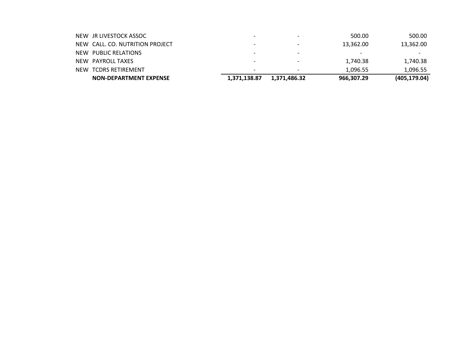| <b>NON-DEPARTMENT EXPENSE</b>   | 1,371,138.87 | 1,371,486.32 | 966,307.29 | (405, 179.04) |
|---------------------------------|--------------|--------------|------------|---------------|
| NEW TCDRS RETIREMENT            |              |              | 1.096.55   | 1.096.55      |
| NEW PAYROLL TAXES               |              |              | 1,740.38   | 1,740.38      |
| NEW PUBLIC RELATIONS            |              |              | -          |               |
| NEW CALL, CO. NUTRITION PROJECT |              |              | 13,362.00  | 13,362.00     |
| NEW JR LIVESTOCK ASSOC          |              |              | 500.00     | 500.00        |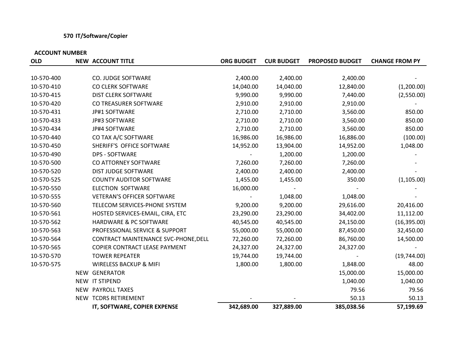# **570 IT/Software/Copier**

| <b>OLD</b> | <b>NEW ACCOUNT TITLE</b>             | <b>ORG BUDGET</b> | <b>CUR BUDGET</b> | <b>PROPOSED BUDGET</b> | <b>CHANGE FROM PY</b> |
|------------|--------------------------------------|-------------------|-------------------|------------------------|-----------------------|
|            |                                      |                   |                   |                        |                       |
| 10-570-400 | CO. JUDGE SOFTWARE                   | 2,400.00          | 2,400.00          | 2,400.00               |                       |
| 10-570-410 | CO CLERK SOFTWARE                    | 14,040.00         | 14,040.00         | 12,840.00              | (1,200.00)            |
| 10-570-415 | <b>DIST CLERK SOFTWARE</b>           | 9,990.00          | 9,990.00          | 7,440.00               | (2,550.00)            |
| 10-570-420 | CO TREASURER SOFTWARE                | 2,910.00          | 2,910.00          | 2,910.00               |                       |
| 10-570-431 | JP#1 SOFTWARE                        | 2,710.00          | 2,710.00          | 3,560.00               | 850.00                |
| 10-570-433 | JP#3 SOFTWARE                        | 2,710.00          | 2,710.00          | 3,560.00               | 850.00                |
| 10-570-434 | JP#4 SOFTWARE                        | 2,710.00          | 2,710.00          | 3,560.00               | 850.00                |
| 10-570-440 | CO TAX A/C SOFTWARE                  | 16,986.00         | 16,986.00         | 16,886.00              | (100.00)              |
| 10-570-450 | SHERIFF'S OFFICE SOFTWARE            | 14,952.00         | 13,904.00         | 14,952.00              | 1,048.00              |
| 10-570-490 | <b>DPS - SOFTWARE</b>                |                   | 1,200.00          | 1,200.00               |                       |
| 10-570-500 | CO ATTORNEY SOFTWARE                 | 7,260.00          | 7,260.00          | 7,260.00               |                       |
| 10-570-520 | <b>DIST JUDGE SOFTWARE</b>           | 2,400.00          | 2,400.00          | 2,400.00               |                       |
| 10-570-525 | <b>COUNTY AUDITOR SOFTWARE</b>       | 1,455.00          | 1,455.00          | 350.00                 | (1, 105.00)           |
| 10-570-550 | <b>ELECTION SOFTWARE</b>             | 16,000.00         |                   |                        |                       |
| 10-570-555 | <b>VETERAN'S OFFICER SOFTWARE</b>    |                   | 1,048.00          | 1,048.00               |                       |
| 10-570-560 | TELECOM SERVICES-PHONE SYSTEM        | 9,200.00          | 9,200.00          | 29,616.00              | 20,416.00             |
| 10-570-561 | HOSTED SERVICES-EMAIL, CIRA, ETC     | 23,290.00         | 23,290.00         | 34,402.00              | 11,112.00             |
| 10-570-562 | HARDWARE & PC SOFTWARE               | 40,545.00         | 40,545.00         | 24,150.00              | (16, 395.00)          |
| 10-570-563 | PROFESSIONAL SERVICE & SUPPORT       | 55,000.00         | 55,000.00         | 87,450.00              | 32,450.00             |
| 10-570-564 | CONTRACT MAINTENANCE SVC-PHONE, DELL | 72,260.00         | 72,260.00         | 86,760.00              | 14,500.00             |
| 10-570-565 | COPIER CONTRACT LEASE PAYMENT        | 24,327.00         | 24,327.00         | 24,327.00              |                       |
| 10-570-570 | <b>TOWER REPEATER</b>                | 19,744.00         | 19,744.00         |                        | (19,744.00)           |
| 10-570-575 | <b>WIRELESS BACKUP &amp; MIFI</b>    | 1,800.00          | 1,800.00          | 1,848.00               | 48.00                 |
|            | NEW GENERATOR                        |                   |                   | 15,000.00              | 15,000.00             |
|            | NEW IT STIPEND                       |                   |                   | 1,040.00               | 1,040.00              |
|            | NEW PAYROLL TAXES                    |                   |                   | 79.56                  | 79.56                 |
|            | NEW TCDRS RETIREMENT                 |                   |                   | 50.13                  | 50.13                 |
|            | IT, SOFTWARE, COPIER EXPENSE         | 342,689.00        | 327,889.00        | 385,038.56             | 57,199.69             |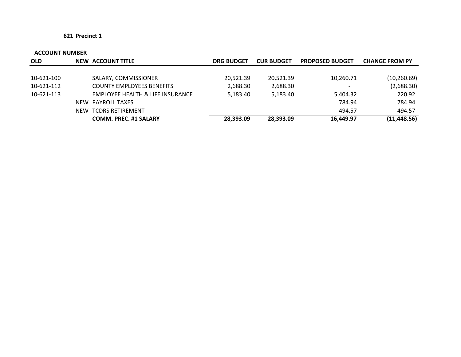| <b>OLD</b> | <b>NEW ACCOUNT TITLE</b>         | <b>ORG BUDGET</b> | <b>CUR BUDGET</b> | <b>PROPOSED BUDGET</b>   | <b>CHANGE FROM PY</b> |
|------------|----------------------------------|-------------------|-------------------|--------------------------|-----------------------|
|            |                                  |                   |                   |                          |                       |
| 10-621-100 | SALARY, COMMISSIONER             | 20,521.39         | 20,521.39         | 10,260.71                | (10, 260.69)          |
| 10-621-112 | <b>COUNTY EMPLOYEES BENEFITS</b> | 2,688.30          | 2,688.30          | $\overline{\phantom{0}}$ | (2,688.30)            |
| 10-621-113 | EMPLOYEE HEALTH & LIFE INSURANCE | 5,183.40          | 5,183.40          | 5,404.32                 | 220.92                |
|            | NEW PAYROLL TAXES                |                   |                   | 784.94                   | 784.94                |
|            | NEW TCDRS RETIREMENT             |                   |                   | 494.57                   | 494.57                |
|            | <b>COMM. PREC. #1 SALARY</b>     | 28.393.09         | 28,393.09         | 16,449.97                | (11, 448.56)          |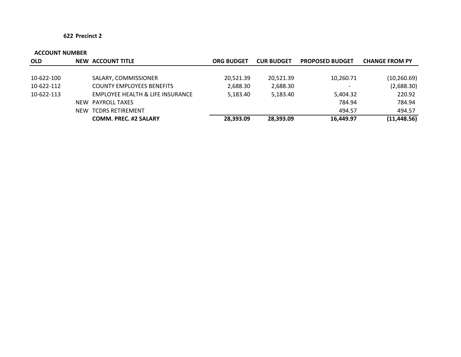| <b>OLD</b> | <b>NEW ACCOUNT TITLE</b>         | <b>ORG BUDGET</b> | <b>CUR BUDGET</b> | <b>PROPOSED BUDGET</b>   | <b>CHANGE FROM PY</b> |
|------------|----------------------------------|-------------------|-------------------|--------------------------|-----------------------|
|            |                                  |                   |                   |                          |                       |
| 10-622-100 | SALARY, COMMISSIONER             | 20,521.39         | 20,521.39         | 10,260.71                | (10, 260.69)          |
| 10-622-112 | <b>COUNTY EMPLOYEES BENEFITS</b> | 2,688.30          | 2,688.30          | $\overline{\phantom{0}}$ | (2,688.30)            |
| 10-622-113 | EMPLOYEE HEALTH & LIFE INSURANCE | 5,183.40          | 5,183.40          | 5,404.32                 | 220.92                |
|            | NEW PAYROLL TAXES                |                   |                   | 784.94                   | 784.94                |
|            | NEW TCDRS RETIREMENT             |                   |                   | 494.57                   | 494.57                |
|            | <b>COMM. PREC. #2 SALARY</b>     | 28.393.09         | 28,393.09         | 16,449.97                | (11, 448.56)          |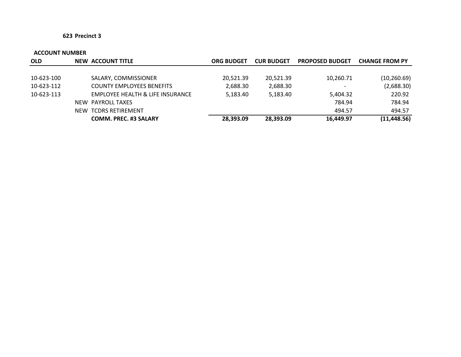| <b>OLD</b> | <b>NEW ACCOUNT TITLE</b>         | ORG BUDGET | <b>CUR BUDGET</b> | <b>PROPOSED BUDGET</b>   | <b>CHANGE FROM PY</b> |
|------------|----------------------------------|------------|-------------------|--------------------------|-----------------------|
|            |                                  |            |                   |                          |                       |
| 10-623-100 | SALARY, COMMISSIONER             | 20,521.39  | 20,521.39         | 10,260.71                | (10, 260.69)          |
| 10-623-112 | <b>COUNTY EMPLOYEES BENEFITS</b> | 2,688.30   | 2,688.30          | $\overline{\phantom{a}}$ | (2,688.30)            |
| 10-623-113 | EMPLOYEE HEALTH & LIFE INSURANCE | 5,183.40   | 5,183.40          | 5,404.32                 | 220.92                |
|            | NEW PAYROLL TAXES                |            |                   | 784.94                   | 784.94                |
|            | NEW TCDRS RETIREMENT             |            |                   | 494.57                   | 494.57                |
|            | <b>COMM. PREC. #3 SALARY</b>     | 28,393.09  | 28,393.09         | 16,449.97                | (11, 448.56)          |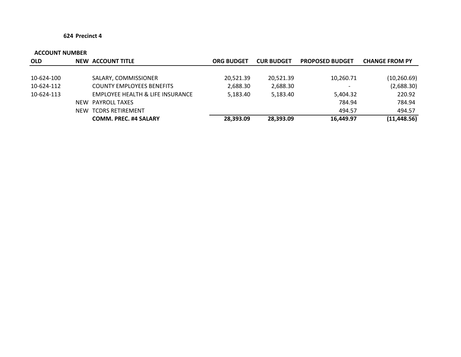| <b>OLD</b> | <b>NEW ACCOUNT TITLE</b>         | <b>ORG BUDGET</b> | <b>CUR BUDGET</b> | <b>PROPOSED BUDGET</b>   | <b>CHANGE FROM PY</b> |
|------------|----------------------------------|-------------------|-------------------|--------------------------|-----------------------|
|            |                                  |                   |                   |                          |                       |
| 10-624-100 | SALARY, COMMISSIONER             | 20,521.39         | 20,521.39         | 10,260.71                | (10, 260.69)          |
| 10-624-112 | <b>COUNTY EMPLOYEES BENEFITS</b> | 2,688.30          | 2,688.30          | $\overline{\phantom{0}}$ | (2,688.30)            |
| 10-624-113 | EMPLOYEE HEALTH & LIFE INSURANCE | 5,183.40          | 5,183.40          | 5,404.32                 | 220.92                |
|            | NEW PAYROLL TAXES                |                   |                   | 784.94                   | 784.94                |
|            | NEW TCDRS RETIREMENT             |                   |                   | 494.57                   | 494.57                |
|            | <b>COMM. PREC. #4 SALARY</b>     | 28,393.09         | 28,393.09         | 16,449.97                | (11, 448.56)          |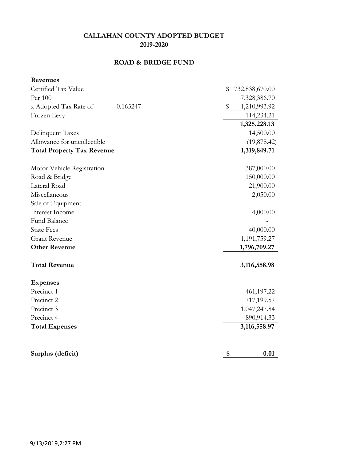# **ROAD & BRIDGE FUND**

| Revenues                          |          |                      |
|-----------------------------------|----------|----------------------|
| Certified Tax Value               |          | \$<br>732,838,670.00 |
| Per 100                           |          | 7,328,386.70         |
| x Adopted Tax Rate of             | 0.165247 | \$<br>1,210,993.92   |
| Frozen Levy                       |          | 114,234.21           |
|                                   |          | 1,325,228.13         |
| Delinquent Taxes                  |          | 14,500.00            |
| Allowance for uncollectible       |          | (19, 878.42)         |
| <b>Total Property Tax Revenue</b> |          | 1,319,849.71         |
| Motor Vehicle Registration        |          | 387,000.00           |
| Road & Bridge                     |          | 150,000.00           |
| Lateral Road                      |          | 21,900.00            |
| Miscellaneous                     |          | 2,050.00             |
| Sale of Equipment                 |          |                      |
| Interest Income                   |          | 4,000.00             |
| <b>Fund Balance</b>               |          |                      |
| <b>State Fees</b>                 |          | 40,000.00            |
| <b>Grant Revenue</b>              |          | 1,191,759.27         |
| <b>Other Revenue</b>              |          | 1,796,709.27         |
| <b>Total Revenue</b>              |          | 3,116,558.98         |
| <b>Expenses</b>                   |          |                      |
| Precinct 1                        |          | 461,197.22           |
| Precinct 2                        |          | 717,199.57           |
| Precinct 3                        |          | 1,047,247.84         |
| Precinct 4                        |          | 890,914.33           |
| <b>Total Expenses</b>             |          | 3,116,558.97         |
|                                   |          |                      |
| Surplus (deficit)                 |          | \$<br>0.01           |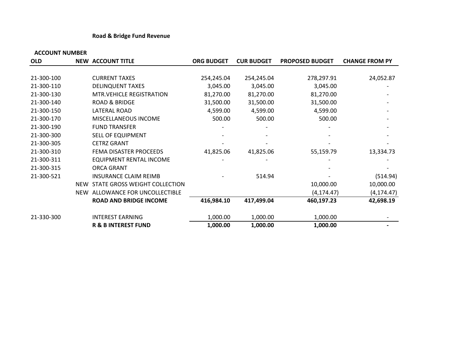### **Road & Bridge Fund Revenue**

| <b>OLD</b> |     | <b>NEW ACCOUNT TITLE</b>        | <b>ORG BUDGET</b> | <b>CUR BUDGET</b> | <b>PROPOSED BUDGET</b> | <b>CHANGE FROM PY</b> |
|------------|-----|---------------------------------|-------------------|-------------------|------------------------|-----------------------|
|            |     |                                 |                   |                   |                        |                       |
| 21-300-100 |     | <b>CURRENT TAXES</b>            | 254,245.04        | 254,245.04        | 278,297.91             | 24,052.87             |
| 21-300-110 |     | <b>DELINQUENT TAXES</b>         | 3,045.00          | 3,045.00          | 3,045.00               |                       |
| 21-300-130 |     | <b>MTR.VEHICLE REGISTRATION</b> | 81,270.00         | 81,270.00         | 81,270.00              |                       |
| 21-300-140 |     | <b>ROAD &amp; BRIDGE</b>        | 31,500.00         | 31,500.00         | 31,500.00              |                       |
| 21-300-150 |     | LATERAL ROAD                    | 4,599.00          | 4,599.00          | 4,599.00               |                       |
| 21-300-170 |     | MISCELLANEOUS INCOME            | 500.00            | 500.00            | 500.00                 |                       |
| 21-300-190 |     | <b>FUND TRANSFER</b>            |                   |                   |                        |                       |
| 21-300-300 |     | <b>SELL OF EQUIPMENT</b>        |                   |                   |                        |                       |
| 21-300-305 |     | <b>CETRZ GRANT</b>              |                   |                   |                        |                       |
| 21-300-310 |     | FEMA DISASTER PROCEEDS          | 41,825.06         | 41,825.06         | 55,159.79              | 13,334.73             |
| 21-300-311 |     | EQUIPMENT RENTAL INCOME         |                   |                   |                        |                       |
| 21-300-315 |     | ORCA GRANT                      |                   |                   |                        |                       |
| 21-300-521 |     | <b>INSURANCE CLAIM REIMB</b>    |                   | 514.94            |                        | (514.94)              |
|            | NEW | STATE GROSS WEIGHT COLLECTION   |                   |                   | 10,000.00              | 10,000.00             |
|            | NEW | ALLOWANCE FOR UNCOLLECTIBLE     |                   |                   | (4, 174.47)            | (4, 174.47)           |
|            |     | <b>ROAD AND BRIDGE INCOME</b>   | 416,984.10        | 417,499.04        | 460,197.23             | 42,698.19             |
| 21-330-300 |     | <b>INTEREST EARNING</b>         | 1,000.00          | 1,000.00          | 1,000.00               |                       |
|            |     | <b>R &amp; B INTEREST FUND</b>  | 1,000.00          | 1,000.00          | 1,000.00               |                       |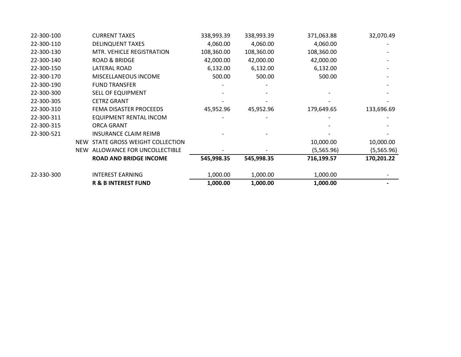|            |            | <b>R &amp; B INTEREST FUND</b> | 1,000.00   | 1,000.00   | 1,000.00   |            |
|------------|------------|--------------------------------|------------|------------|------------|------------|
| 22-330-300 |            | <b>INTEREST EARNING</b>        | 1,000.00   | 1,000.00   | 1,000.00   |            |
|            |            | <b>ROAD AND BRIDGE INCOME</b>  | 545,998.35 | 545,998.35 | 716,199.57 | 170,201.22 |
|            | <b>NEW</b> | ALLOWANCE FOR UNCOLLECTIBLE    |            |            | (5,565.96) | (5,565.96) |
|            | <b>NEW</b> | STATE GROSS WEIGHT COLLECTION  |            |            | 10,000.00  | 10,000.00  |
| 22-300-521 |            | <b>INSURANCE CLAIM REIMB</b>   |            |            |            |            |
| 22-300-315 |            | ORCA GRANT                     |            |            |            |            |
| 22-300-311 |            | EQUIPMENT RENTAL INCOM         |            |            |            |            |
| 22-300-310 |            | FEMA DISASTER PROCEEDS         | 45,952.96  | 45,952.96  | 179,649.65 | 133,696.69 |
| 22-300-305 |            | <b>CETRZ GRANT</b>             |            |            |            |            |
| 22-300-300 |            | <b>SELL OF EQUIPMENT</b>       |            |            |            |            |
| 22-300-190 |            | <b>FUND TRANSFER</b>           |            |            |            |            |
| 22-300-170 |            | <b>MISCELLANEOUS INCOME</b>    | 500.00     | 500.00     | 500.00     |            |
| 22-300-150 |            | LATERAL ROAD                   | 6,132.00   | 6,132.00   | 6,132.00   |            |
| 22-300-140 |            | <b>ROAD &amp; BRIDGE</b>       | 42,000.00  | 42,000.00  | 42,000.00  |            |
| 22-300-130 |            | MTR. VEHICLE REGISTRATION      | 108,360.00 | 108,360.00 | 108,360.00 |            |
| 22-300-110 |            | <b>DELINQUENT TAXES</b>        | 4,060.00   | 4,060.00   | 4,060.00   |            |
| 22-300-100 |            | <b>CURRENT TAXES</b>           | 338,993.39 | 338,993.39 | 371,063.88 | 32,070.49  |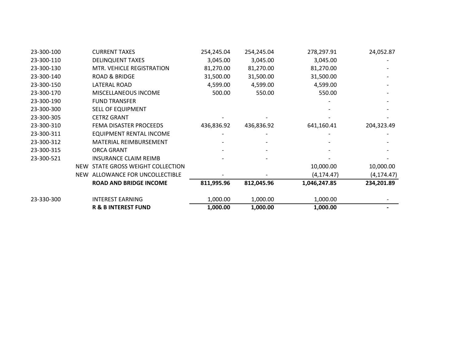| 23-300-100 |     | <b>CURRENT TAXES</b>              | 254,245.04 | 254,245.04 | 278,297.91   | 24,052.87   |
|------------|-----|-----------------------------------|------------|------------|--------------|-------------|
| 23-300-110 |     | <b>DELINQUENT TAXES</b>           | 3,045.00   | 3,045.00   | 3,045.00     |             |
| 23-300-130 |     | MTR. VEHICLE REGISTRATION         | 81,270.00  | 81,270.00  | 81,270.00    |             |
| 23-300-140 |     | <b>ROAD &amp; BRIDGE</b>          | 31,500.00  | 31,500.00  | 31,500.00    |             |
| 23-300-150 |     | LATERAL ROAD                      | 4,599.00   | 4,599.00   | 4,599.00     |             |
| 23-300-170 |     | MISCELLANEOUS INCOME              | 500.00     | 550.00     | 550.00       |             |
| 23-300-190 |     | <b>FUND TRANSFER</b>              |            |            |              |             |
| 23-300-300 |     | SELL OF EQUIPMENT                 |            |            |              |             |
| 23-300-305 |     | <b>CETRZ GRANT</b>                |            |            |              |             |
| 23-300-310 |     | FEMA DISASTER PROCEEDS            | 436,836.92 | 436,836.92 | 641,160.41   | 204,323.49  |
| 23-300-311 |     | EQUIPMENT RENTAL INCOME           |            |            |              |             |
| 23-300-312 |     | <b>MATERIAL REIMBURSEMENT</b>     |            |            |              |             |
| 23-300-315 |     | <b>ORCA GRANT</b>                 |            |            |              |             |
| 23-300-521 |     | <b>INSURANCE CLAIM REIMB</b>      |            |            |              |             |
|            |     | NEW STATE GROSS WEIGHT COLLECTION |            |            | 10,000.00    | 10,000.00   |
|            | NEW | ALLOWANCE FOR UNCOLLECTIBLE       |            |            | (4, 174.47)  | (4, 174.47) |
|            |     | <b>ROAD AND BRIDGE INCOME</b>     | 811,995.96 | 812,045.96 | 1,046,247.85 | 234,201.89  |
| 23-330-300 |     | <b>INTEREST EARNING</b>           | 1,000.00   | 1,000.00   | 1,000.00     |             |
|            |     | <b>R &amp; B INTEREST FUND</b>    | 1,000.00   | 1,000.00   | 1,000.00     |             |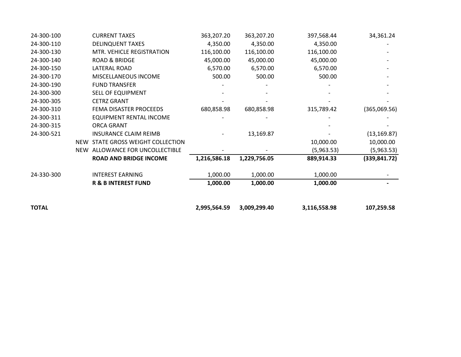| <b>TOTAL</b> |            |                                | 2,995,564.59 | 3,009,299.40 | 3,116,558.98 | 107,259.58    |
|--------------|------------|--------------------------------|--------------|--------------|--------------|---------------|
|              |            | <b>R &amp; B INTEREST FUND</b> | 1,000.00     | 1,000.00     | 1,000.00     |               |
| 24-330-300   |            | <b>INTEREST EARNING</b>        | 1,000.00     | 1,000.00     | 1,000.00     |               |
|              |            | <b>ROAD AND BRIDGE INCOME</b>  | 1,216,586.18 | 1,229,756.05 | 889,914.33   | (339, 841.72) |
|              | <b>NEW</b> | ALLOWANCE FOR UNCOLLECTIBLE    |              |              | (5,963.53)   | (5,963.53)    |
|              | <b>NEW</b> | STATE GROSS WEIGHT COLLECTION  |              |              | 10,000.00    | 10,000.00     |
| 24-300-521   |            | <b>INSURANCE CLAIM REIMB</b>   |              | 13,169.87    |              | (13, 169.87)  |
| 24-300-315   |            | ORCA GRANT                     |              |              |              |               |
| 24-300-311   |            | EQUIPMENT RENTAL INCOME        |              |              |              |               |
| 24-300-310   |            | FEMA DISASTER PROCEEDS         | 680,858.98   | 680,858.98   | 315,789.42   | (365,069.56)  |
| 24-300-305   |            | <b>CETRZ GRANT</b>             |              |              |              |               |
| 24-300-300   |            | SELL OF EQUIPMENT              |              |              |              |               |
| 24-300-190   |            | <b>FUND TRANSFER</b>           |              |              |              |               |
| 24-300-170   |            | <b>MISCELLANEOUS INCOME</b>    | 500.00       | 500.00       | 500.00       |               |
| 24-300-150   |            | LATERAL ROAD                   | 6,570.00     | 6,570.00     | 6,570.00     |               |
| 24-300-140   |            | <b>ROAD &amp; BRIDGE</b>       | 45,000.00    | 45,000.00    | 45,000.00    |               |
| 24-300-130   |            | MTR. VEHICLE REGISTRATION      | 116,100.00   | 116,100.00   | 116,100.00   |               |
| 24-300-110   |            | <b>DELINQUENT TAXES</b>        | 4,350.00     | 4,350.00     | 4,350.00     |               |
| 24-300-100   |            | <b>CURRENT TAXES</b>           | 363,207.20   | 363,207.20   | 397,568.44   | 34,361.24     |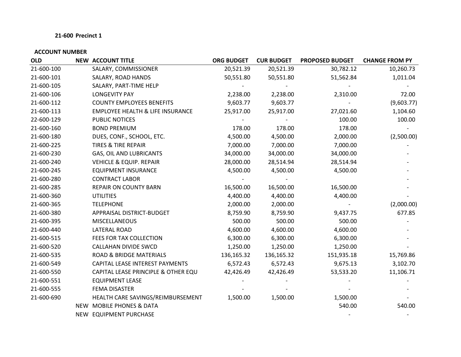| <b>OLD</b> | <b>NEW ACCOUNT TITLE</b>                    | <b>ORG BUDGET</b> | <b>CUR BUDGET</b> | <b>PROPOSED BUDGET</b> | <b>CHANGE FROM PY</b> |
|------------|---------------------------------------------|-------------------|-------------------|------------------------|-----------------------|
| 21-600-100 | SALARY, COMMISSIONER                        | 20,521.39         | 20,521.39         | 30,782.12              | 10,260.73             |
| 21-600-101 | SALARY, ROAD HANDS                          | 50,551.80         | 50,551.80         | 51,562.84              | 1,011.04              |
| 21-600-105 | SALARY, PART-TIME HELP                      |                   |                   |                        |                       |
| 21-600-106 | <b>LONGEVITY PAY</b>                        | 2,238.00          | 2,238.00          | 2,310.00               | 72.00                 |
| 21-600-112 | <b>COUNTY EMPLOYEES BENEFITS</b>            | 9,603.77          | 9,603.77          |                        | (9,603.77)            |
| 21-600-113 | <b>EMPLOYEE HEALTH &amp; LIFE INSURANCE</b> | 25,917.00         | 25,917.00         | 27,021.60              | 1,104.60              |
| 22-600-129 | PUBLIC NOTICES                              |                   |                   | 100.00                 | 100.00                |
| 21-600-160 | <b>BOND PREMIUM</b>                         | 178.00            | 178.00            | 178.00                 |                       |
| 21-600-180 | DUES, CONF., SCHOOL, ETC.                   | 4,500.00          | 4,500.00          | 2,000.00               | (2,500.00)            |
| 21-600-225 | <b>TIRES &amp; TIRE REPAIR</b>              | 7,000.00          | 7,000.00          | 7,000.00               |                       |
| 21-600-230 | GAS, OIL AND LUBRICANTS                     | 34,000.00         | 34,000.00         | 34,000.00              |                       |
| 21-600-240 | <b>VEHICLE &amp; EQUIP. REPAIR</b>          | 28,000.00         | 28,514.94         | 28,514.94              |                       |
| 21-600-245 | <b>EQUIPMENT INSURANCE</b>                  | 4,500.00          | 4,500.00          | 4,500.00               |                       |
| 21-600-280 | <b>CONTRACT LABOR</b>                       |                   |                   |                        |                       |
| 21-600-285 | <b>REPAIR ON COUNTY BARN</b>                | 16,500.00         | 16,500.00         | 16,500.00              |                       |
| 21-600-360 | <b>UTILITIES</b>                            | 4,400.00          | 4,400.00          | 4,400.00               |                       |
| 21-600-365 | <b>TELEPHONE</b>                            | 2,000.00          | 2,000.00          |                        | (2,000.00)            |
| 21-600-380 | APPRAISAL DISTRICT-BUDGET                   | 8,759.90          | 8,759.90          | 9,437.75               | 677.85                |
| 21-600-395 | <b>MISCELLANEOUS</b>                        | 500.00            | 500.00            | 500.00                 |                       |
| 21-600-440 | LATERAL ROAD                                | 4,600.00          | 4,600.00          | 4,600.00               |                       |
| 21-600-515 | FEES FOR TAX COLLECTION                     | 6,300.00          | 6,300.00          | 6,300.00               |                       |
| 21-600-520 | CALLAHAN DIVIDE SWCD                        | 1,250.00          | 1,250.00          | 1,250.00               |                       |
| 21-600-535 | <b>ROAD &amp; BRIDGE MATERIALS</b>          | 136,165.32        | 136,165.32        | 151,935.18             | 15,769.86             |
| 21-600-549 | CAPITAL LEASE INTEREST PAYMENTS             | 6,572.43          | 6,572.43          | 9,675.13               | 3,102.70              |
| 21-600-550 | CAPITAL LEASE PRINCIPLE & OTHER EQU         | 42,426.49         | 42,426.49         | 53,533.20              | 11,106.71             |
| 21-600-551 | <b>EQUIPMENT LEASE</b>                      |                   |                   |                        |                       |
| 21-600-555 | <b>FEMA DISASTER</b>                        |                   |                   |                        |                       |
| 21-600-690 | HEALTH CARE SAVINGS/REIMBURSEMENT           | 1,500.00          | 1,500.00          | 1,500.00               |                       |
|            | NEW MOBILE PHONES & DATA                    |                   |                   | 540.00                 | 540.00                |
|            | NEW EQUIPMENT PURCHASE                      |                   |                   |                        |                       |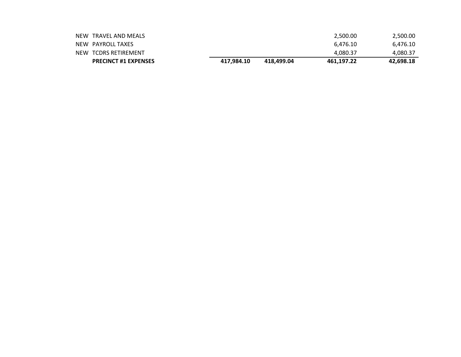| <b>PRECINCT #1 EXPENSES</b> | 417.984.10 | 418.499.04 | 461.197.22 | 42.698.18 |
|-----------------------------|------------|------------|------------|-----------|
| NEW TCDRS RETIREMENT        |            |            | 4.080.37   | 4,080.37  |
| NEW PAYROLL TAXES           |            |            | 6.476.10   | 6,476.10  |
| NEW TRAVEL AND MEALS        |            |            | 2,500.00   | 2,500.00  |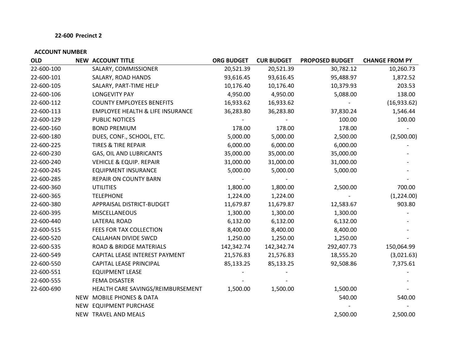| <b>OLD</b> | <b>NEW ACCOUNT TITLE</b>                    | <b>ORG BUDGET</b> | <b>CUR BUDGET</b> | <b>PROPOSED BUDGET</b> | <b>CHANGE FROM PY</b> |
|------------|---------------------------------------------|-------------------|-------------------|------------------------|-----------------------|
| 22-600-100 | SALARY, COMMISSIONER                        | 20,521.39         | 20,521.39         | 30,782.12              | 10,260.73             |
| 22-600-101 | SALARY, ROAD HANDS                          | 93,616.45         | 93,616.45         | 95,488.97              | 1,872.52              |
| 22-600-105 | SALARY, PART-TIME HELP                      | 10,176.40         | 10,176.40         | 10,379.93              | 203.53                |
| 22-600-106 | <b>LONGEVITY PAY</b>                        | 4,950.00          | 4,950.00          | 5,088.00               | 138.00                |
| 22-600-112 | <b>COUNTY EMPLOYEES BENEFITS</b>            | 16,933.62         | 16,933.62         |                        | (16,933.62)           |
| 22-600-113 | <b>EMPLOYEE HEALTH &amp; LIFE INSURANCE</b> | 36,283.80         | 36,283.80         | 37,830.24              | 1,546.44              |
| 22-600-129 | PUBLIC NOTICES                              |                   |                   | 100.00                 | 100.00                |
| 22-600-160 | <b>BOND PREMIUM</b>                         | 178.00            | 178.00            | 178.00                 |                       |
| 22-600-180 | DUES, CONF., SCHOOL, ETC.                   | 5,000.00          | 5,000.00          | 2,500.00               | (2,500.00)            |
| 22-600-225 | <b>TIRES &amp; TIRE REPAIR</b>              | 6,000.00          | 6,000.00          | 6,000.00               |                       |
| 22-600-230 | GAS, OIL AND LUBRICANTS                     | 35,000.00         | 35,000.00         | 35,000.00              |                       |
| 22-600-240 | <b>VEHICLE &amp; EQUIP. REPAIR</b>          | 31,000.00         | 31,000.00         | 31,000.00              |                       |
| 22-600-245 | <b>EQUIPMENT INSURANCE</b>                  | 5,000.00          | 5,000.00          | 5,000.00               |                       |
| 22-600-285 | <b>REPAIR ON COUNTY BARN</b>                |                   |                   |                        |                       |
| 22-600-360 | <b>UTILITIES</b>                            | 1,800.00          | 1,800.00          | 2,500.00               | 700.00                |
| 22-600-365 | <b>TELEPHONE</b>                            | 1,224.00          | 1,224.00          |                        | (1,224.00)            |
| 22-600-380 | APPRAISAL DISTRICT-BUDGET                   | 11,679.87         | 11,679.87         | 12,583.67              | 903.80                |
| 22-600-395 | <b>MISCELLANEOUS</b>                        | 1,300.00          | 1,300.00          | 1,300.00               |                       |
| 22-600-440 | <b>LATERAL ROAD</b>                         | 6,132.00          | 6,132.00          | 6,132.00               |                       |
| 22-600-515 | FEES FOR TAX COLLECTION                     | 8,400.00          | 8,400.00          | 8,400.00               |                       |
| 22-600-520 | CALLAHAN DIVIDE SWCD                        | 1,250.00          | 1,250.00          | 1,250.00               |                       |
| 22-600-535 | ROAD & BRIDGE MATERIALS                     | 142,342.74        | 142,342.74        | 292,407.73             | 150,064.99            |
| 22-600-549 | CAPITAL LEASE INTEREST PAYMENT              | 21,576.83         | 21,576.83         | 18,555.20              | (3,021.63)            |
| 22-600-550 | CAPITAL LEASE PRINCIPAL                     | 85,133.25         | 85,133.25         | 92,508.86              | 7,375.61              |
| 22-600-551 | <b>EQUIPMENT LEASE</b>                      |                   |                   |                        |                       |
| 22-600-555 | FEMA DISASTER                               |                   |                   |                        |                       |
| 22-600-690 | HEALTH CARE SAVINGS/REIMBURSEMENT           | 1,500.00          | 1,500.00          | 1,500.00               |                       |
|            | NEW MOBILE PHONES & DATA                    |                   |                   | 540.00                 | 540.00                |
|            | NEW EQUIPMENT PURCHASE                      |                   |                   |                        |                       |
|            | NEW TRAVEL AND MEALS                        |                   |                   | 2,500.00               | 2,500.00              |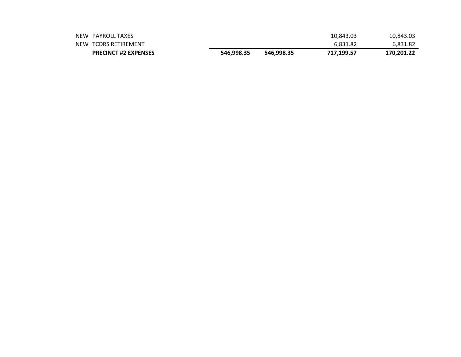| NEW PAYROLL TAXES           |            |            | 10,843.03  | 10,843.03  |
|-----------------------------|------------|------------|------------|------------|
| NEW TCDRS RETIREMENT        |            |            | 6.831.82   | 6.831.82   |
| <b>PRECINCT #2 EXPENSES</b> | 546.998.35 | 546.998.35 | 717.199.57 | 170,201.22 |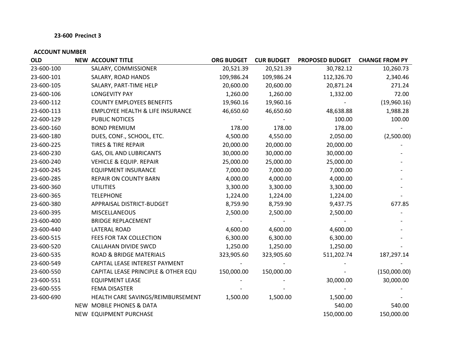| <b>OLD</b> | <b>NEW ACCOUNT TITLE</b>                    | <b>ORG BUDGET</b> | <b>CUR BUDGET</b> | <b>PROPOSED BUDGET</b> | <b>CHANGE FROM PY</b> |
|------------|---------------------------------------------|-------------------|-------------------|------------------------|-----------------------|
| 23-600-100 | SALARY, COMMISSIONER                        | 20,521.39         | 20,521.39         | 30,782.12              | 10,260.73             |
| 23-600-101 | SALARY, ROAD HANDS                          | 109,986.24        | 109,986.24        | 112,326.70             | 2,340.46              |
| 23-600-105 | SALARY, PART-TIME HELP                      | 20,600.00         | 20,600.00         | 20,871.24              | 271.24                |
| 23-600-106 | <b>LONGEVITY PAY</b>                        | 1,260.00          | 1,260.00          | 1,332.00               | 72.00                 |
| 23-600-112 | <b>COUNTY EMPLOYEES BENEFITS</b>            | 19,960.16         | 19,960.16         |                        | (19,960.16)           |
| 23-600-113 | <b>EMPLOYEE HEALTH &amp; LIFE INSURANCE</b> | 46,650.60         | 46,650.60         | 48,638.88              | 1,988.28              |
| 22-600-129 | PUBLIC NOTICES                              |                   |                   | 100.00                 | 100.00                |
| 23-600-160 | <b>BOND PREMIUM</b>                         | 178.00            | 178.00            | 178.00                 |                       |
| 23-600-180 | DUES, CONF., SCHOOL, ETC.                   | 4,500.00          | 4,550.00          | 2,050.00               | (2,500.00)            |
| 23-600-225 | TIRES & TIRE REPAIR                         | 20,000.00         | 20,000.00         | 20,000.00              |                       |
| 23-600-230 | <b>GAS, OIL AND LUBRICANTS</b>              | 30,000.00         | 30,000.00         | 30,000.00              |                       |
| 23-600-240 | <b>VEHICLE &amp; EQUIP. REPAIR</b>          | 25,000.00         | 25,000.00         | 25,000.00              |                       |
| 23-600-245 | <b>EQUIPMENT INSURANCE</b>                  | 7,000.00          | 7,000.00          | 7,000.00               |                       |
| 23-600-285 | <b>REPAIR ON COUNTY BARN</b>                | 4,000.00          | 4,000.00          | 4,000.00               |                       |
| 23-600-360 | <b>UTILITIES</b>                            | 3,300.00          | 3,300.00          | 3,300.00               |                       |
| 23-600-365 | <b>TELEPHONE</b>                            | 1,224.00          | 1,224.00          | 1,224.00               |                       |
| 23-600-380 | APPRAISAL DISTRICT-BUDGET                   | 8,759.90          | 8,759.90          | 9,437.75               | 677.85                |
| 23-600-395 | <b>MISCELLANEOUS</b>                        | 2,500.00          | 2,500.00          | 2,500.00               |                       |
| 23-600-400 | <b>BRIDGE REPLACEMENT</b>                   |                   |                   |                        |                       |
| 23-600-440 | <b>LATERAL ROAD</b>                         | 4,600.00          | 4,600.00          | 4,600.00               |                       |
| 23-600-515 | FEES FOR TAX COLLECTION                     | 6,300.00          | 6,300.00          | 6,300.00               |                       |
| 23-600-520 | <b>CALLAHAN DIVIDE SWCD</b>                 | 1,250.00          | 1,250.00          | 1,250.00               |                       |
| 23-600-535 | <b>ROAD &amp; BRIDGE MATERIALS</b>          | 323,905.60        | 323,905.60        | 511,202.74             | 187,297.14            |
| 23-600-549 | CAPITAL LEASE INTEREST PAYMENT              |                   |                   |                        |                       |
| 23-600-550 | CAPITAL LEASE PRINCIPLE & OTHER EQU         | 150,000.00        | 150,000.00        |                        | (150,000.00)          |
| 23-600-551 | <b>EQUIPMENT LEASE</b>                      |                   |                   | 30,000.00              | 30,000.00             |
| 23-600-555 | FEMA DISASTER                               |                   |                   |                        |                       |
| 23-600-690 | HEALTH CARE SAVINGS/REIMBURSEMENT           | 1,500.00          | 1,500.00          | 1,500.00               |                       |
|            | NEW MOBILE PHONES & DATA                    |                   |                   | 540.00                 | 540.00                |
|            | NEW EQUIPMENT PURCHASE                      |                   |                   | 150,000.00             | 150,000.00            |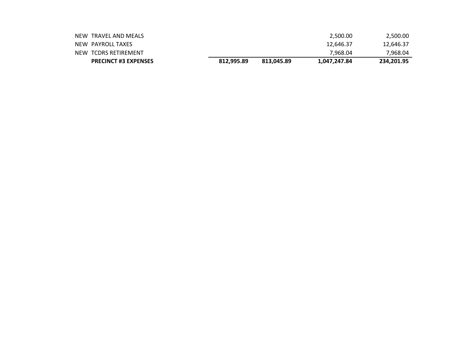| <b>PRECINCT #3 EXPENSES</b> | 812.995.89 | 813.045.89 | 1,047,247.84 | 234,201.95 |
|-----------------------------|------------|------------|--------------|------------|
| NEW TCDRS RETIREMENT        |            |            | 7.968.04     | 7,968.04   |
| NEW PAYROLL TAXES           |            |            | 12.646.37    | 12,646.37  |
| NEW TRAVEL AND MEALS        |            |            | 2.500.00     | 2,500.00   |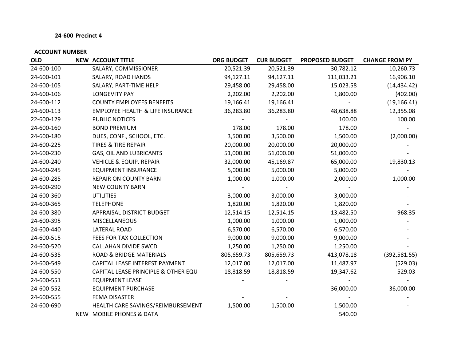| <b>OLD</b> | <b>NEW ACCOUNT TITLE</b>                    | <b>ORG BUDGET</b> | <b>CUR BUDGET</b> | <b>PROPOSED BUDGET</b> | <b>CHANGE FROM PY</b> |
|------------|---------------------------------------------|-------------------|-------------------|------------------------|-----------------------|
| 24-600-100 | SALARY, COMMISSIONER                        | 20,521.39         | 20,521.39         | 30,782.12              | 10,260.73             |
| 24-600-101 | SALARY, ROAD HANDS                          | 94,127.11         | 94,127.11         | 111,033.21             | 16,906.10             |
| 24-600-105 | SALARY, PART-TIME HELP                      | 29,458.00         | 29,458.00         | 15,023.58              | (14, 434.42)          |
| 24-600-106 | <b>LONGEVITY PAY</b>                        | 2,202.00          | 2,202.00          | 1,800.00               | (402.00)              |
| 24-600-112 | <b>COUNTY EMPLOYEES BENEFITS</b>            | 19,166.41         | 19,166.41         |                        | (19, 166.41)          |
| 24-600-113 | <b>EMPLOYEE HEALTH &amp; LIFE INSURANCE</b> | 36,283.80         | 36,283.80         | 48,638.88              | 12,355.08             |
| 22-600-129 | PUBLIC NOTICES                              |                   |                   | 100.00                 | 100.00                |
| 24-600-160 | <b>BOND PREMIUM</b>                         | 178.00            | 178.00            | 178.00                 |                       |
| 24-600-180 | DUES, CONF., SCHOOL, ETC.                   | 3,500.00          | 3,500.00          | 1,500.00               | (2,000.00)            |
| 24-600-225 | <b>TIRES &amp; TIRE REPAIR</b>              | 20,000.00         | 20,000.00         | 20,000.00              |                       |
| 24-600-230 | GAS, OIL AND LUBRICANTS                     | 51,000.00         | 51,000.00         | 51,000.00              |                       |
| 24-600-240 | <b>VEHICLE &amp; EQUIP. REPAIR</b>          | 32,000.00         | 45,169.87         | 65,000.00              | 19,830.13             |
| 24-600-245 | <b>EQUIPMENT INSURANCE</b>                  | 5,000.00          | 5,000.00          | 5,000.00               |                       |
| 24-600-285 | <b>REPAIR ON COUNTY BARN</b>                | 1,000.00          | 1,000.00          | 2,000.00               | 1,000.00              |
| 24-600-290 | <b>NEW COUNTY BARN</b>                      |                   |                   |                        |                       |
| 24-600-360 | <b>UTILITIES</b>                            | 3,000.00          | 3,000.00          | 3,000.00               |                       |
| 24-600-365 | <b>TELEPHONE</b>                            | 1,820.00          | 1,820.00          | 1,820.00               |                       |
| 24-600-380 | APPRAISAL DISTRICT-BUDGET                   | 12,514.15         | 12,514.15         | 13,482.50              | 968.35                |
| 24-600-395 | <b>MISCELLANEOUS</b>                        | 1,000.00          | 1,000.00          | 1,000.00               |                       |
| 24-600-440 | LATERAL ROAD                                | 6,570.00          | 6,570.00          | 6,570.00               |                       |
| 24-600-515 | FEES FOR TAX COLLECTION                     | 9,000.00          | 9,000.00          | 9,000.00               |                       |
| 24-600-520 | <b>CALLAHAN DIVIDE SWCD</b>                 | 1,250.00          | 1,250.00          | 1,250.00               |                       |
| 24-600-535 | <b>ROAD &amp; BRIDGE MATERIALS</b>          | 805,659.73        | 805,659.73        | 413,078.18             | (392, 581.55)         |
| 24-600-549 | CAPITAL LEASE INTEREST PAYMENT              | 12,017.00         | 12,017.00         | 11,487.97              | (529.03)              |
| 24-600-550 | CAPITAL LEASE PRINCIPLE & OTHER EQU         | 18,818.59         | 18,818.59         | 19,347.62              | 529.03                |
| 24-600-551 | <b>EQUIPMENT LEASE</b>                      |                   |                   |                        |                       |
| 24-600-552 | <b>EQUIPMENT PURCHASE</b>                   |                   |                   | 36,000.00              | 36,000.00             |
| 24-600-555 | FEMA DISASTER                               |                   |                   |                        |                       |
| 24-600-690 | HEALTH CARE SAVINGS/REIMBURSEMENT           | 1,500.00          | 1,500.00          | 1,500.00               |                       |
|            | NEW MOBILE PHONES & DATA                    |                   |                   | 540.00                 |                       |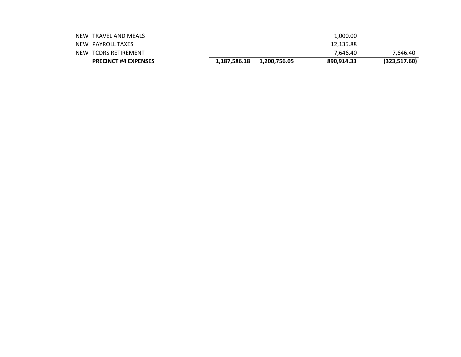| <b>PRECINCT #4 EXPENSES</b> | 1,187,586.18 | 1,200,756.05 | 890.914.33 | (323,517.60) |
|-----------------------------|--------------|--------------|------------|--------------|
| NEW TCDRS RETIREMENT        |              |              | 7.646.40   | 7.646.40     |
| NEW PAYROLL TAXES           |              |              | 12,135.88  |              |
| NEW TRAVEL AND MEALS        |              |              | 1.000.00   |              |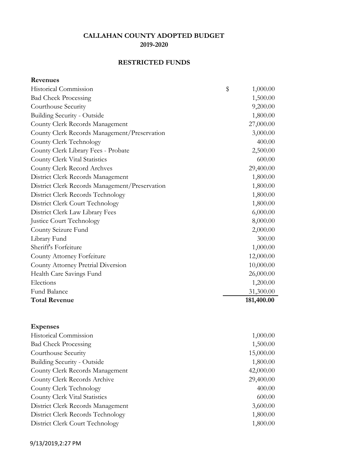# **RESTRICTED FUNDS**

**Revenues**

| <b>Historical Commission</b>                   | \$<br>1,000.00 |
|------------------------------------------------|----------------|
| <b>Bad Check Processing</b>                    | 1,500.00       |
| Courthouse Security                            | 9,200.00       |
| <b>Building Security - Outside</b>             | 1,800.00       |
| County Clerk Records Management                | 27,000.00      |
| County Clerk Records Management/Preservation   | 3,000.00       |
| County Clerk Technology                        | 400.00         |
| County Clerk Library Fees - Probate            | 2,500.00       |
| County Clerk Vital Statistics                  | 600.00         |
| County Clerk Record Archves                    | 29,400.00      |
| District Clerk Records Management              | 1,800.00       |
| District Clerk Records Management/Preservation | 1,800.00       |
| District Clerk Records Technology              | 1,800.00       |
| District Clerk Court Technology                | 1,800.00       |
| District Clerk Law Library Fees                | 6,000.00       |
| <b>Justice Court Technology</b>                | 8,000.00       |
| County Seizure Fund                            | 2,000.00       |
| Library Fund                                   | 300.00         |
| Sheriff's Forfeiture                           | 1,000.00       |
| County Attorney Forfeiture                     | 12,000.00      |
| County Attorney Pretrial Diversion             | 10,000.00      |
| Health Care Savings Fund                       | 26,000.00      |
| Elections                                      | 1,200.00       |
| Fund Balance                                   | 31,300.00      |
| <b>Total Revenue</b>                           | 181,400.00     |
|                                                |                |

| <b>Expenses</b>                   |           |
|-----------------------------------|-----------|
| Historical Commission             | 1,000.00  |
| <b>Bad Check Processing</b>       | 1,500.00  |
| Courthouse Security               | 15,000.00 |
| Building Security - Outside       | 1,800.00  |
| County Clerk Records Management   | 42,000.00 |
| County Clerk Records Archive      | 29,400.00 |
| County Clerk Technology           | 400.00    |
| County Clerk Vital Statistics     | 600.00    |
| District Clerk Records Management | 3,600.00  |
| District Clerk Records Technology | 1,800.00  |
| District Clerk Court Technology   | 1,800.00  |
|                                   |           |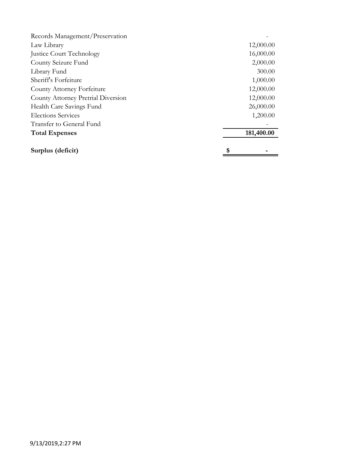| Records Management/Preservation    |            |
|------------------------------------|------------|
| Law Library                        | 12,000.00  |
| Justice Court Technology           | 16,000.00  |
| County Seizure Fund                | 2,000.00   |
| Library Fund                       | 300.00     |
| Sheriff's Forfeiture               | 1,000.00   |
| County Attorney Forfeiture         | 12,000.00  |
| County Attorney Pretrial Diversion | 12,000.00  |
| Health Care Savings Fund           | 26,000.00  |
| <b>Elections Services</b>          | 1,200.00   |
| Transfer to General Fund           |            |
| <b>Total Expenses</b>              | 181,400.00 |
| Surplus (deficit)                  | \$         |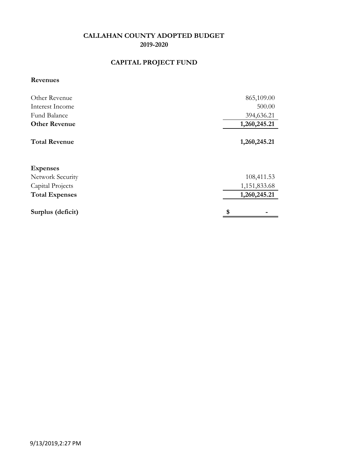# **CAPITAL PROJECT FUND**

#### **Revenues**

| Other Revenue         | 865,109.00   |
|-----------------------|--------------|
| Interest Income       | 500.00       |
| Fund Balance          | 394,636.21   |
| <b>Other Revenue</b>  | 1,260,245.21 |
| <b>Total Revenue</b>  | 1,260,245.21 |
| <b>Expenses</b>       |              |
| Network Security      | 108,411.53   |
| Capital Projects      | 1,151,833.68 |
| <b>Total Expenses</b> | 1,260,245.21 |
| Surplus (deficit)     | \$           |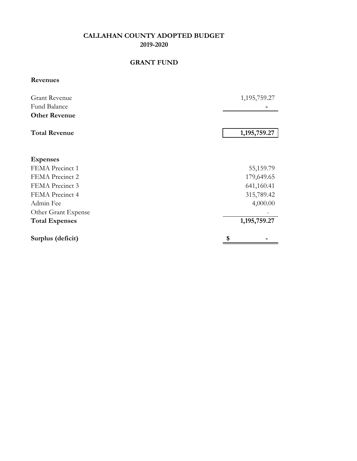### **GRANT FUND**

**Revenues**

| <b>Grant Revenue</b><br>Fund Balance | 1,195,759.27 |
|--------------------------------------|--------------|
|                                      |              |
| <b>Other Revenue</b>                 |              |
| <b>Total Revenue</b>                 | 1,195,759.27 |
|                                      |              |
| <b>Expenses</b>                      |              |
| FEMA Precinct 1                      | 55,159.79    |
| FEMA Precinct 2                      | 179,649.65   |
| FEMA Precinct 3                      | 641,160.41   |
| FEMA Precinct 4                      | 315,789.42   |
| Admin Fee                            | 4,000.00     |
| Other Grant Expense                  |              |
| <b>Total Expenses</b>                | 1,195,759.27 |
| Surplus (deficit)                    | \$           |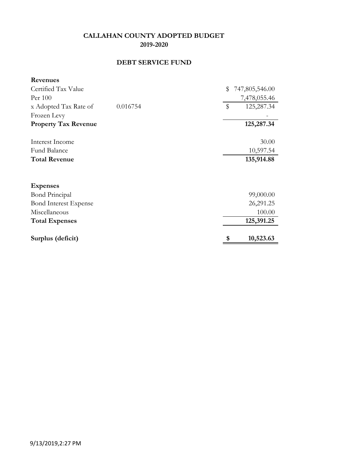# **DEBT SERVICE FUND**

| <b>Revenues</b>              |          |                      |
|------------------------------|----------|----------------------|
| Certified Tax Value          |          | \$<br>747,805,546.00 |
| Per 100                      |          | 7,478,055.46         |
| x Adopted Tax Rate of        | 0.016754 | \$<br>125,287.34     |
| Frozen Levy                  |          |                      |
| <b>Property Tax Revenue</b>  |          | 125,287.34           |
| Interest Income              |          | 30.00                |
| Fund Balance                 |          | 10,597.54            |
| <b>Total Revenue</b>         |          | 135,914.88           |
|                              |          |                      |
| <b>Expenses</b>              |          |                      |
| <b>Bond Principal</b>        |          | 99,000.00            |
| <b>Bond Interest Expense</b> |          | 26,291.25            |
| Miscellaneous                |          | 100.00               |
| <b>Total Expenses</b>        |          | 125,391.25           |
| Surplus (deficit)            |          | \$<br>10,523.63      |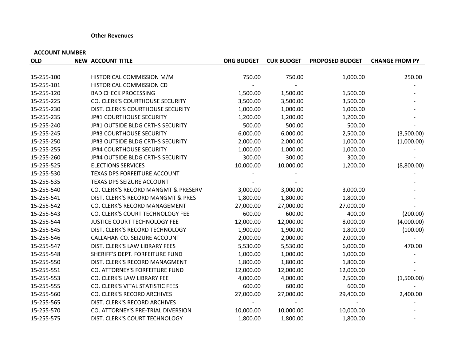#### **Other Revenues**

| <b>OLD</b> | <b>NEW ACCOUNT TITLE</b>            | <b>ORG BUDGET</b> | <b>CUR BUDGET</b> | <b>PROPOSED BUDGET</b> | <b>CHANGE FROM PY</b> |
|------------|-------------------------------------|-------------------|-------------------|------------------------|-----------------------|
|            |                                     |                   |                   |                        |                       |
| 15-255-100 | HISTORICAL COMMISSION M/M           | 750.00            | 750.00            | 1,000.00               | 250.00                |
| 15-255-101 | HISTORICAL COMMISSION CD            |                   |                   |                        |                       |
| 15-255-120 | <b>BAD CHECK PROCESSING</b>         | 1,500.00          | 1,500.00          | 1,500.00               |                       |
| 15-255-225 | CO. CLERK'S COURTHOUSE SECURITY     | 3,500.00          | 3,500.00          | 3,500.00               |                       |
| 15-255-230 | DIST. CLERK'S COURTHOUSE SECURITY   | 1,000.00          | 1,000.00          | 1,000.00               |                       |
| 15-255-235 | JP#1 COURTHOUSE SECURITY            | 1,200.00          | 1,200.00          | 1,200.00               |                       |
| 15-255-240 | JP#1 OUTSIDE BLDG CRTHS SECURITY    | 500.00            | 500.00            | 500.00                 |                       |
| 15-255-245 | JP#3 COURTHOUSE SECURITY            | 6,000.00          | 6,000.00          | 2,500.00               | (3,500.00)            |
| 15-255-250 | JP#3 OUTSIDE BLDG CRTHS SECURITY    | 2,000.00          | 2,000.00          | 1,000.00               | (1,000.00)            |
| 15-255-255 | JP#4 COURTHOUSE SECURITY            | 1,000.00          | 1,000.00          | 1,000.00               |                       |
| 15-255-260 | JP#4 OUTSIDE BLDG CRTHS SECURITY    | 300.00            | 300.00            | 300.00                 |                       |
| 15-255-525 | <b>ELECTIONS SERVICES</b>           | 10,000.00         | 10,000.00         | 1,200.00               | (8,800.00)            |
| 15-255-530 | <b>TEXAS DPS FORFEITURE ACCOUNT</b> |                   |                   |                        |                       |
| 15-255-535 | TEXAS DPS SEIZURE ACCOUNT           |                   |                   |                        |                       |
| 15-255-540 | CO. CLERK'S RECORD MANGMT & PRESERV | 3,000.00          | 3,000.00          | 3,000.00               |                       |
| 15-255-541 | DIST. CLERK'S RECORD MANGMT & PRES  | 1,800.00          | 1,800.00          | 1,800.00               |                       |
| 15-255-542 | CO. CLERK'S RECORD MANAGEMENT       | 27,000.00         | 27,000.00         | 27,000.00              |                       |
| 15-255-543 | CO. CLERK'S COURT TECHNOLOGY FEE    | 600.00            | 600.00            | 400.00                 | (200.00)              |
| 15-255-544 | JUSTICE COURT TECHNOLOGY FEE        | 12,000.00         | 12,000.00         | 8,000.00               | (4,000.00)            |
| 15-255-545 | DIST. CLERK'S RECORD TECHNOLOGY     | 1,900.00          | 1,900.00          | 1,800.00               | (100.00)              |
| 15-255-546 | CALLAHAN CO. SEIZURE ACCOUNT        | 2,000.00          | 2,000.00          | 2,000.00               |                       |
| 15-255-547 | DIST. CLERK'S LAW LIBRARY FEES      | 5,530.00          | 5,530.00          | 6,000.00               | 470.00                |
| 15-255-548 | SHERIFF'S DEPT. FORFEITURE FUND     | 1,000.00          | 1,000.00          | 1,000.00               |                       |
| 15-255-550 | DIST. CLERK'S RECORD MANAGMENT      | 1,800.00          | 1,800.00          | 1,800.00               |                       |
| 15-255-551 | CO. ATTORNEY'S FORFEITURE FUND      | 12,000.00         | 12,000.00         | 12,000.00              |                       |
| 15-255-553 | CO. CLERK'S LAW LIBRARY FEE         | 4,000.00          | 4,000.00          | 2,500.00               | (1,500.00)            |
| 15-255-555 | CO. CLERK'S VITAL STATISTIC FEES    | 600.00            | 600.00            | 600.00                 |                       |
| 15-255-560 | CO. CLERK'S RECORD ARCHIVES         | 27,000.00         | 27,000.00         | 29,400.00              | 2,400.00              |
| 15-255-565 | DIST. CLERK'S RECORD ARCHIVES       |                   |                   |                        |                       |
| 15-255-570 | CO. ATTORNEY'S PRE-TRIAL DIVERSION  | 10,000.00         | 10,000.00         | 10,000.00              |                       |
| 15-255-575 | DIST. CLERK'S COURT TECHNOLOGY      | 1,800.00          | 1,800.00          | 1,800.00               |                       |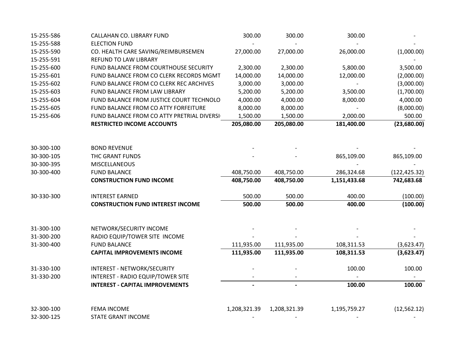| 15-255-586 | CALLAHAN CO. LIBRARY FUND                  | 300.00       | 300.00         | 300.00       |               |
|------------|--------------------------------------------|--------------|----------------|--------------|---------------|
| 15-255-588 | <b>ELECTION FUND</b>                       |              |                |              |               |
| 15-255-590 | CO. HEALTH CARE SAVING/REIMBURSEMEN        | 27,000.00    | 27,000.00      | 26,000.00    | (1,000.00)    |
| 15-255-591 | REFUND TO LAW LIBRARY                      |              |                |              |               |
| 15-255-600 | FUND BALANCE FROM COURTHOUSE SECURITY      | 2,300.00     | 2,300.00       | 5,800.00     | 3,500.00      |
| 15-255-601 | FUND BALANCE FROM CO CLERK RECORDS MGMT    | 14,000.00    | 14,000.00      | 12,000.00    | (2,000.00)    |
| 15-255-602 | FUND BALANCE FROM CO CLERK REC ARCHIVES    | 3,000.00     | 3,000.00       |              | (3,000.00)    |
| 15-255-603 | FUND BALANCE FROM LAW LIBRARY              | 5,200.00     | 5,200.00       | 3,500.00     | (1,700.00)    |
| 15-255-604 | FUND BALANCE FROM JUSTICE COURT TECHNOLO   | 4,000.00     | 4,000.00       | 8,000.00     | 4,000.00      |
| 15-255-605 | FUND BALANCE FROM CO ATTY FORFEITURE       | 8,000.00     | 8,000.00       |              | (8,000.00)    |
| 15-255-606 | FUND BALANCE FROM CO ATTY PRETRIAL DIVERSI | 1,500.00     | 1,500.00       | 2,000.00     | 500.00        |
|            | <b>RESTRICTED INCOME ACCOUNTS</b>          | 205,080.00   | 205,080.00     | 181,400.00   | (23,680.00)   |
|            |                                            |              |                |              |               |
| 30-300-100 | <b>BOND REVENUE</b>                        |              |                |              |               |
| 30-300-105 | THC GRANT FUNDS                            |              |                | 865,109.00   | 865,109.00    |
| 30-300-395 | <b>MISCELLANEOUS</b>                       |              |                |              |               |
| 30-300-400 | <b>FUND BALANCE</b>                        | 408,750.00   | 408,750.00     | 286,324.68   | (122, 425.32) |
|            | <b>CONSTRUCTION FUND INCOME</b>            | 408,750.00   | 408,750.00     | 1,151,433.68 | 742,683.68    |
| 30-330-300 | <b>INTEREST EARNED</b>                     | 500.00       | 500.00         | 400.00       | (100.00)      |
|            | <b>CONSTRUCTION FUND INTEREST INCOME</b>   | 500.00       | 500.00         | 400.00       | (100.00)      |
|            |                                            |              |                |              |               |
| 31-300-100 | NETWORK/SECURITY INCOME                    |              |                |              |               |
| 31-300-200 | RADIO EQUIP/TOWER SITE INCOME              |              |                |              |               |
| 31-300-400 | <b>FUND BALANCE</b>                        | 111,935.00   | 111,935.00     | 108,311.53   | (3,623.47)    |
|            | <b>CAPITAL IMPROVEMENTS INCOME</b>         | 111,935.00   | 111,935.00     | 108,311.53   | (3,623.47)    |
| 31-330-100 | INTEREST - NETWORK/SECURITY                |              |                | 100.00       | 100.00        |
| 31-330-200 | INTEREST - RADIO EQUIP/TOWER SITE          |              |                |              |               |
|            | <b>INTEREST - CAPITAL IMPROVEMENTS</b>     |              | $\blacksquare$ | 100.00       | 100.00        |
| 32-300-100 | <b>FEMA INCOME</b>                         |              |                |              |               |
| 32-300-125 | <b>STATE GRANT INCOME</b>                  | 1,208,321.39 | 1,208,321.39   | 1,195,759.27 | (12, 562.12)  |
|            |                                            |              |                |              |               |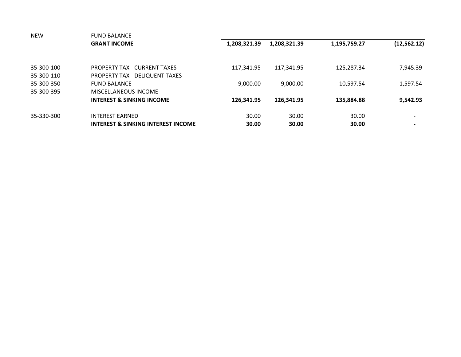| <b>NEW</b> | <b>FUND BALANCE</b>                           |                          |                          |              |              |
|------------|-----------------------------------------------|--------------------------|--------------------------|--------------|--------------|
|            | <b>GRANT INCOME</b>                           | 1,208,321.39             | 1,208,321.39             | 1,195,759.27 | (12, 562.12) |
| 35-300-100 | <b>PROPERTY TAX - CURRENT TAXES</b>           | 117,341.95               | 117,341.95               | 125,287.34   | 7,945.39     |
| 35-300-110 | PROPERTY TAX - DELIQUENT TAXES                | $\overline{\phantom{0}}$ |                          |              |              |
| 35-300-350 | <b>FUND BALANCE</b>                           | 9,000.00                 | 9,000.00                 | 10,597.54    | 1,597.54     |
| 35-300-395 | MISCELLANEOUS INCOME                          | $\overline{\phantom{a}}$ | $\overline{\phantom{a}}$ |              |              |
|            | <b>INTEREST &amp; SINKING INCOME</b>          | 126,341.95               | 126,341.95               | 135,884.88   | 9,542.93     |
| 35-330-300 | <b>INTEREST EARNED</b>                        | 30.00                    | 30.00                    | 30.00        |              |
|            | <b>INTEREST &amp; SINKING INTEREST INCOME</b> | 30.00                    | 30.00                    | 30.00        |              |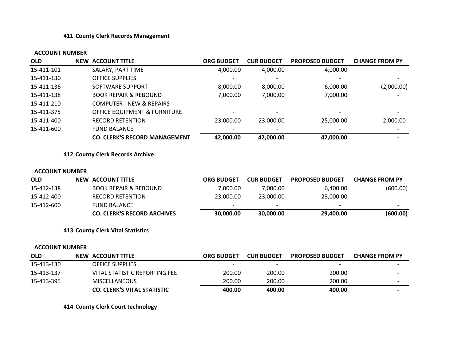#### **411 County Clerk Records Management**

#### **ACCOUNT NUMBER**

| <b>OLD</b> | <b>NEW ACCOUNT TITLE</b>             | <b>ORG BUDGET</b> | <b>CUR BUDGET</b> | <b>PROPOSED BUDGET</b> | <b>CHANGE FROM PY</b>    |
|------------|--------------------------------------|-------------------|-------------------|------------------------|--------------------------|
| 15-411-101 | SALARY, PART TIME                    | 4.000.00          | 4,000.00          | 4,000.00               | $\overline{\phantom{a}}$ |
| 15-411-130 | <b>OFFICE SUPPLIES</b>               |                   |                   |                        |                          |
| 15-411-136 | SOFTWARE SUPPORT                     | 8,000.00          | 8,000.00          | 6,000.00               | (2,000.00)               |
| 15-411-138 | <b>BOOK REPAIR &amp; REBOUND</b>     | 7,000.00          | 7,000.00          | 7,000.00               |                          |
| 15-411-210 | <b>COMPUTER - NEW &amp; REPAIRS</b>  |                   |                   |                        | $\overline{\phantom{0}}$ |
| 15-411-375 | OFFICE EQUIPMENT & FURNITURE         |                   |                   |                        | $\overline{\phantom{0}}$ |
| 15-411-400 | <b>RECORD RETENTION</b>              | 23,000.00         | 23,000.00         | 25,000.00              | 2,000.00                 |
| 15-411-600 | <b>FUND BALANCE</b>                  |                   |                   |                        |                          |
|            | <b>CO. CLERK'S RECORD MANAGEMENT</b> | 42,000.00         | 42,000.00         | 42,000.00              |                          |

**412 County Clerk Records Archive**

#### **ACCOUNT NUMBER**

| <b>OLD</b> | NEW ACCOUNT TITLE                  | <b>ORG BUDGET</b> | <b>CUR BUDGET</b> | <b>PROPOSED BUDGET</b> | <b>CHANGE FROM PY</b>    |
|------------|------------------------------------|-------------------|-------------------|------------------------|--------------------------|
| 15-412-138 | <b>BOOK REPAIR &amp; REBOUND</b>   | 7.000.00          | 7.000.00          | 6,400.00               | (600.00)                 |
| 15-412-400 | <b>RECORD RETENTION</b>            | 23,000.00         | 23,000,00         | 23,000.00              | $\overline{\phantom{0}}$ |
| 15-412-600 | FUND BALANCE                       |                   |                   |                        | $\overline{\phantom{a}}$ |
|            | <b>CO. CLERK'S RECORD ARCHIVES</b> | 30,000.00         | 30,000.00         | 29,400.00              | (600.00)                 |

**413 County Clerk Vital Statistics**

#### **ACCOUNT NUMBER**

| <b>OLD</b> | NEW ACCOUNT TITLE                  | <b>ORG BUDGET</b> | <b>CUR BUDGET</b> | <b>PROPOSED BUDGET</b> | <b>CHANGE FROM PY</b>    |
|------------|------------------------------------|-------------------|-------------------|------------------------|--------------------------|
| 15-413-130 | OFFICE SUPPLIES                    |                   |                   |                        |                          |
| 15-413-137 | VITAL STATISTIC REPORTING FEE      | 200.00            | 200.00            | 200.00                 | $\overline{\phantom{0}}$ |
| 15-413-395 | <b>MISCELLANEOUS</b>               | 200.00            | 200.00            | 200.00                 | $\overline{\phantom{0}}$ |
|            | <b>CO. CLERK'S VITAL STATISTIC</b> | 400.00            | 400.00            | 400.00                 | $\overline{\phantom{0}}$ |

**414 County Clerk Court technology**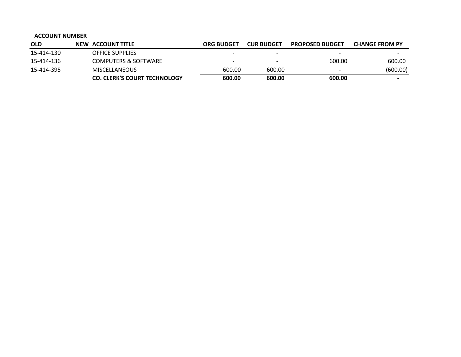| <b>OLD</b> | NEW ACCOUNT TITLE                   | <b>ORG BUDGET</b> | <b>CUR BUDGET</b>        | <b>PROPOSED BUDGET</b> | <b>CHANGE FROM PY</b>    |
|------------|-------------------------------------|-------------------|--------------------------|------------------------|--------------------------|
| 15-414-130 | <b>OFFICE SUPPLIES</b>              |                   | $\overline{\phantom{a}}$ |                        | $\overline{\phantom{0}}$ |
| 15-414-136 | COMPUTERS & SOFTWARE                |                   | $\overline{\phantom{0}}$ | 600.00                 | 600.00                   |
| 15-414-395 | <b>MISCELLANEOUS</b>                | 600.00            | 600.00                   |                        | (600.00)                 |
|            | <b>CO. CLERK'S COURT TECHNOLOGY</b> | 600.00            | 600.00                   | 600.00                 | $\overline{\phantom{0}}$ |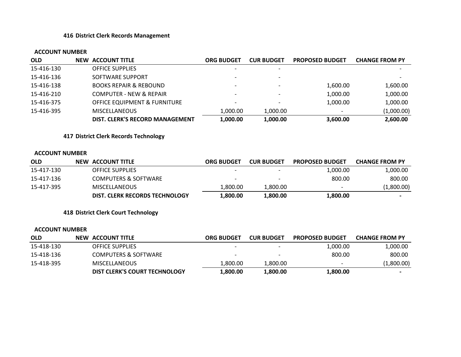### **416 District Clerk Records Management**

#### **ACCOUNT NUMBER**

| <b>OLD</b> | <b>NEW ACCOUNT TITLE</b>                | ORG BUDGET               | <b>CUR BUDGET</b> | <b>PROPOSED BUDGET</b> | <b>CHANGE FROM PY</b> |
|------------|-----------------------------------------|--------------------------|-------------------|------------------------|-----------------------|
| 15-416-130 | <b>OFFICE SUPPLIES</b>                  |                          |                   |                        |                       |
| 15-416-136 | SOFTWARE SUPPORT                        |                          |                   |                        |                       |
| 15-416-138 | <b>BOOKS REPAIR &amp; REBOUND</b>       | $\overline{\phantom{a}}$ |                   | 1,600.00               | 1,600.00              |
| 15-416-210 | <b>COMPUTER - NEW &amp; REPAIR</b>      |                          |                   | 1,000.00               | 1,000.00              |
| 15-416-375 | <b>OFFICE EQUIPMENT &amp; FURNITURE</b> | $\overline{\phantom{0}}$ |                   | 1,000.00               | 1,000.00              |
| 15-416-395 | <b>MISCELLANEOUS</b>                    | 1.000.00                 | 1.000.00          |                        | (1,000.00)            |
|            | DIST. CLERK'S RECORD MANAGEMENT         | 1,000.00                 | 1,000.00          | 3,600.00               | 2,600.00              |

**417 District Clerk Records Technology**

#### **ACCOUNT NUMBER**

| <b>OLD</b> | NEW ACCOUNT TITLE               | <b>ORG BUDGET</b>        | <b>CUR BUDGET</b> | <b>PROPOSED BUDGET</b> | <b>CHANGE FROM PY</b>    |
|------------|---------------------------------|--------------------------|-------------------|------------------------|--------------------------|
| 15-417-130 | <b>OFFICE SUPPLIES</b>          | $\overline{\phantom{0}}$ |                   | 1,000.00               | 1,000.00                 |
| 15-417-136 | <b>COMPUTERS &amp; SOFTWARE</b> | $\overline{\phantom{0}}$ |                   | 800.00                 | 800.00                   |
| 15-417-395 | <b>MISCELLANEOUS</b>            | 800.00.ا                 | 1.800.00          |                        | (1,800.00)               |
|            | DIST. CLERK RECORDS TECHNOLOGY  | 1,800.00                 | 1,800.00          | 1,800.00               | $\overline{\phantom{0}}$ |

**418 District Clerk Court Technology**

| <b>OLD</b> | <b>NEW ACCOUNT TITLE</b>      | <b>ORG BUDGET</b>        | <b>CUR BUDGET</b> | <b>PROPOSED BUDGET</b> | <b>CHANGE FROM PY</b>    |
|------------|-------------------------------|--------------------------|-------------------|------------------------|--------------------------|
| 15-418-130 | <b>OFFICE SUPPLIES</b>        | $\overline{\phantom{0}}$ |                   | 1,000.00               | 1,000.00                 |
| 15-418-136 | COMPUTERS & SOFTWARE          | $\overline{\phantom{0}}$ |                   | 800.00                 | 800.00                   |
| 15-418-395 | <b>MISCELLANEOUS</b>          | 800.00.l                 | 1.800.00          | -                      | (1,800.00)               |
|            | DIST CLERK'S COURT TECHNOLOGY | 1,800.00                 | 1.800.00          | 1.800.00               | $\overline{\phantom{0}}$ |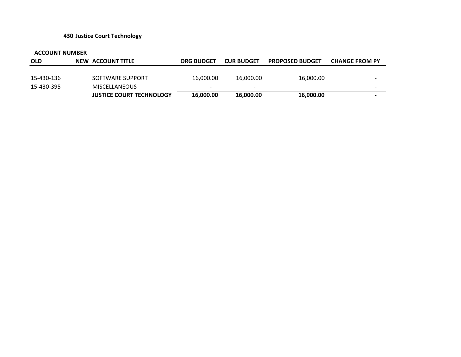#### **430 Justice Court Technology**

| <b>OLD</b> | <b>NEW ACCOUNT TITLE</b>        | <b>ORG BUDGET</b>        | <b>CUR BUDGET</b> | <b>PROPOSED BUDGET</b> | <b>CHANGE FROM PY</b>    |
|------------|---------------------------------|--------------------------|-------------------|------------------------|--------------------------|
|            |                                 |                          |                   |                        |                          |
| 15-430-136 | SOFTWARE SUPPORT                | 16,000.00                | 16.000.00         | 16,000.00              | $\overline{\phantom{0}}$ |
| 15-430-395 | MISCELLANEOUS                   | $\overline{\phantom{0}}$ |                   |                        | $\overline{\phantom{0}}$ |
|            | <b>JUSTICE COURT TECHNOLOGY</b> | 16,000.00                | 16,000.00         | 16,000.00              | $\overline{\phantom{0}}$ |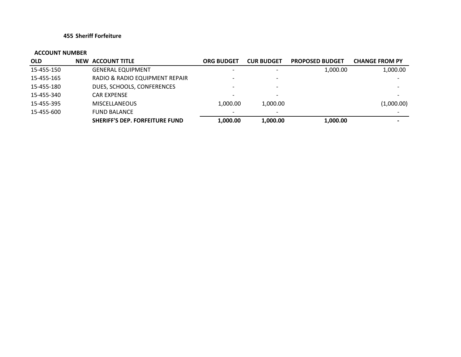#### **455 Sheriff Forfeiture**

| <b>OLD</b> | <b>NEW ACCOUNT TITLE</b>              | ORG BUDGET               | <b>CUR BUDGET</b> | <b>PROPOSED BUDGET</b> | <b>CHANGE FROM PY</b>    |
|------------|---------------------------------------|--------------------------|-------------------|------------------------|--------------------------|
| 15-455-150 | <b>GENERAL EQUIPMENT</b>              |                          |                   | 1,000.00               | 1,000.00                 |
| 15-455-165 | RADIO & RADIO EQUIPMENT REPAIR        | $\overline{\phantom{0}}$ |                   |                        |                          |
| 15-455-180 | DUES, SCHOOLS, CONFERENCES            |                          |                   |                        |                          |
| 15-455-340 | <b>CAR EXPENSE</b>                    | $\overline{\phantom{0}}$ |                   |                        | $\overline{\phantom{0}}$ |
| 15-455-395 | <b>MISCELLANEOUS</b>                  | 1.000.00                 | 1,000.00          |                        | (1,000.00)               |
| 15-455-600 | <b>FUND BALANCE</b>                   |                          |                   |                        |                          |
|            | <b>SHERIFF'S DEP. FORFEITURE FUND</b> | 1,000.00                 | 1,000.00          | 1,000.00               | $\blacksquare$           |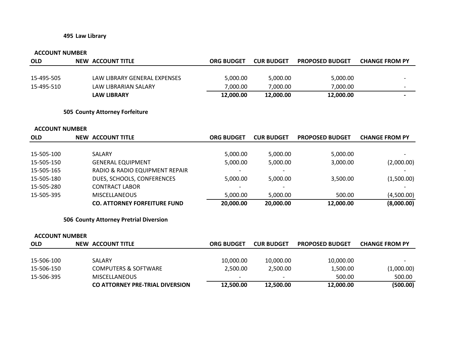#### **495 Law Library**

#### **ACCOUNT NUMBER**

| <b>OLD</b> | NEW ACCOUNT TITLE            | <b>ORG BUDGET</b> | <b>CUR BUDGET</b> | <b>PROPOSED BUDGET</b> | <b>CHANGE FROM PY</b>    |
|------------|------------------------------|-------------------|-------------------|------------------------|--------------------------|
|            |                              |                   |                   |                        |                          |
| 15-495-505 | LAW LIBRARY GENERAL EXPENSES | 5,000.00          | 5.000.00          | 5,000.00               |                          |
| 15-495-510 | LAW LIBRARIAN SALARY         | 7.000.00          | 7.000.00          | 7,000.00               | $\overline{\phantom{0}}$ |
|            | <b>LAW LIBRARY</b>           | 12,000.00         | 12,000.00         | 12,000.00              |                          |

### **505 County Attorney Forfeiture**

#### **ACCOUNT NUMBER**

| <b>OLD</b> | <b>NEW ACCOUNT TITLE</b>            | <b>ORG BUDGET</b> | <b>CUR BUDGET</b> | <b>PROPOSED BUDGET</b> | <b>CHANGE FROM PY</b> |
|------------|-------------------------------------|-------------------|-------------------|------------------------|-----------------------|
|            |                                     |                   |                   |                        |                       |
| 15-505-100 | <b>SALARY</b>                       | 5,000.00          | 5,000.00          | 5,000.00               |                       |
| 15-505-150 | <b>GENERAL EQUIPMENT</b>            | 5,000.00          | 5,000.00          | 3,000.00               | (2,000.00)            |
| 15-505-165 | RADIO & RADIO EQUIPMENT REPAIR      |                   |                   |                        |                       |
| 15-505-180 | DUES, SCHOOLS, CONFERENCES          | 5.000.00          | 5,000.00          | 3,500.00               | (1,500.00)            |
| 15-505-280 | CONTRACT LABOR                      |                   |                   |                        |                       |
| 15-505-395 | <b>MISCELLANEOUS</b>                | 5.000.00          | 5,000.00          | 500.00                 | (4,500.00)            |
|            | <b>CO. ATTORNEY FORFEITURE FUND</b> | 20,000.00         | 20,000.00         | 12,000.00              | (8,000.00)            |

**506 County Attorney Pretrial Diversion**

| <b>OLD</b> | NEW ACCOUNT TITLE               | <b>ORG BUDGET</b>        | <b>CUR BUDGET</b>        | <b>PROPOSED BUDGET</b> | <b>CHANGE FROM PY</b>    |
|------------|---------------------------------|--------------------------|--------------------------|------------------------|--------------------------|
|            |                                 |                          |                          |                        |                          |
| 15-506-100 | SALARY                          | 10,000.00                | 10,000.00                | 10,000.00              | $\overline{\phantom{0}}$ |
| 15-506-150 | <b>COMPUTERS &amp; SOFTWARE</b> | 2.500.00                 | 2.500.00                 | 1,500.00               | (1,000.00)               |
| 15-506-395 | <b>MISCELLANEOUS</b>            | $\overline{\phantom{0}}$ | $\overline{\phantom{0}}$ | 500.00                 | 500.00                   |
|            | CO ATTORNEY PRE-TRIAL DIVERSION | 12,500.00                | 12,500.00                | 12,000.00              | (500.00)                 |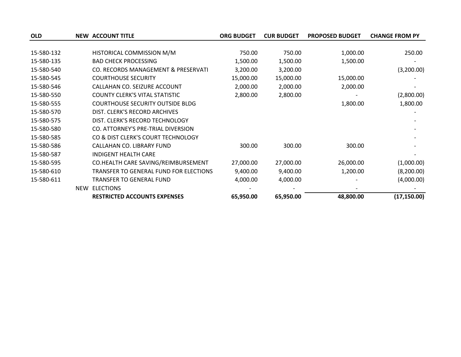| <b>OLD</b> |            | <b>NEW ACCOUNT TITLE</b>                | <b>ORG BUDGET</b> | <b>CUR BUDGET</b> | <b>PROPOSED BUDGET</b> | <b>CHANGE FROM PY</b> |
|------------|------------|-----------------------------------------|-------------------|-------------------|------------------------|-----------------------|
|            |            |                                         |                   |                   |                        |                       |
| 15-580-132 |            | HISTORICAL COMMISSION M/M               | 750.00            | 750.00            | 1,000.00               | 250.00                |
| 15-580-135 |            | <b>BAD CHECK PROCESSING</b>             | 1,500.00          | 1,500.00          | 1,500.00               |                       |
| 15-580-540 |            | CO. RECORDS MANAGEMENT & PRESERVATI     | 3,200.00          | 3,200.00          |                        | (3,200.00)            |
| 15-580-545 |            | <b>COURTHOUSE SECURITY</b>              | 15,000.00         | 15,000.00         | 15,000.00              |                       |
| 15-580-546 |            | CALLAHAN CO. SEIZURE ACCOUNT            | 2,000.00          | 2,000.00          | 2,000.00               |                       |
| 15-580-550 |            | <b>COUNTY CLERK'S VITAL STATISTIC</b>   | 2,800.00          | 2,800.00          |                        | (2,800.00)            |
| 15-580-555 |            | <b>COURTHOUSE SECURITY OUTSIDE BLDG</b> |                   |                   | 1,800.00               | 1,800.00              |
| 15-580-570 |            | DIST. CLERK'S RECORD ARCHIVES           |                   |                   |                        |                       |
| 15-580-575 |            | DIST. CLERK'S RECORD TECHNOLOGY         |                   |                   |                        |                       |
| 15-580-580 |            | CO. ATTORNEY'S PRE-TRIAL DIVERSION      |                   |                   |                        |                       |
| 15-580-585 |            | CO & DIST CLERK'S COURT TECHNOLOGY      |                   |                   |                        |                       |
| 15-580-586 |            | CALLAHAN CO. LIBRARY FUND               | 300.00            | 300.00            | 300.00                 |                       |
| 15-580-587 |            | <b>INDIGENT HEALTH CARE</b>             |                   |                   |                        |                       |
| 15-580-595 |            | CO.HEALTH CARE SAVING/REIMBURSEMENT     | 27,000.00         | 27,000.00         | 26,000.00              | (1,000.00)            |
| 15-580-610 |            | TRANSFER TO GENERAL FUND FOR ELECTIONS  | 9,400.00          | 9,400.00          | 1,200.00               | (8,200.00)            |
| 15-580-611 |            | <b>TRANSFER TO GENERAL FUND</b>         | 4,000.00          | 4,000.00          |                        | (4,000.00)            |
|            | <b>NEW</b> | <b>ELECTIONS</b>                        |                   |                   |                        |                       |
|            |            | <b>RESTRICTED ACCOUNTS EXPENSES</b>     | 65,950.00         | 65,950.00         | 48,800.00              | (17, 150.00)          |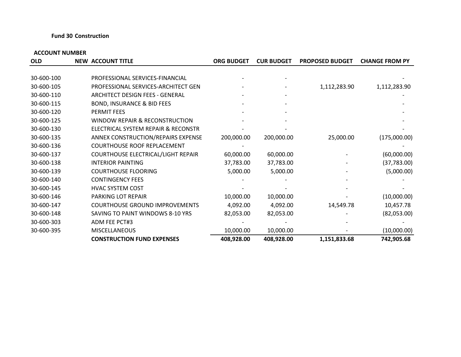#### **Fund 30 Construction**

| <b>OLD</b> | <b>NEW ACCOUNT TITLE</b>              | <b>ORG BUDGET</b> | <b>CUR BUDGET</b> | <b>PROPOSED BUDGET</b> | <b>CHANGE FROM PY</b> |
|------------|---------------------------------------|-------------------|-------------------|------------------------|-----------------------|
|            |                                       |                   |                   |                        |                       |
| 30-600-100 | PROFESSIONAL SERVICES-FINANCIAL       |                   |                   |                        |                       |
| 30-600-105 | PROFESSIONAL SERVICES-ARCHITECT GEN   |                   |                   | 1,112,283.90           | 1,112,283.90          |
| 30-600-110 | ARCHITECT DESIGN FEES - GENERAL       |                   |                   |                        |                       |
| 30-600-115 | <b>BOND, INSURANCE &amp; BID FEES</b> |                   |                   |                        |                       |
| 30-600-120 | PERMIT FEES                           |                   |                   |                        |                       |
| 30-600-125 | WINDOW REPAIR & RECONSTRUCTION        |                   |                   |                        |                       |
| 30-600-130 | ELECTRICAL SYSTEM REPAIR & RECONSTR   |                   |                   |                        |                       |
| 30-600-135 | ANNEX CONSTRUCTION/REPAIRS EXPENSE    | 200,000.00        | 200,000.00        | 25,000.00              | (175,000.00)          |
| 30-600-136 | <b>COURTHOUSE ROOF REPLACEMENT</b>    |                   |                   |                        |                       |
| 30-600-137 | COURTHOUSE ELECTRICAL/LIGHT REPAIR    | 60,000.00         | 60,000.00         |                        | (60,000.00)           |
| 30-600-138 | <b>INTERIOR PAINTING</b>              | 37,783.00         | 37,783.00         |                        | (37, 783.00)          |
| 30-600-139 | <b>COURTHOUSE FLOORING</b>            | 5,000.00          | 5,000.00          |                        | (5,000.00)            |
| 30-600-140 | <b>CONTINGENCY FEES</b>               |                   |                   |                        |                       |
| 30-600-145 | <b>HVAC SYSTEM COST</b>               |                   |                   |                        |                       |
| 30-600-146 | PARKING LOT REPAIR                    | 10,000.00         | 10,000.00         |                        | (10,000.00)           |
| 30-600-147 | <b>COURTHOUSE GROUND IMPROVEMENTS</b> | 4,092.00          | 4,092.00          | 14,549.78              | 10,457.78             |
| 30-600-148 | SAVING TO PAINT WINDOWS 8-10 YRS      | 82,053.00         | 82,053.00         |                        | (82,053.00)           |
| 30-600-303 | ADM FEE PCT#3                         |                   |                   |                        |                       |
| 30-600-395 | <b>MISCELLANEOUS</b>                  | 10,000.00         | 10,000.00         |                        | (10,000.00)           |
|            | <b>CONSTRUCTION FUND EXPENSES</b>     | 408,928.00        | 408,928.00        | 1,151,833.68           | 742,905.68            |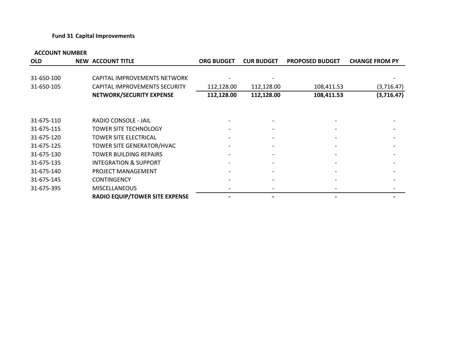#### **Fund 31 Capital Improvements**

| <b>OLD</b> | <b>NEW ACCOUNT TITLE</b>              | <b>ORG BUDGET</b> | <b>CUR BUDGET</b> | <b>PROPOSED BUDGET</b> | <b>CHANGE FROM PY</b> |
|------------|---------------------------------------|-------------------|-------------------|------------------------|-----------------------|
| 31-650-100 | CAPITAL IMPROVEMENTS NETWORK          |                   |                   |                        |                       |
| 31-650-105 | <b>CAPITAL IMPROVEMENTS SECURITY</b>  | 112,128.00        | 112,128.00        | 108,411.53             | (3,716.47)            |
|            | NETWORK/SECURITY EXPENSE              | 112,128.00        | 112,128.00        | 108,411.53             | (3,716.47)            |
| 31-675-110 | RADIO CONSOLE - JAIL                  |                   |                   |                        |                       |
| 31-675-115 | <b>TOWER SITE TECHNOLOGY</b>          |                   |                   |                        |                       |
| 31-675-120 | TOWER SITE ELECTRICAL                 |                   |                   |                        |                       |
| 31-675-125 | TOWER SITE GENERATOR/HVAC             |                   | $\overline{a}$    |                        |                       |
| 31-675-130 | TOWER BUILDING REPAIRS                |                   |                   |                        |                       |
| 31-675-135 | <b>INTEGRATION &amp; SUPPORT</b>      |                   |                   |                        |                       |
| 31-675-140 | PROJECT MANAGEMENT                    |                   |                   |                        |                       |
| 31-675-145 | <b>CONTINGENCY</b>                    |                   |                   |                        |                       |
| 31-675-395 | <b>MISCELLANEOUS</b>                  |                   |                   |                        |                       |
|            | <b>RADIO EQUIP/TOWER SITE EXPENSE</b> |                   |                   |                        |                       |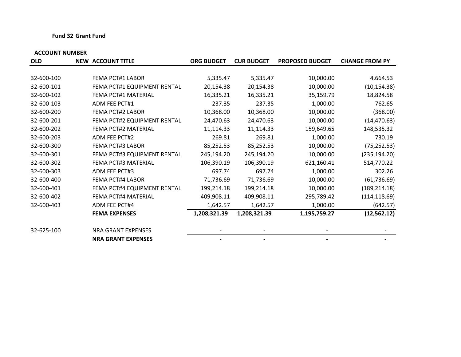#### **Fund 32 Grant Fund**

| <b>OLD</b> | <b>NEW ACCOUNT TITLE</b>    | <b>ORG BUDGET</b> | <b>CUR BUDGET</b> | <b>PROPOSED BUDGET</b> | <b>CHANGE FROM PY</b> |
|------------|-----------------------------|-------------------|-------------------|------------------------|-----------------------|
|            |                             |                   |                   |                        |                       |
| 32-600-100 | <b>FEMA PCT#1 LABOR</b>     | 5,335.47          | 5,335.47          | 10,000.00              | 4,664.53              |
| 32-600-101 | FEMA PCT#1 EQUIPMENT RENTAL | 20,154.38         | 20,154.38         | 10,000.00              | (10, 154.38)          |
| 32-600-102 | FEMA PCT#1 MATERIAL         | 16,335.21         | 16,335.21         | 35,159.79              | 18,824.58             |
| 32-600-103 | <b>ADM FEE PCT#1</b>        | 237.35            | 237.35            | 1,000.00               | 762.65                |
| 32-600-200 | <b>FEMA PCT#2 LABOR</b>     | 10,368.00         | 10,368.00         | 10,000.00              | (368.00)              |
| 32-600-201 | FEMA PCT#2 EQUIPMENT RENTAL | 24,470.63         | 24,470.63         | 10,000.00              | (14, 470.63)          |
| 32-600-202 | FEMA PCT#2 MATERIAL         | 11,114.33         | 11,114.33         | 159,649.65             | 148,535.32            |
| 32-600-203 | ADM FEE PCT#2               | 269.81            | 269.81            | 1,000.00               | 730.19                |
| 32-600-300 | <b>FEMA PCT#3 LABOR</b>     | 85,252.53         | 85,252.53         | 10,000.00              | (75, 252.53)          |
| 32-600-301 | FEMA PCT#3 EQUIPMENT RENTAL | 245,194.20        | 245,194.20        | 10,000.00              | (235, 194.20)         |
| 32-600-302 | FEMA PCT#3 MATERIAL         | 106,390.19        | 106,390.19        | 621,160.41             | 514,770.22            |
| 32-600-303 | ADM FEE PCT#3               | 697.74            | 697.74            | 1,000.00               | 302.26                |
| 32-600-400 | <b>FEMA PCT#4 LABOR</b>     | 71,736.69         | 71,736.69         | 10,000.00              | (61, 736.69)          |
| 32-600-401 | FEMA PCT#4 EQUIPMENT RENTAL | 199,214.18        | 199,214.18        | 10,000.00              | (189, 214.18)         |
| 32-600-402 | FEMA PCT#4 MATERIAL         | 409,908.11        | 409,908.11        | 295,789.42             | (114, 118.69)         |
| 32-600-403 | ADM FEE PCT#4               | 1,642.57          | 1,642.57          | 1,000.00               | (642.57)              |
|            | <b>FEMA EXPENSES</b>        | 1,208,321.39      | 1,208,321.39      | 1,195,759.27           | (12, 562.12)          |
| 32-625-100 | <b>NRA GRANT EXPENSES</b>   |                   |                   |                        |                       |
|            | <b>NRA GRANT EXPENSES</b>   |                   |                   |                        |                       |